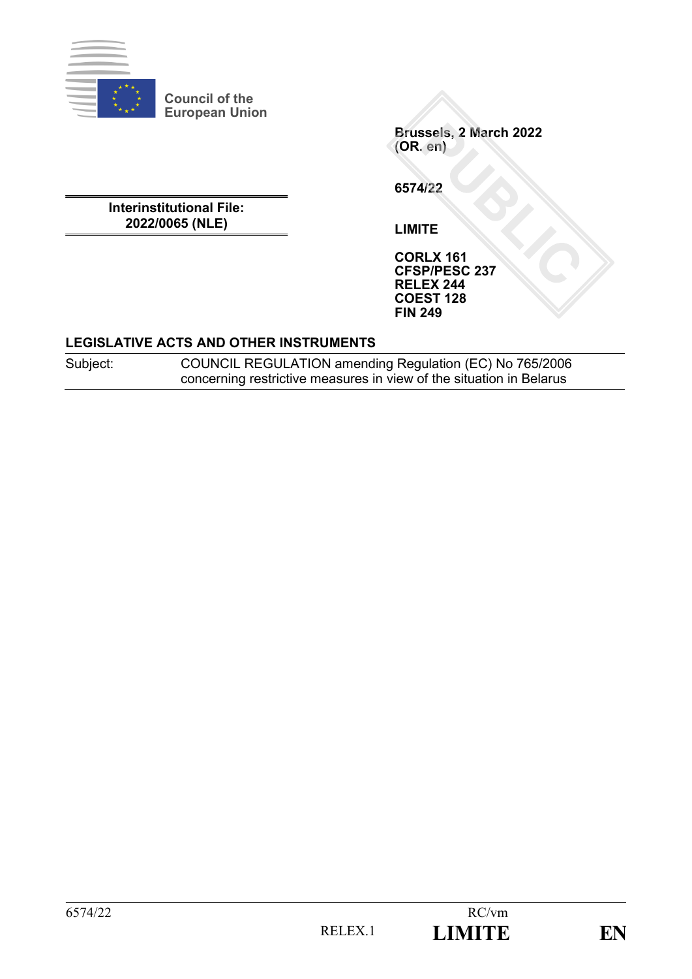

**Council of the European Union**

> **Brussels, 2 March 2022 (OR. en)**

**6574/22**

**Interinstitutional File: 2022/0065 (NLE)**

**LIMITE**

**CORLX 161 CFSP/PESC 237 RELEX 244 COEST 128 FIN 249**

#### **LEGISLATIVE ACTS AND OTHER INSTRUMENTS**

Subject: COUNCIL REGULATION amending Regulation (EC) No 765/2006 concerning restrictive measures in view of the situation in Belarus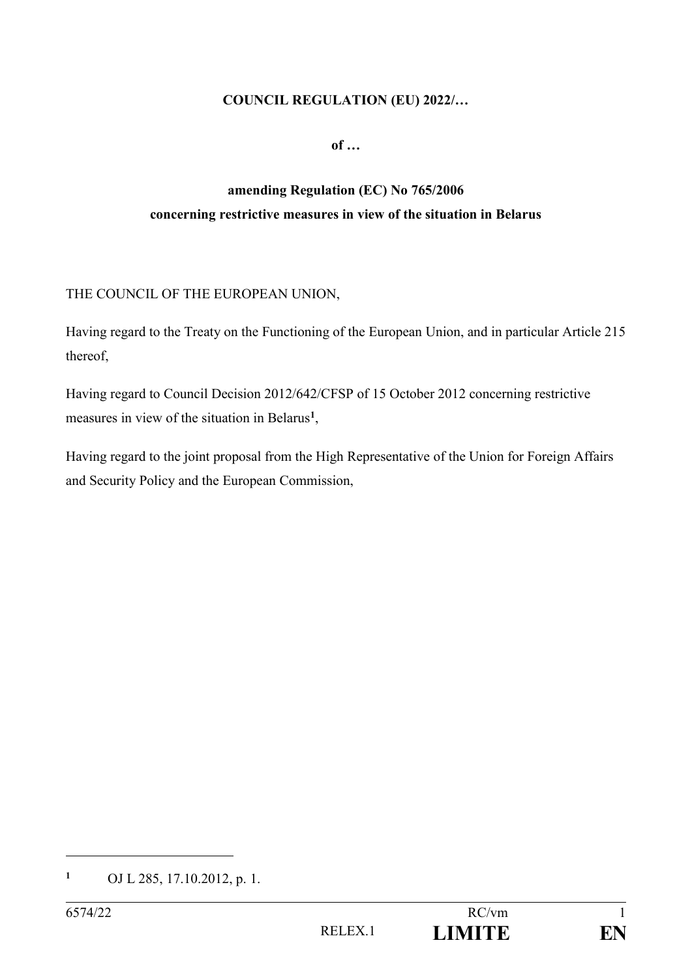#### **COUNCIL REGULATION (EU) 2022/…**

**of …**

# **amending Regulation (EC) No 765/2006 concerning restrictive measures in view of the situation in Belarus**

#### THE COUNCIL OF THE EUROPEAN UNION,

Having regard to the Treaty on the Functioning of the European Union, and in particular Article 215 thereof,

Having regard to Council Decision 2012/642/CFSP of 15 October 2012 concerning restrictive measures in view of the situation in Belarus**<sup>1</sup>** ,

Having regard to the joint proposal from the High Representative of the Union for Foreign Affairs and Security Policy and the European Commission,

1

**<sup>1</sup>** OJ L 285, 17.10.2012, p. 1.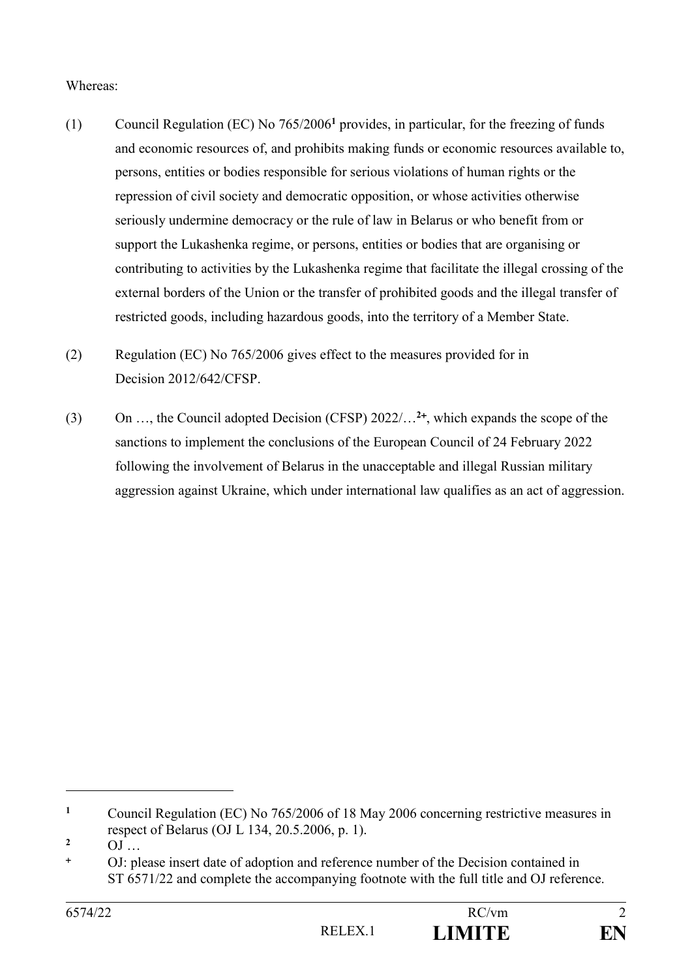#### Whereas:

- (1) Council Regulation (EC) No 765/2006**<sup>1</sup>** provides, in particular, for the freezing of funds and economic resources of, and prohibits making funds or economic resources available to, persons, entities or bodies responsible for serious violations of human rights or the repression of civil society and democratic opposition, or whose activities otherwise seriously undermine democracy or the rule of law in Belarus or who benefit from or support the Lukashenka regime, or persons, entities or bodies that are organising or contributing to activities by the Lukashenka regime that facilitate the illegal crossing of the external borders of the Union or the transfer of prohibited goods and the illegal transfer of restricted goods, including hazardous goods, into the territory of a Member State.
- (2) Regulation (EC) No 765/2006 gives effect to the measures provided for in Decision 2012/642/CFSP.
- (3) On …, the Council adopted Decision (CFSP) 2022/…**<sup>2</sup>** , which expands the scope of the sanctions to implement the conclusions of the European Council of 24 February 2022 following the involvement of Belarus in the unacceptable and illegal Russian military aggression against Ukraine, which under international law qualifies as an act of aggression.

<u>.</u>

**<sup>1</sup>** Council Regulation (EC) No 765/2006 of 18 May 2006 concerning restrictive measures in respect of Belarus (OJ L 134, 20.5.2006, p. 1).

**<sup>2</sup>**  $OJ$  …

OJ: please insert date of adoption and reference number of the Decision contained in ST 6571/22 and complete the accompanying footnote with the full title and OJ reference.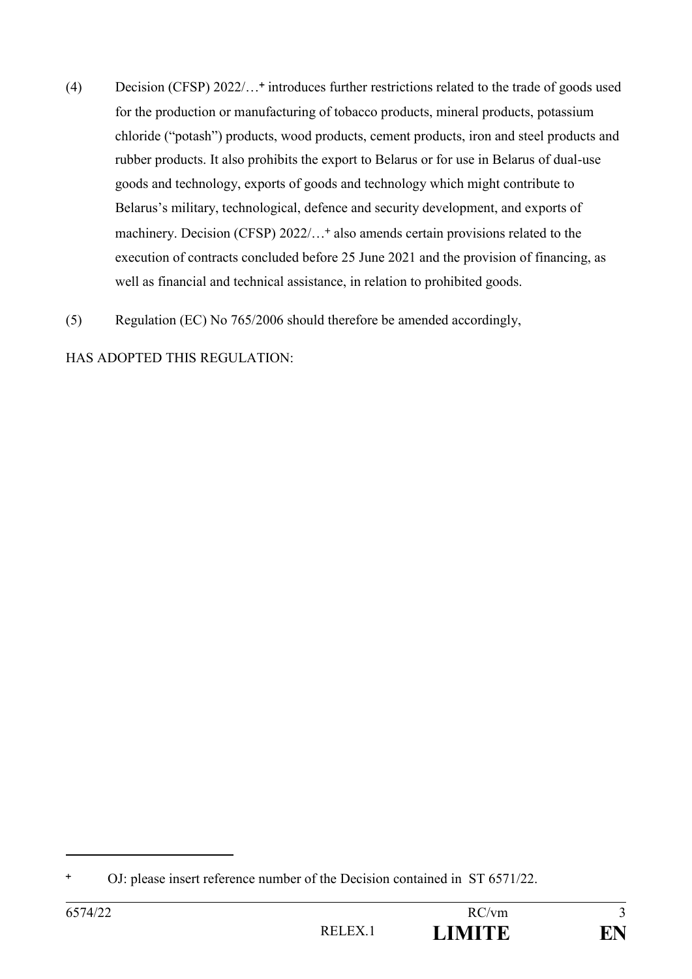- (4) Decision (CFSP) 2022/… introduces further restrictions related to the trade of goods used for the production or manufacturing of tobacco products, mineral products, potassium chloride ("potash") products, wood products, cement products, iron and steel products and rubber products. It also prohibits the export to Belarus or for use in Belarus of dual-use goods and technology, exports of goods and technology which might contribute to Belarus's military, technological, defence and security development, and exports of machinery. Decision (CFSP)  $2022/$ ...<sup>+</sup> also amends certain provisions related to the execution of contracts concluded before 25 June 2021 and the provision of financing, as well as financial and technical assistance, in relation to prohibited goods.
- (5) Regulation (EC) No 765/2006 should therefore be amended accordingly,

HAS ADOPTED THIS REGULATION:

1

OJ: please insert reference number of the Decision contained in ST 6571/22.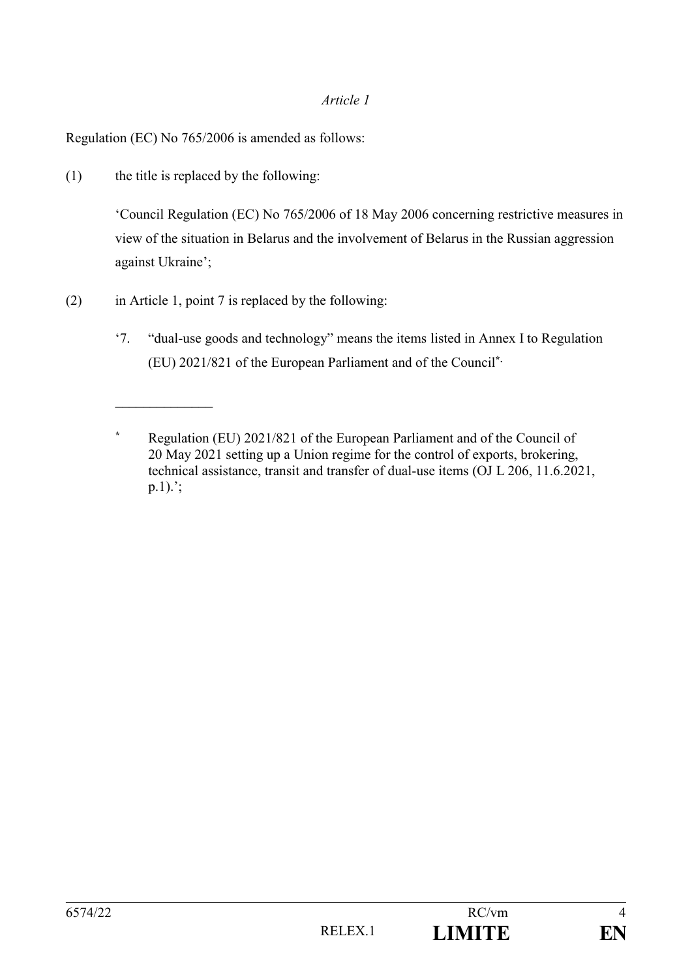#### *Article 1*

Regulation (EC) No 765/2006 is amended as follows:

(1) the title is replaced by the following:

 $\frac{1}{2}$ 

'Council Regulation (EC) No 765/2006 of 18 May 2006 concerning restrictive measures in view of the situation in Belarus and the involvement of Belarus in the Russian aggression against Ukraine';

- (2) in Article 1, point 7 is replaced by the following:
	- '7. "dual-use goods and technology" means the items listed in Annex I to Regulation (EU) 2021/821 of the European Parliament and of the Council**\*.**

**<sup>\*</sup>** Regulation (EU) 2021/821 of the European Parliament and of the Council of 20 May 2021 setting up a Union regime for the control of exports, brokering, technical assistance, transit and transfer of dual-use items (OJ L 206, 11.6.2021, p.1).';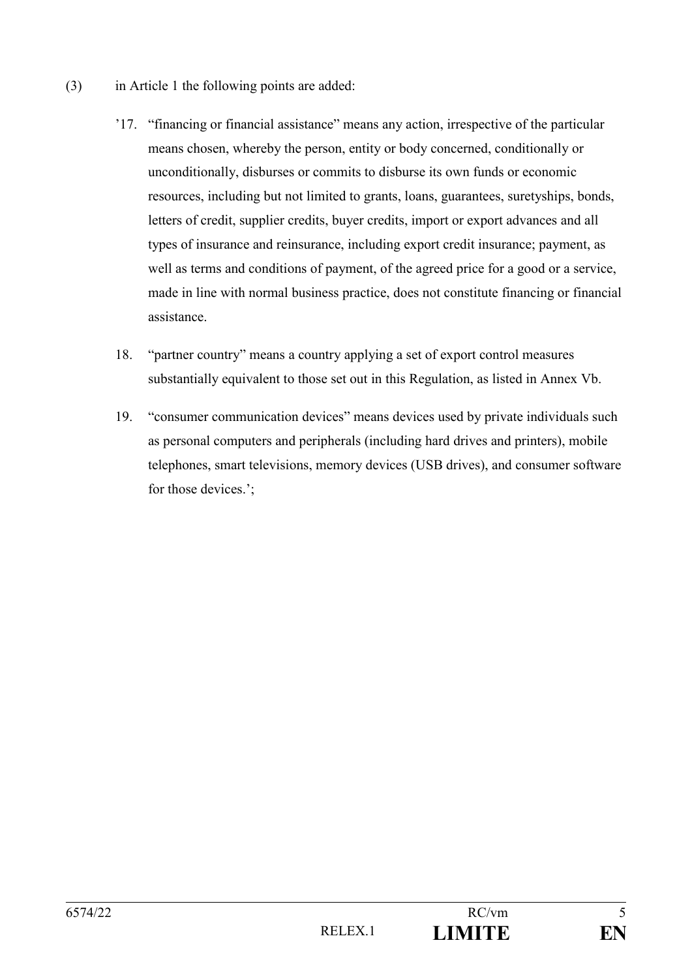- (3) in Article 1 the following points are added:
	- '17. "financing or financial assistance" means any action, irrespective of the particular means chosen, whereby the person, entity or body concerned, conditionally or unconditionally, disburses or commits to disburse its own funds or economic resources, including but not limited to grants, loans, guarantees, suretyships, bonds, letters of credit, supplier credits, buyer credits, import or export advances and all types of insurance and reinsurance, including export credit insurance; payment, as well as terms and conditions of payment, of the agreed price for a good or a service, made in line with normal business practice, does not constitute financing or financial assistance.
	- 18. "partner country" means a country applying a set of export control measures substantially equivalent to those set out in this Regulation, as listed in Annex Vb.
	- 19. "consumer communication devices" means devices used by private individuals such as personal computers and peripherals (including hard drives and printers), mobile telephones, smart televisions, memory devices (USB drives), and consumer software for those devices.';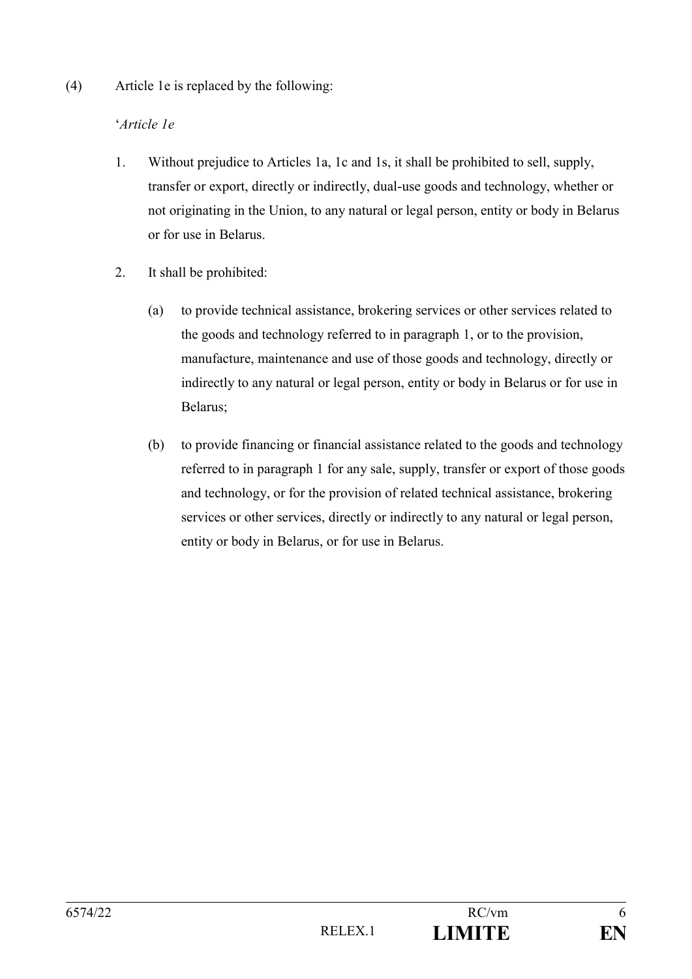(4) Article 1e is replaced by the following:

### '*Article 1e*

- 1. Without prejudice to Articles 1a, 1c and 1s, it shall be prohibited to sell, supply, transfer or export, directly or indirectly, dual-use goods and technology, whether or not originating in the Union, to any natural or legal person, entity or body in Belarus or for use in Belarus.
- 2. It shall be prohibited:
	- (a) to provide technical assistance, brokering services or other services related to the goods and technology referred to in paragraph 1, or to the provision, manufacture, maintenance and use of those goods and technology, directly or indirectly to any natural or legal person, entity or body in Belarus or for use in Belarus;
	- (b) to provide financing or financial assistance related to the goods and technology referred to in paragraph 1 for any sale, supply, transfer or export of those goods and technology, or for the provision of related technical assistance, brokering services or other services, directly or indirectly to any natural or legal person, entity or body in Belarus, or for use in Belarus.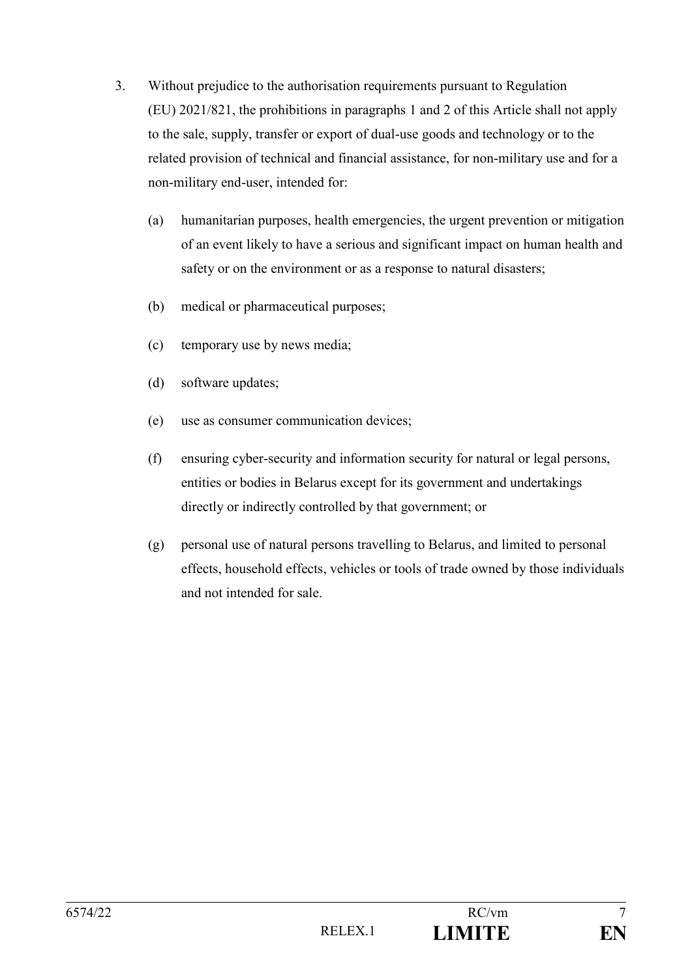- 3. Without prejudice to the authorisation requirements pursuant to Regulation (EU) 2021/821, the prohibitions in paragraphs 1 and 2 of this Article shall not apply to the sale, supply, transfer or export of dual-use goods and technology or to the related provision of technical and financial assistance, for non-military use and for a non-military end-user, intended for:
	- (a) humanitarian purposes, health emergencies, the urgent prevention or mitigation of an event likely to have a serious and significant impact on human health and safety or on the environment or as a response to natural disasters;
	- (b) medical or pharmaceutical purposes;
	- (c) temporary use by news media;
	- (d) software updates;
	- (e) use as consumer communication devices;
	- (f) ensuring cyber-security and information security for natural or legal persons, entities or bodies in Belarus except for its government and undertakings directly or indirectly controlled by that government; or
	- (g) personal use of natural persons travelling to Belarus, and limited to personal effects, household effects, vehicles or tools of trade owned by those individuals and not intended for sale.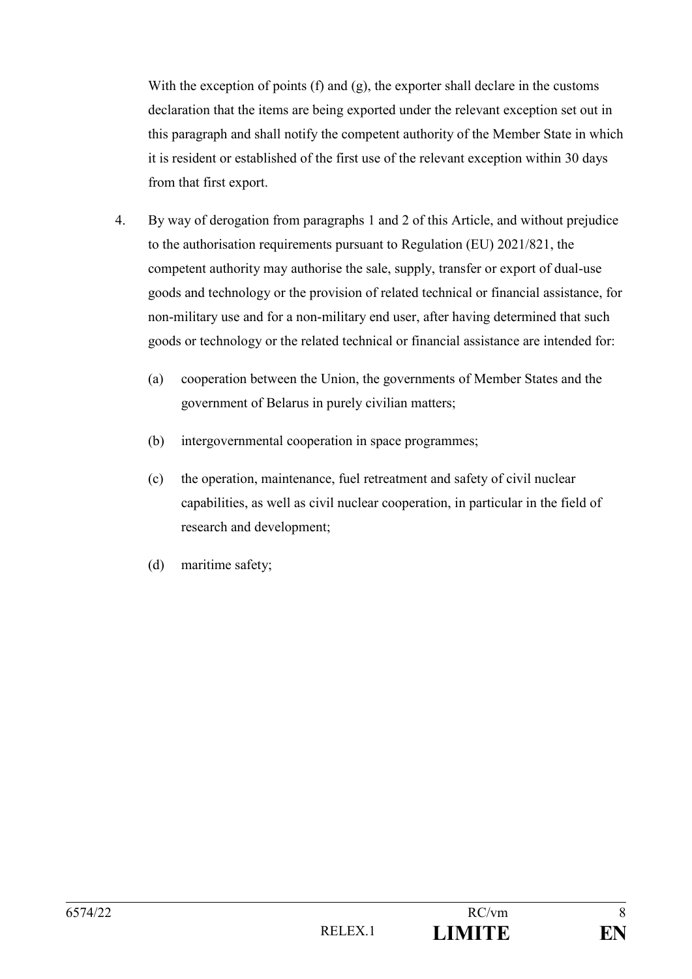With the exception of points (f) and (g), the exporter shall declare in the customs declaration that the items are being exported under the relevant exception set out in this paragraph and shall notify the competent authority of the Member State in which it is resident or established of the first use of the relevant exception within 30 days from that first export.

- 4. By way of derogation from paragraphs 1 and 2 of this Article, and without prejudice to the authorisation requirements pursuant to Regulation (EU) 2021/821, the competent authority may authorise the sale, supply, transfer or export of dual-use goods and technology or the provision of related technical or financial assistance, for non-military use and for a non-military end user, after having determined that such goods or technology or the related technical or financial assistance are intended for:
	- (a) cooperation between the Union, the governments of Member States and the government of Belarus in purely civilian matters;
	- (b) intergovernmental cooperation in space programmes;
	- (c) the operation, maintenance, fuel retreatment and safety of civil nuclear capabilities, as well as civil nuclear cooperation, in particular in the field of research and development;
	- (d) maritime safety;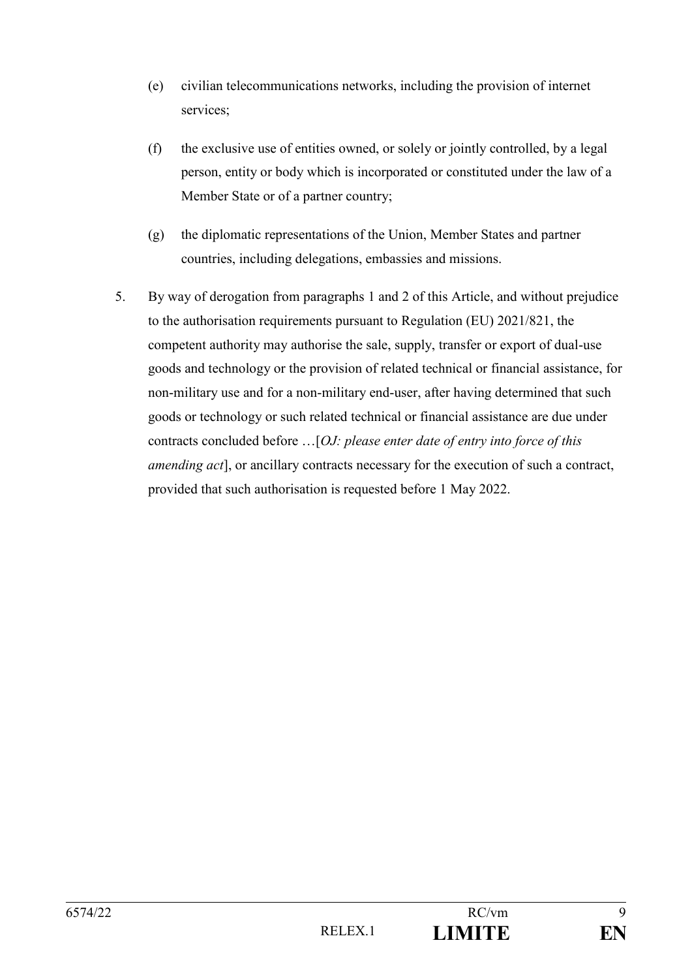- (e) civilian telecommunications networks, including the provision of internet services;
- (f) the exclusive use of entities owned, or solely or jointly controlled, by a legal person, entity or body which is incorporated or constituted under the law of a Member State or of a partner country;
- (g) the diplomatic representations of the Union, Member States and partner countries, including delegations, embassies and missions.
- 5. By way of derogation from paragraphs 1 and 2 of this Article, and without prejudice to the authorisation requirements pursuant to Regulation (EU) 2021/821, the competent authority may authorise the sale, supply, transfer or export of dual-use goods and technology or the provision of related technical or financial assistance, for non-military use and for a non-military end-user, after having determined that such goods or technology or such related technical or financial assistance are due under contracts concluded before …[*OJ: please enter date of entry into force of this amending act*], or ancillary contracts necessary for the execution of such a contract, provided that such authorisation is requested before 1 May 2022.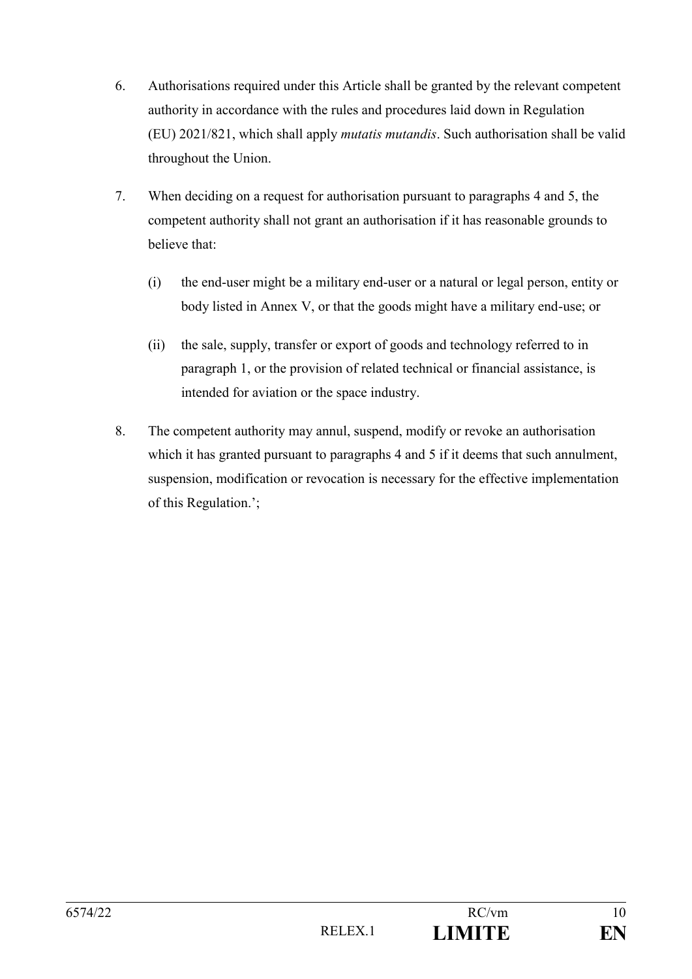- 6. Authorisations required under this Article shall be granted by the relevant competent authority in accordance with the rules and procedures laid down in Regulation (EU) 2021/821, which shall apply *mutatis mutandis*. Such authorisation shall be valid throughout the Union.
- 7. When deciding on a request for authorisation pursuant to paragraphs 4 and 5, the competent authority shall not grant an authorisation if it has reasonable grounds to believe that:
	- (i) the end-user might be a military end-user or a natural or legal person, entity or body listed in Annex V, or that the goods might have a military end-use; or
	- (ii) the sale, supply, transfer or export of goods and technology referred to in paragraph 1, or the provision of related technical or financial assistance, is intended for aviation or the space industry.
- 8. The competent authority may annul, suspend, modify or revoke an authorisation which it has granted pursuant to paragraphs 4 and 5 if it deems that such annulment, suspension, modification or revocation is necessary for the effective implementation of this Regulation.';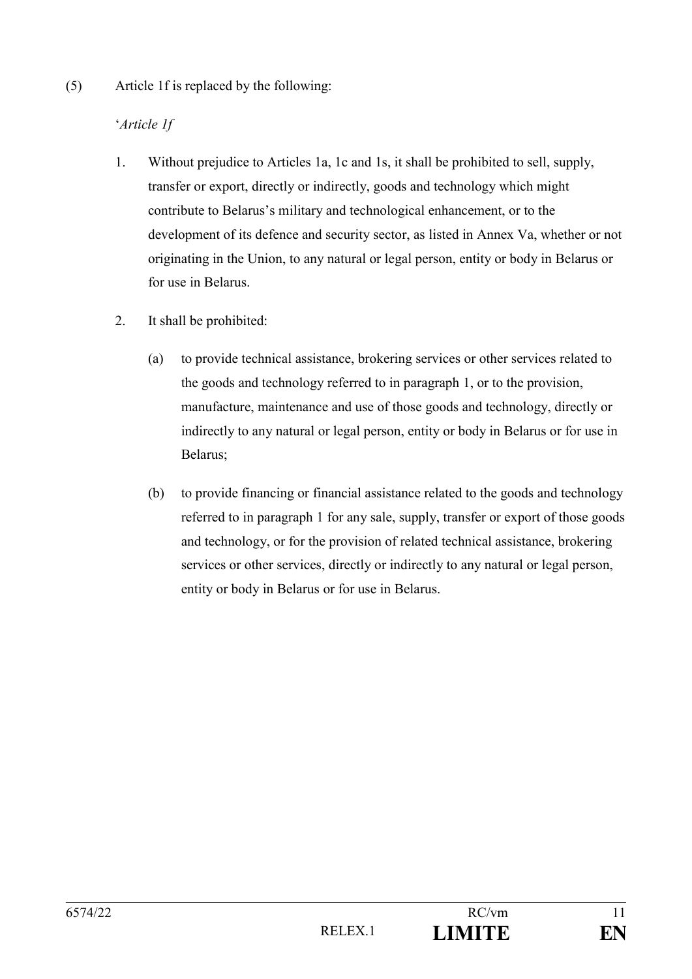(5) Article 1f is replaced by the following:

## '*Article 1f*

- 1. Without prejudice to Articles 1a, 1c and 1s, it shall be prohibited to sell, supply, transfer or export, directly or indirectly, goods and technology which might contribute to Belarus's military and technological enhancement, or to the development of its defence and security sector, as listed in Annex Va, whether or not originating in the Union, to any natural or legal person, entity or body in Belarus or for use in Belarus.
- 2. It shall be prohibited:
	- (a) to provide technical assistance, brokering services or other services related to the goods and technology referred to in paragraph 1, or to the provision, manufacture, maintenance and use of those goods and technology, directly or indirectly to any natural or legal person, entity or body in Belarus or for use in Belarus;
	- (b) to provide financing or financial assistance related to the goods and technology referred to in paragraph 1 for any sale, supply, transfer or export of those goods and technology, or for the provision of related technical assistance, brokering services or other services, directly or indirectly to any natural or legal person, entity or body in Belarus or for use in Belarus.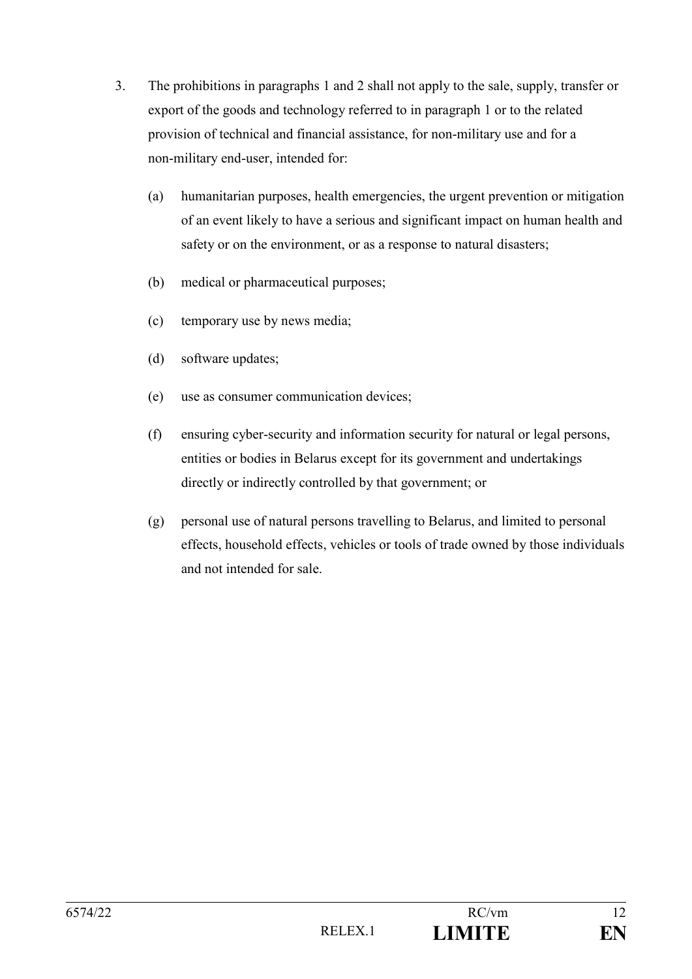- 3. The prohibitions in paragraphs 1 and 2 shall not apply to the sale, supply, transfer or export of the goods and technology referred to in paragraph 1 or to the related provision of technical and financial assistance, for non-military use and for a non-military end-user, intended for:
	- (a) humanitarian purposes, health emergencies, the urgent prevention or mitigation of an event likely to have a serious and significant impact on human health and safety or on the environment, or as a response to natural disasters;
	- (b) medical or pharmaceutical purposes;
	- (c) temporary use by news media;
	- (d) software updates;
	- (e) use as consumer communication devices;
	- (f) ensuring cyber-security and information security for natural or legal persons, entities or bodies in Belarus except for its government and undertakings directly or indirectly controlled by that government; or
	- (g) personal use of natural persons travelling to Belarus, and limited to personal effects, household effects, vehicles or tools of trade owned by those individuals and not intended for sale.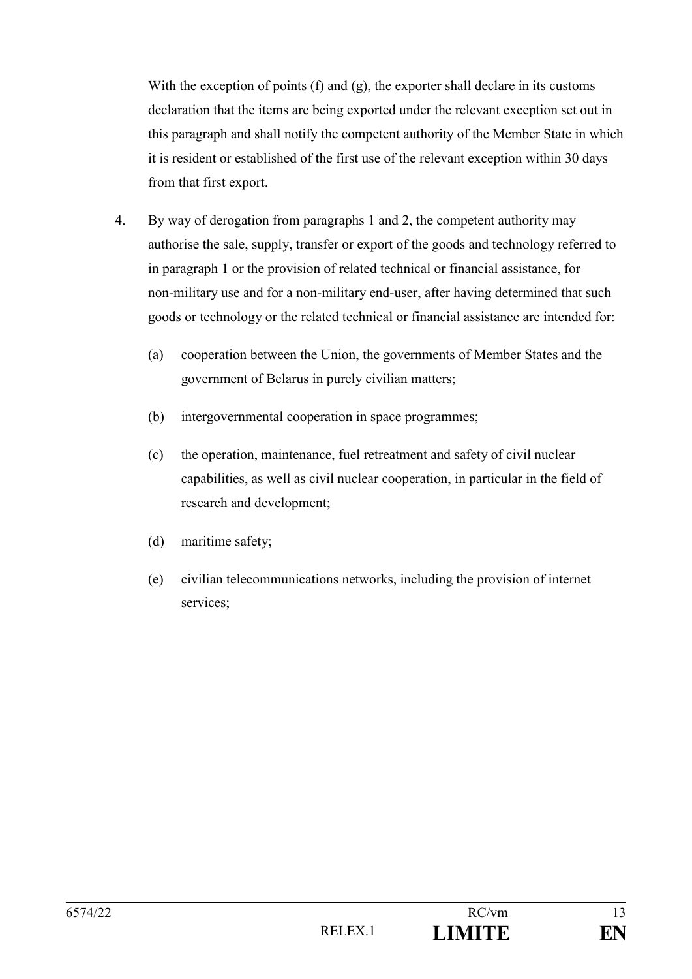With the exception of points (f) and (g), the exporter shall declare in its customs declaration that the items are being exported under the relevant exception set out in this paragraph and shall notify the competent authority of the Member State in which it is resident or established of the first use of the relevant exception within 30 days from that first export.

- 4. By way of derogation from paragraphs 1 and 2, the competent authority may authorise the sale, supply, transfer or export of the goods and technology referred to in paragraph 1 or the provision of related technical or financial assistance, for non-military use and for a non-military end-user, after having determined that such goods or technology or the related technical or financial assistance are intended for:
	- (a) cooperation between the Union, the governments of Member States and the government of Belarus in purely civilian matters;
	- (b) intergovernmental cooperation in space programmes;
	- (c) the operation, maintenance, fuel retreatment and safety of civil nuclear capabilities, as well as civil nuclear cooperation, in particular in the field of research and development;
	- (d) maritime safety;
	- (e) civilian telecommunications networks, including the provision of internet services;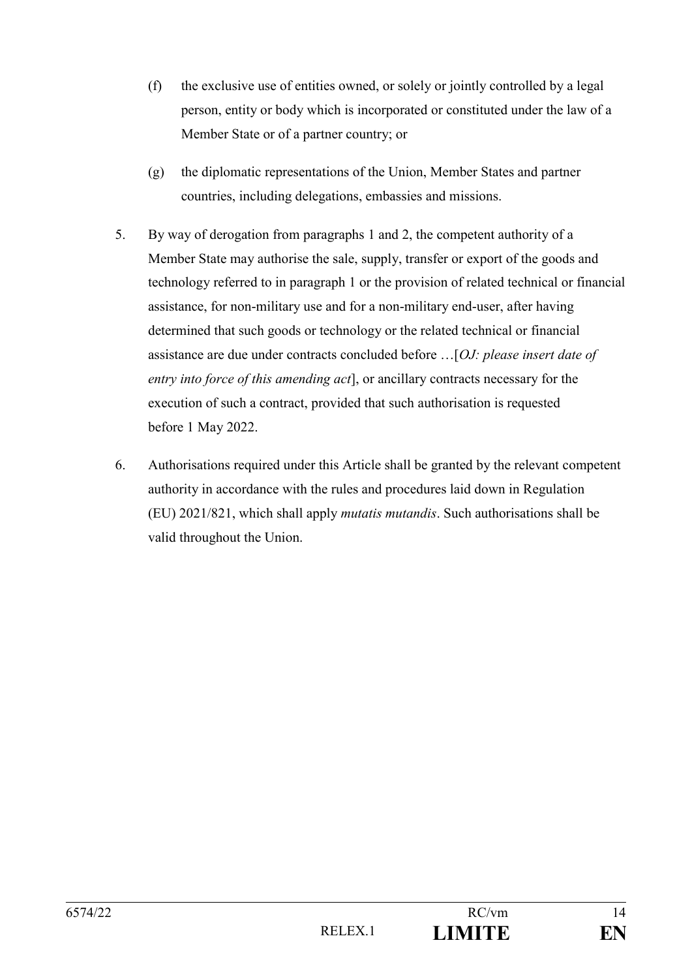- (f) the exclusive use of entities owned, or solely or jointly controlled by a legal person, entity or body which is incorporated or constituted under the law of a Member State or of a partner country; or
- (g) the diplomatic representations of the Union, Member States and partner countries, including delegations, embassies and missions.
- 5. By way of derogation from paragraphs 1 and 2, the competent authority of a Member State may authorise the sale, supply, transfer or export of the goods and technology referred to in paragraph 1 or the provision of related technical or financial assistance, for non-military use and for a non-military end-user, after having determined that such goods or technology or the related technical or financial assistance are due under contracts concluded before …[*OJ: please insert date of entry into force of this amending act*], or ancillary contracts necessary for the execution of such a contract, provided that such authorisation is requested before 1 May 2022.
- 6. Authorisations required under this Article shall be granted by the relevant competent authority in accordance with the rules and procedures laid down in Regulation (EU) 2021/821, which shall apply *mutatis mutandis*. Such authorisations shall be valid throughout the Union.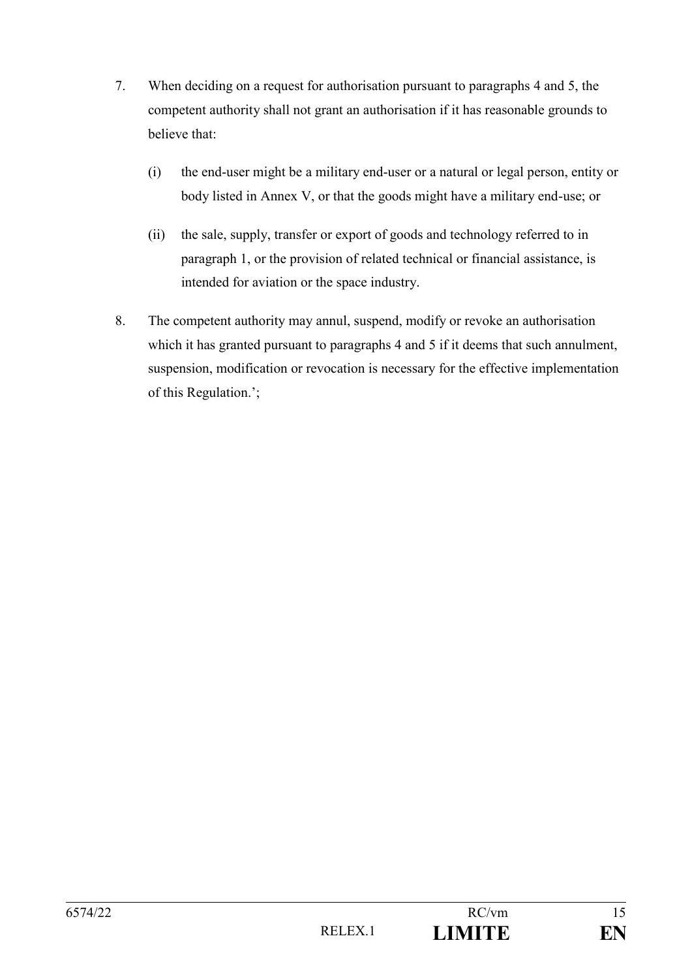- 7. When deciding on a request for authorisation pursuant to paragraphs 4 and 5, the competent authority shall not grant an authorisation if it has reasonable grounds to believe that:
	- (i) the end-user might be a military end-user or a natural or legal person, entity or body listed in Annex V, or that the goods might have a military end-use; or
	- (ii) the sale, supply, transfer or export of goods and technology referred to in paragraph 1, or the provision of related technical or financial assistance, is intended for aviation or the space industry.
- 8. The competent authority may annul, suspend, modify or revoke an authorisation which it has granted pursuant to paragraphs 4 and 5 if it deems that such annulment, suspension, modification or revocation is necessary for the effective implementation of this Regulation.';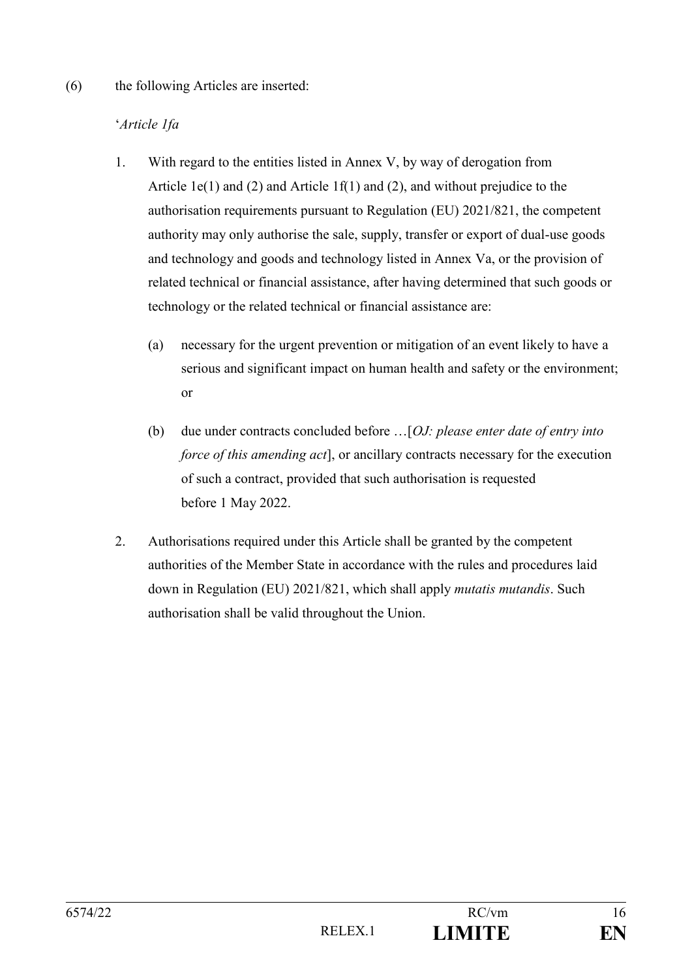#### (6) the following Articles are inserted:

### '*Article 1fa*

- 1. With regard to the entities listed in Annex V, by way of derogation from Article 1e(1) and (2) and Article 1f(1) and (2), and without prejudice to the authorisation requirements pursuant to Regulation (EU) 2021/821, the competent authority may only authorise the sale, supply, transfer or export of dual-use goods and technology and goods and technology listed in Annex Va, or the provision of related technical or financial assistance, after having determined that such goods or technology or the related technical or financial assistance are:
	- (a) necessary for the urgent prevention or mitigation of an event likely to have a serious and significant impact on human health and safety or the environment; or
	- (b) due under contracts concluded before …[*OJ: please enter date of entry into force of this amending act*], or ancillary contracts necessary for the execution of such a contract, provided that such authorisation is requested before 1 May 2022.
- 2. Authorisations required under this Article shall be granted by the competent authorities of the Member State in accordance with the rules and procedures laid down in Regulation (EU) 2021/821, which shall apply *mutatis mutandis*. Such authorisation shall be valid throughout the Union.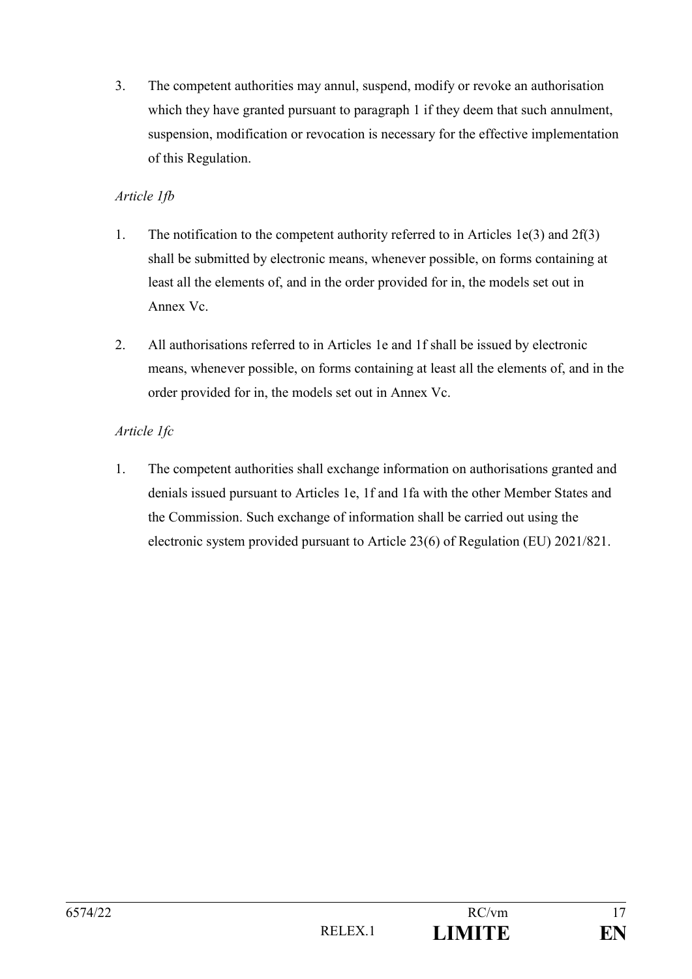3. The competent authorities may annul, suspend, modify or revoke an authorisation which they have granted pursuant to paragraph 1 if they deem that such annulment, suspension, modification or revocation is necessary for the effective implementation of this Regulation.

## *Article 1fb*

- 1. The notification to the competent authority referred to in Articles 1e(3) and 2f(3) shall be submitted by electronic means, whenever possible, on forms containing at least all the elements of, and in the order provided for in, the models set out in Annex Vc.
- 2. All authorisations referred to in Articles 1e and 1f shall be issued by electronic means, whenever possible, on forms containing at least all the elements of, and in the order provided for in, the models set out in Annex Vc.

## *Article 1fc*

1. The competent authorities shall exchange information on authorisations granted and denials issued pursuant to Articles 1e, 1f and 1fa with the other Member States and the Commission. Such exchange of information shall be carried out using the electronic system provided pursuant to Article 23(6) of Regulation (EU) 2021/821.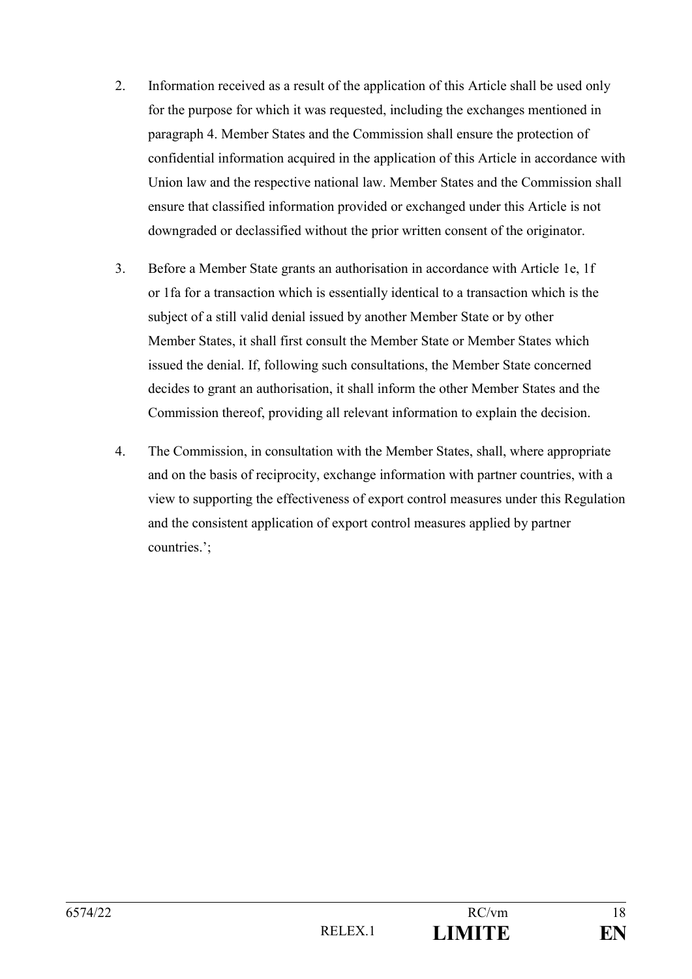- 2. Information received as a result of the application of this Article shall be used only for the purpose for which it was requested, including the exchanges mentioned in paragraph 4. Member States and the Commission shall ensure the protection of confidential information acquired in the application of this Article in accordance with Union law and the respective national law. Member States and the Commission shall ensure that classified information provided or exchanged under this Article is not downgraded or declassified without the prior written consent of the originator.
- 3. Before a Member State grants an authorisation in accordance with Article 1e, 1f or 1fa for a transaction which is essentially identical to a transaction which is the subject of a still valid denial issued by another Member State or by other Member States, it shall first consult the Member State or Member States which issued the denial. If, following such consultations, the Member State concerned decides to grant an authorisation, it shall inform the other Member States and the Commission thereof, providing all relevant information to explain the decision.
- 4. The Commission, in consultation with the Member States, shall, where appropriate and on the basis of reciprocity, exchange information with partner countries, with a view to supporting the effectiveness of export control measures under this Regulation and the consistent application of export control measures applied by partner countries.';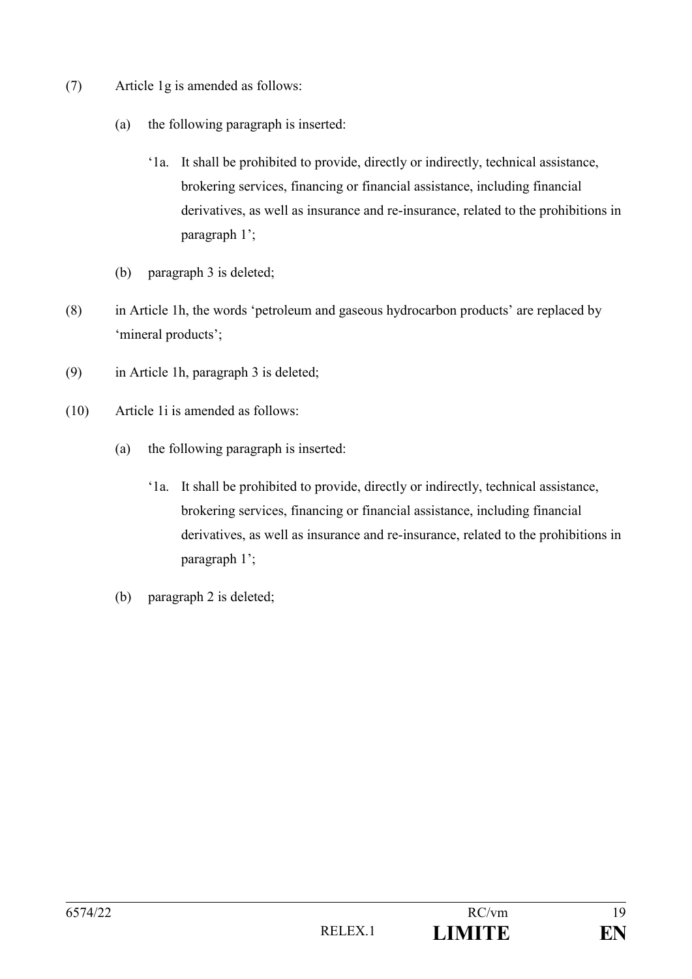- (7) Article 1g is amended as follows:
	- (a) the following paragraph is inserted:
		- '1a. It shall be prohibited to provide, directly or indirectly, technical assistance, brokering services, financing or financial assistance, including financial derivatives, as well as insurance and re-insurance, related to the prohibitions in paragraph 1';
	- (b) paragraph 3 is deleted;
- (8) in Article 1h, the words 'petroleum and gaseous hydrocarbon products' are replaced by 'mineral products';
- (9) in Article 1h, paragraph 3 is deleted;
- (10) Article 1i is amended as follows:
	- (a) the following paragraph is inserted:
		- '1a. It shall be prohibited to provide, directly or indirectly, technical assistance, brokering services, financing or financial assistance, including financial derivatives, as well as insurance and re-insurance, related to the prohibitions in paragraph 1';
	- (b) paragraph 2 is deleted;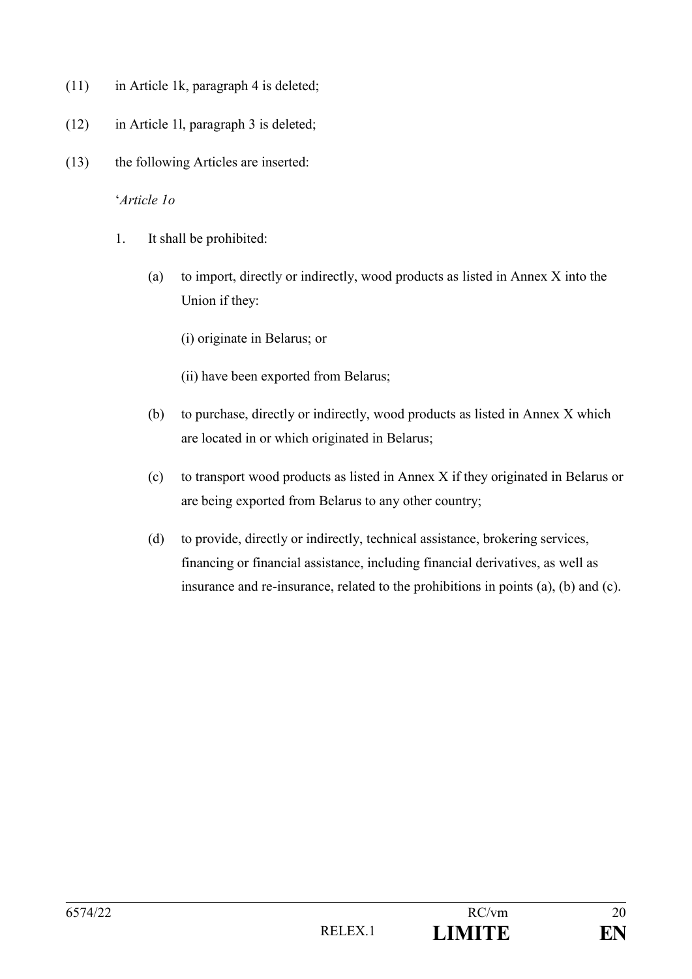- (11) in Article 1k, paragraph 4 is deleted;
- (12) in Article 1l, paragraph 3 is deleted;
- (13) the following Articles are inserted:

#### '*Article 1o*

- 1. It shall be prohibited:
	- (a) to import, directly or indirectly, wood products as listed in Annex X into the Union if they:
		- (i) originate in Belarus; or
		- (ii) have been exported from Belarus;
	- (b) to purchase, directly or indirectly, wood products as listed in Annex X which are located in or which originated in Belarus;
	- (c) to transport wood products as listed in Annex X if they originated in Belarus or are being exported from Belarus to any other country;
	- (d) to provide, directly or indirectly, technical assistance, brokering services, financing or financial assistance, including financial derivatives, as well as insurance and re-insurance, related to the prohibitions in points (a), (b) and (c).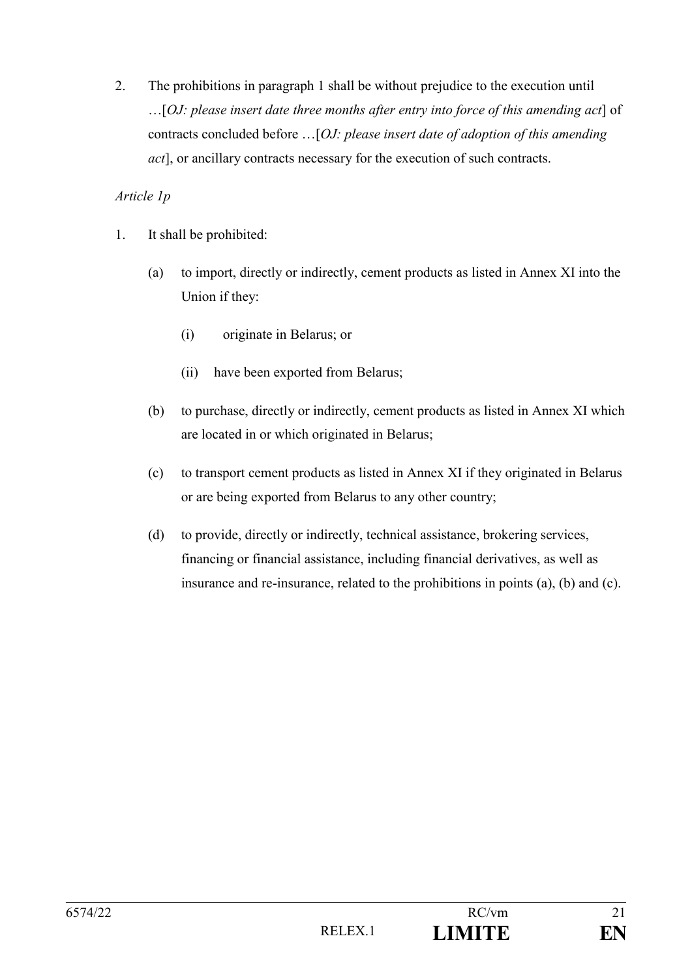## *Article 1p*

- 1. It shall be prohibited:
	- (a) to import, directly or indirectly, cement products as listed in Annex XI into the Union if they:
		- (i) originate in Belarus; or
		- (ii) have been exported from Belarus;
	- (b) to purchase, directly or indirectly, cement products as listed in Annex XI which are located in or which originated in Belarus;
	- (c) to transport cement products as listed in Annex XI if they originated in Belarus or are being exported from Belarus to any other country;
	- (d) to provide, directly or indirectly, technical assistance, brokering services, financing or financial assistance, including financial derivatives, as well as insurance and re-insurance, related to the prohibitions in points (a), (b) and (c).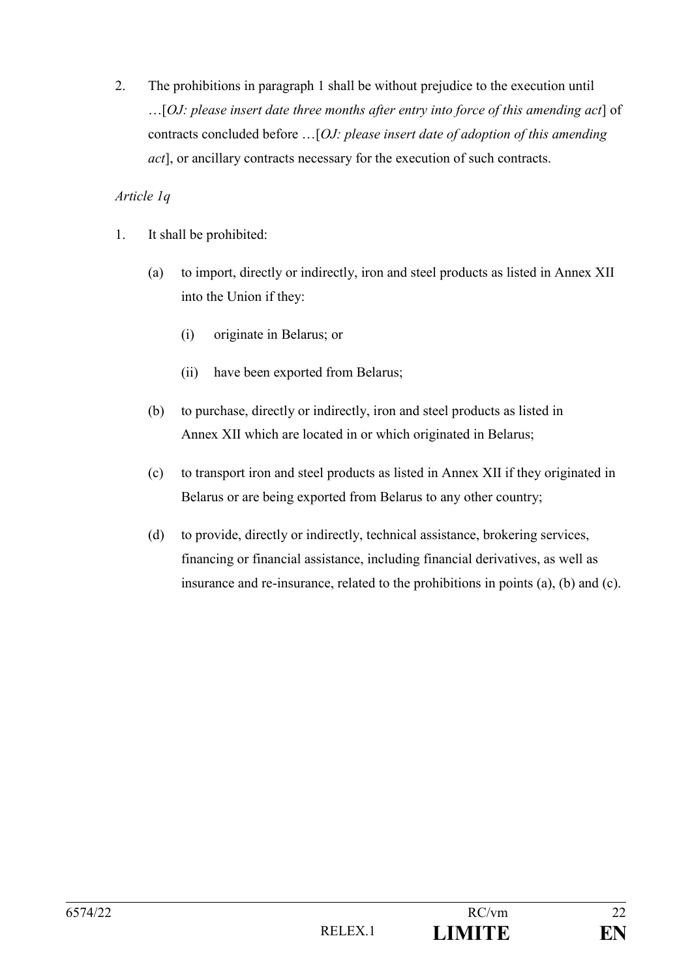## *Article 1q*

- 1. It shall be prohibited:
	- (a) to import, directly or indirectly, iron and steel products as listed in Annex XII into the Union if they:
		- (i) originate in Belarus; or
		- (ii) have been exported from Belarus;
	- (b) to purchase, directly or indirectly, iron and steel products as listed in Annex XII which are located in or which originated in Belarus;
	- (c) to transport iron and steel products as listed in Annex XII if they originated in Belarus or are being exported from Belarus to any other country;
	- (d) to provide, directly or indirectly, technical assistance, brokering services, financing or financial assistance, including financial derivatives, as well as insurance and re-insurance, related to the prohibitions in points (a), (b) and (c).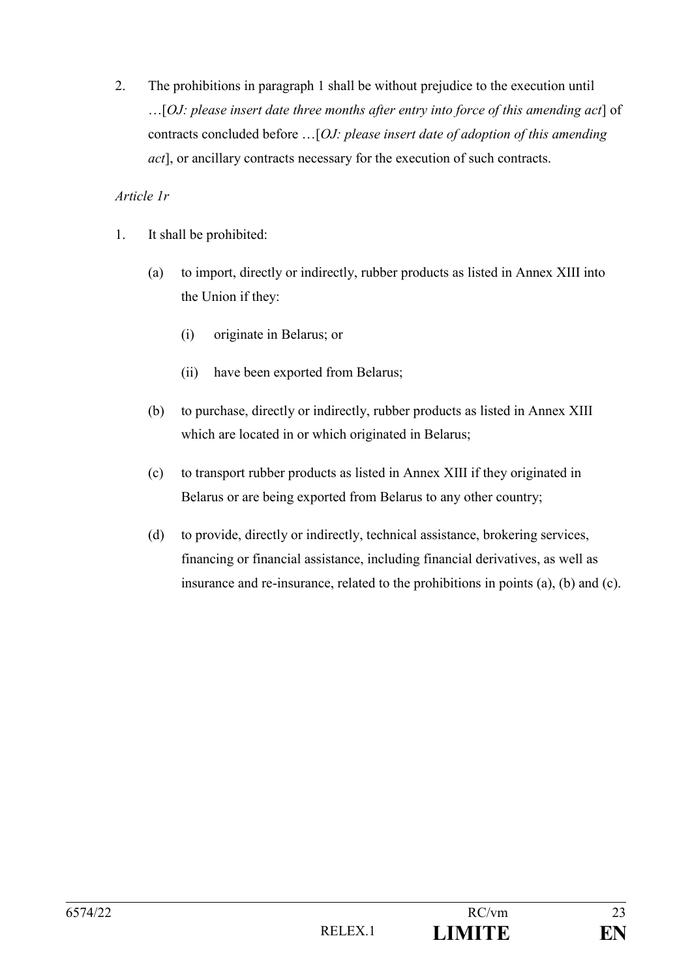### *Article 1r*

- 1. It shall be prohibited:
	- (a) to import, directly or indirectly, rubber products as listed in Annex XIII into the Union if they:
		- (i) originate in Belarus; or
		- (ii) have been exported from Belarus;
	- (b) to purchase, directly or indirectly, rubber products as listed in Annex XIII which are located in or which originated in Belarus;
	- (c) to transport rubber products as listed in Annex XIII if they originated in Belarus or are being exported from Belarus to any other country;
	- (d) to provide, directly or indirectly, technical assistance, brokering services, financing or financial assistance, including financial derivatives, as well as insurance and re-insurance, related to the prohibitions in points (a), (b) and (c).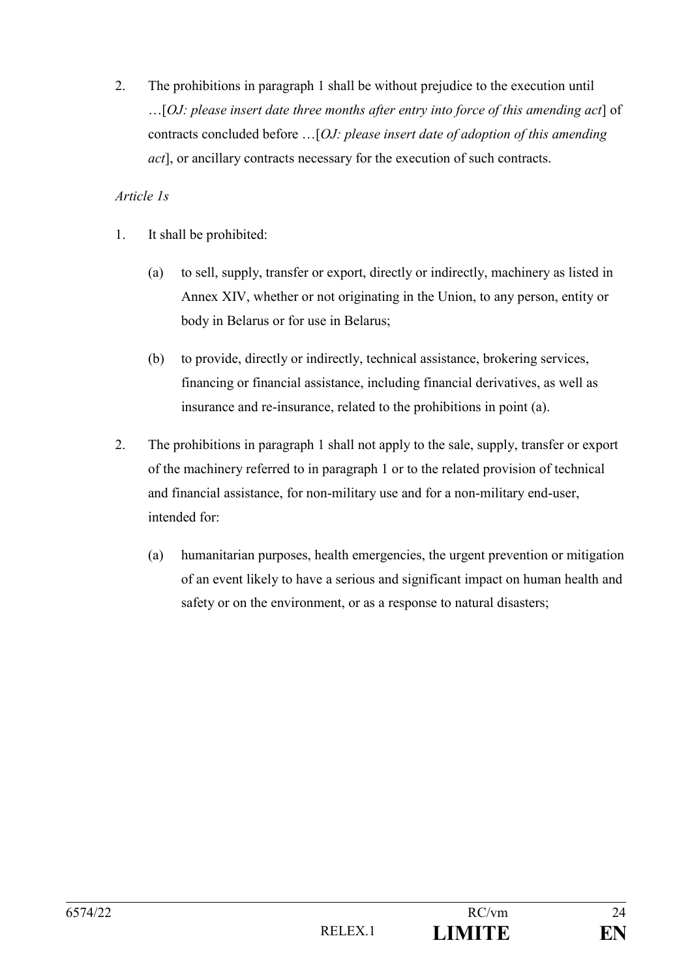## *Article 1s*

- 1. It shall be prohibited:
	- (a) to sell, supply, transfer or export, directly or indirectly, machinery as listed in Annex XIV, whether or not originating in the Union, to any person, entity or body in Belarus or for use in Belarus;
	- (b) to provide, directly or indirectly, technical assistance, brokering services, financing or financial assistance, including financial derivatives, as well as insurance and re-insurance, related to the prohibitions in point (a).
- 2. The prohibitions in paragraph 1 shall not apply to the sale, supply, transfer or export of the machinery referred to in paragraph 1 or to the related provision of technical and financial assistance, for non-military use and for a non-military end-user, intended for:
	- (a) humanitarian purposes, health emergencies, the urgent prevention or mitigation of an event likely to have a serious and significant impact on human health and safety or on the environment, or as a response to natural disasters;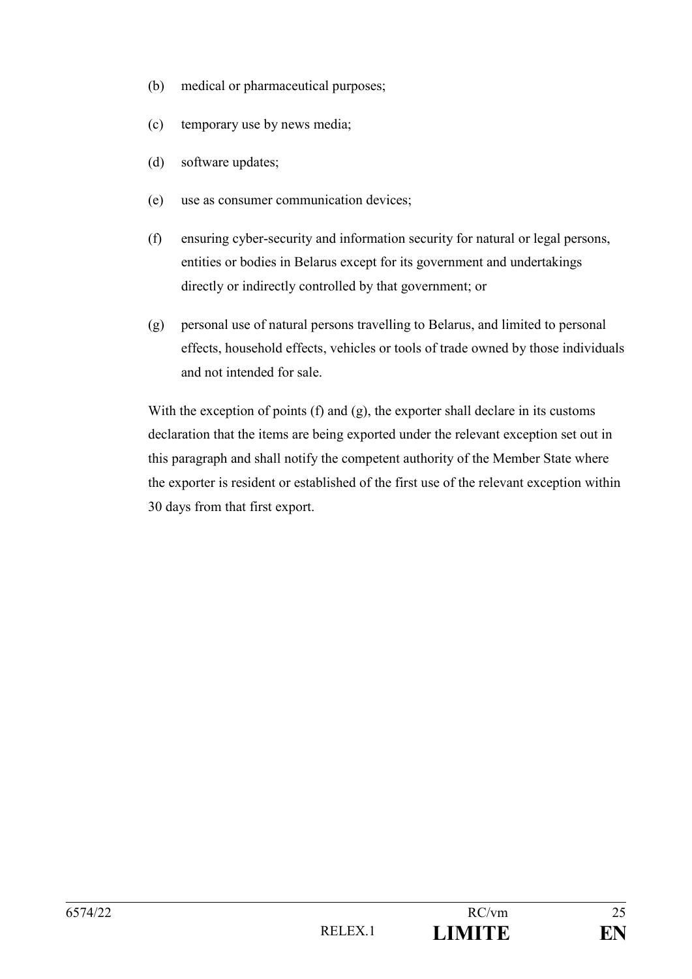- (b) medical or pharmaceutical purposes;
- (c) temporary use by news media;
- (d) software updates;
- (e) use as consumer communication devices;
- (f) ensuring cyber-security and information security for natural or legal persons, entities or bodies in Belarus except for its government and undertakings directly or indirectly controlled by that government; or
- (g) personal use of natural persons travelling to Belarus, and limited to personal effects, household effects, vehicles or tools of trade owned by those individuals and not intended for sale.

With the exception of points (f) and (g), the exporter shall declare in its customs declaration that the items are being exported under the relevant exception set out in this paragraph and shall notify the competent authority of the Member State where the exporter is resident or established of the first use of the relevant exception within 30 days from that first export.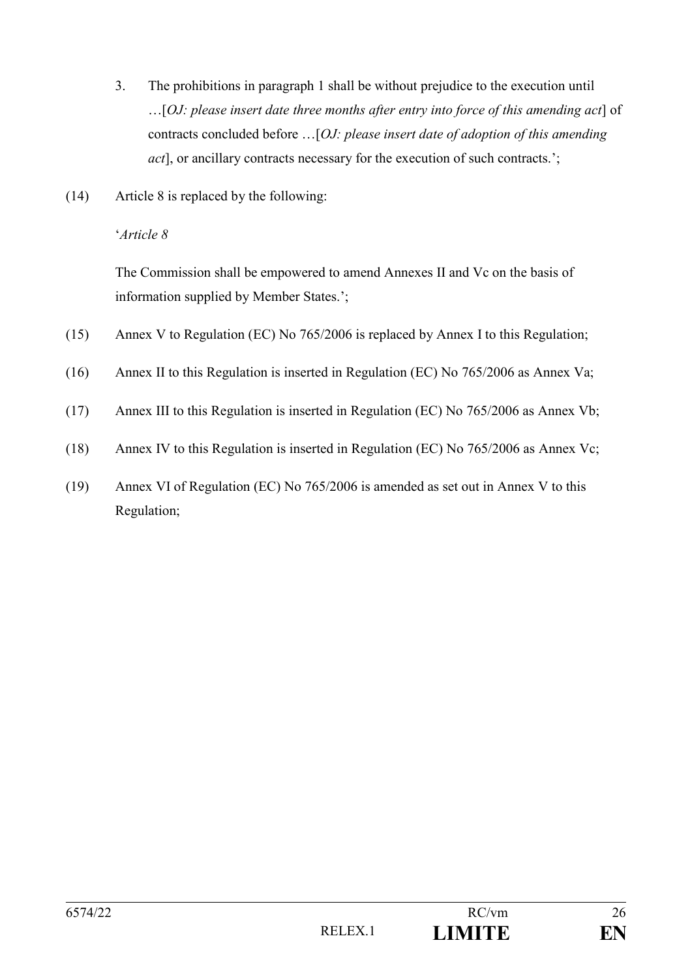- 3. The prohibitions in paragraph 1 shall be without prejudice to the execution until …[*OJ: please insert date three months after entry into force of this amending act*] of contracts concluded before …[*OJ: please insert date of adoption of this amending act*], or ancillary contracts necessary for the execution of such contracts.';
- (14) Article 8 is replaced by the following:

'*Article 8*

The Commission shall be empowered to amend Annexes II and Vc on the basis of information supplied by Member States.';

- (15) Annex V to Regulation (EC) No 765/2006 is replaced by Annex I to this Regulation;
- (16) Annex II to this Regulation is inserted in Regulation (EC) No 765/2006 as Annex Va;
- (17) Annex III to this Regulation is inserted in Regulation (EC) No 765/2006 as Annex Vb;
- (18) Annex IV to this Regulation is inserted in Regulation (EC) No 765/2006 as Annex Vc;
- (19) Annex VI of Regulation (EC) No 765/2006 is amended as set out in Annex V to this Regulation;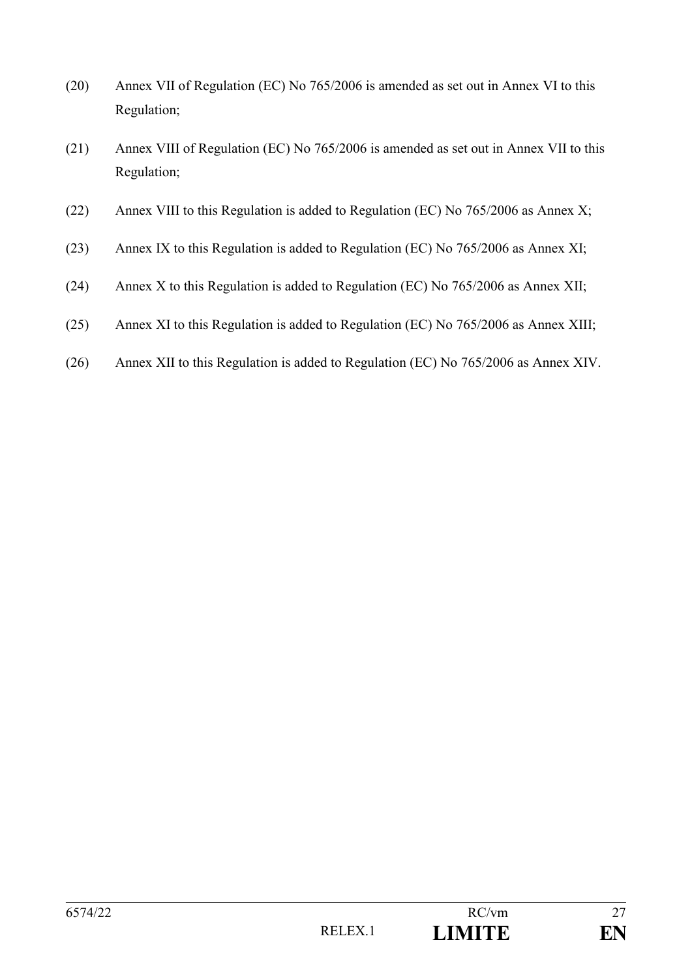- (20) Annex VII of Regulation (EC) No 765/2006 is amended as set out in Annex VI to this Regulation;
- (21) Annex VIII of Regulation (EC) No 765/2006 is amended as set out in Annex VII to this Regulation;
- (22) Annex VIII to this Regulation is added to Regulation (EC) No 765/2006 as Annex X;
- (23) Annex IX to this Regulation is added to Regulation (EC) No 765/2006 as Annex XI;
- (24) Annex X to this Regulation is added to Regulation (EC) No 765/2006 as Annex XII;
- (25) Annex XI to this Regulation is added to Regulation (EC) No 765/2006 as Annex XIII;
- (26) Annex XII to this Regulation is added to Regulation (EC) No 765/2006 as Annex XIV.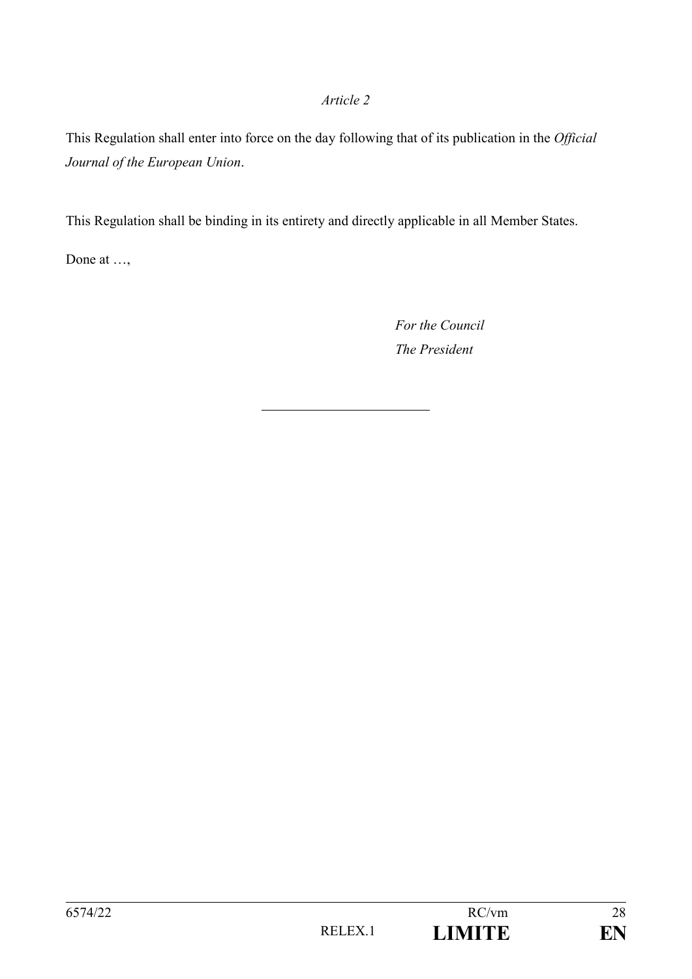#### *Article 2*

This Regulation shall enter into force on the day following that of its publication in the *Official Journal of the European Union*.

This Regulation shall be binding in its entirety and directly applicable in all Member States.

Done at …,

*For the Council The President*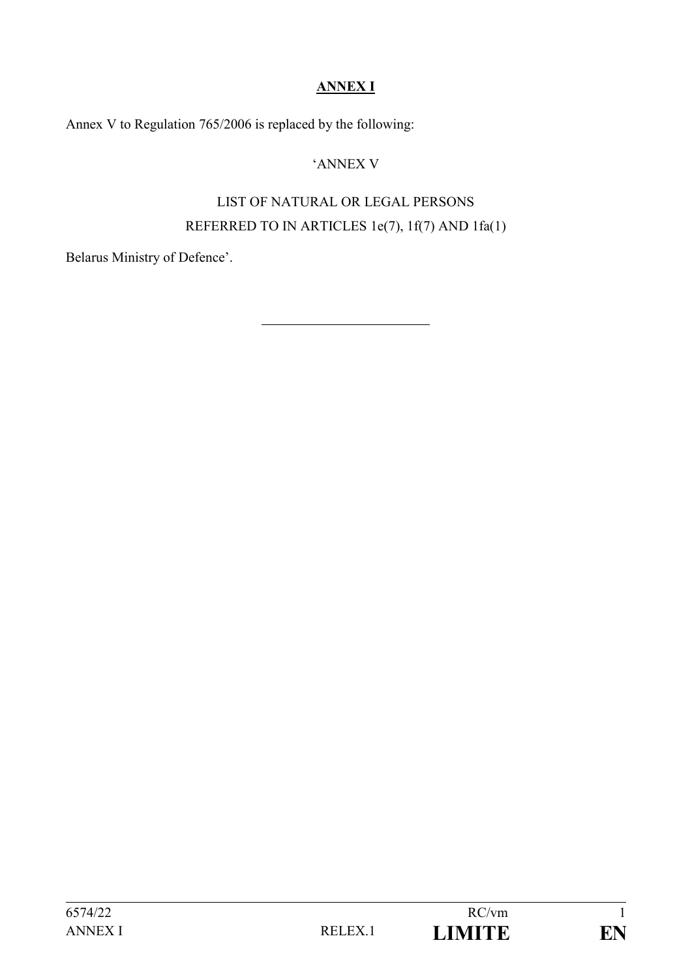## **ANNEX I**

Annex V to Regulation 765/2006 is replaced by the following:

## 'ANNEX V

# LIST OF NATURAL OR LEGAL PERSONS REFERRED TO IN ARTICLES 1e(7), 1f(7) AND 1fa(1)

Belarus Ministry of Defence'.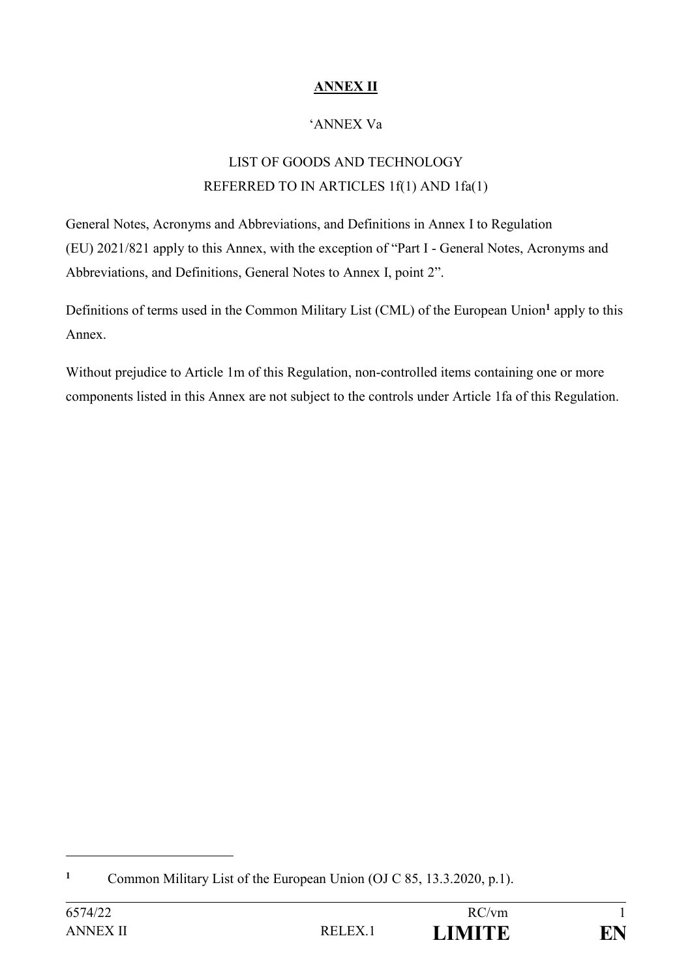## **ANNEX II**

## 'ANNEX Va

# LIST OF GOODS AND TECHNOLOGY REFERRED TO IN ARTICLES 1f(1) AND 1fa(1)

General Notes, Acronyms and Abbreviations, and Definitions in Annex I to Regulation (EU) 2021/821 apply to this Annex, with the exception of "Part I - General Notes, Acronyms and Abbreviations, and Definitions, General Notes to Annex I, point 2".

Definitions of terms used in the Common Military List (CML) of the European Union**<sup>1</sup>** apply to this Annex.

Without prejudice to Article 1m of this Regulation, non-controlled items containing one or more components listed in this Annex are not subject to the controls under Article 1fa of this Regulation.

1

**<sup>1</sup>** Common Military List of the European Union (OJ C 85, 13.3.2020, p.1).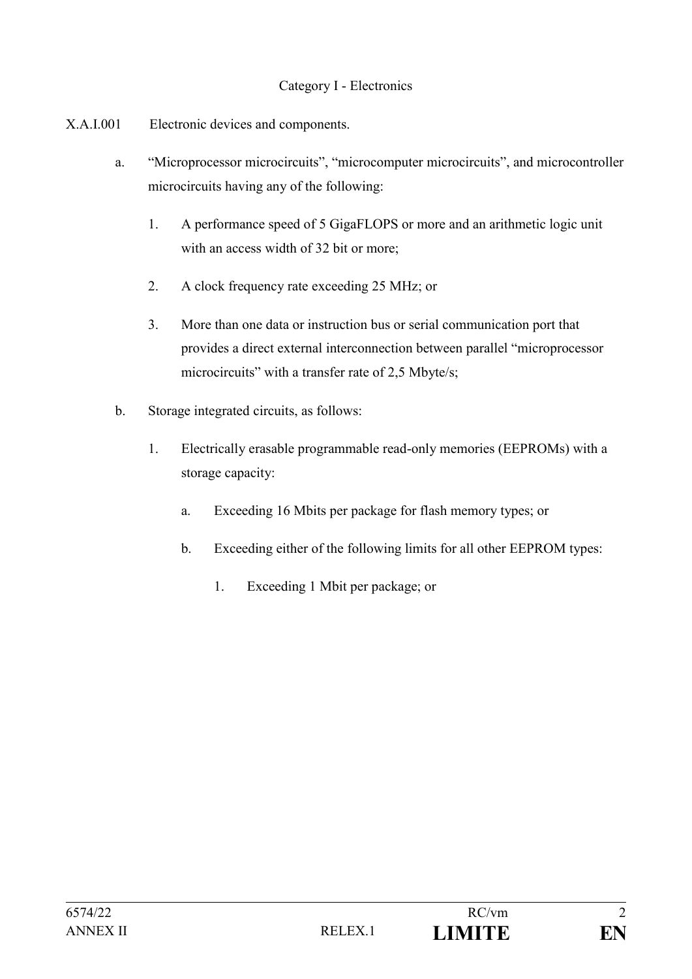#### Category I - Electronics

- X.A.I.001 Electronic devices and components.
	- a. "Microprocessor microcircuits", "microcomputer microcircuits", and microcontroller microcircuits having any of the following:
		- 1. A performance speed of 5 GigaFLOPS or more and an arithmetic logic unit with an access width of 32 bit or more;
		- 2. A clock frequency rate exceeding 25 MHz; or
		- 3. More than one data or instruction bus or serial communication port that provides a direct external interconnection between parallel "microprocessor microcircuits" with a transfer rate of 2,5 Mbyte/s;
	- b. Storage integrated circuits, as follows:
		- 1. Electrically erasable programmable read-only memories (EEPROMs) with a storage capacity:
			- a. Exceeding 16 Mbits per package for flash memory types; or
			- b. Exceeding either of the following limits for all other EEPROM types:
				- 1. Exceeding 1 Mbit per package; or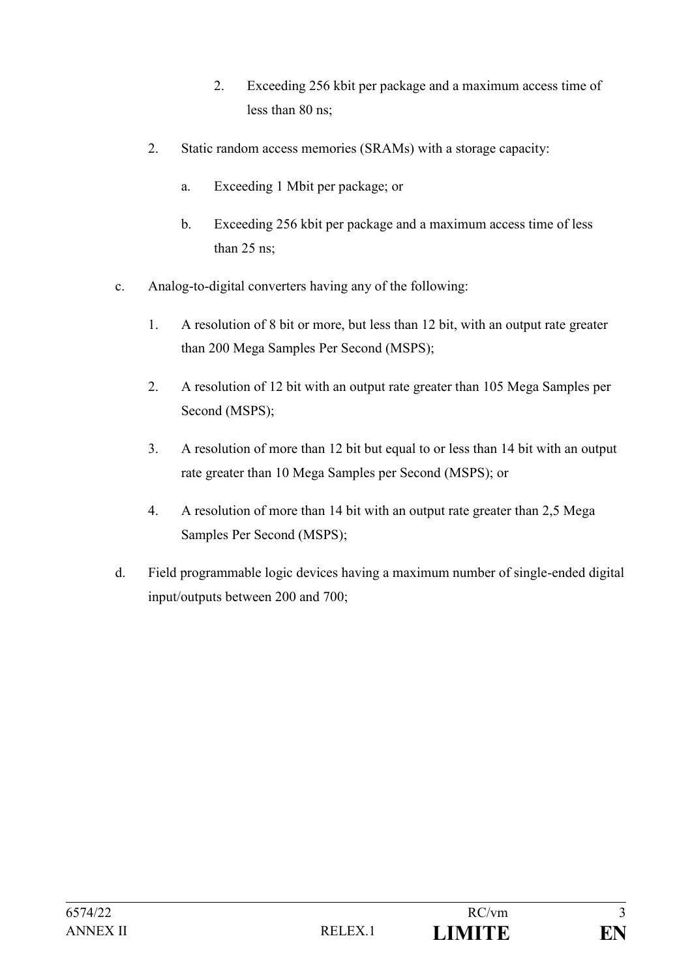- 2. Exceeding 256 kbit per package and a maximum access time of less than 80 ns;
- 2. Static random access memories (SRAMs) with a storage capacity:
	- a. Exceeding 1 Mbit per package; or
	- b. Exceeding 256 kbit per package and a maximum access time of less than 25 ns;
- c. Analog-to-digital converters having any of the following:
	- 1. A resolution of 8 bit or more, but less than 12 bit, with an output rate greater than 200 Mega Samples Per Second (MSPS);
	- 2. A resolution of 12 bit with an output rate greater than 105 Mega Samples per Second (MSPS);
	- 3. A resolution of more than 12 bit but equal to or less than 14 bit with an output rate greater than 10 Mega Samples per Second (MSPS); or
	- 4. A resolution of more than 14 bit with an output rate greater than 2,5 Mega Samples Per Second (MSPS);
- d. Field programmable logic devices having a maximum number of single-ended digital input/outputs between 200 and 700;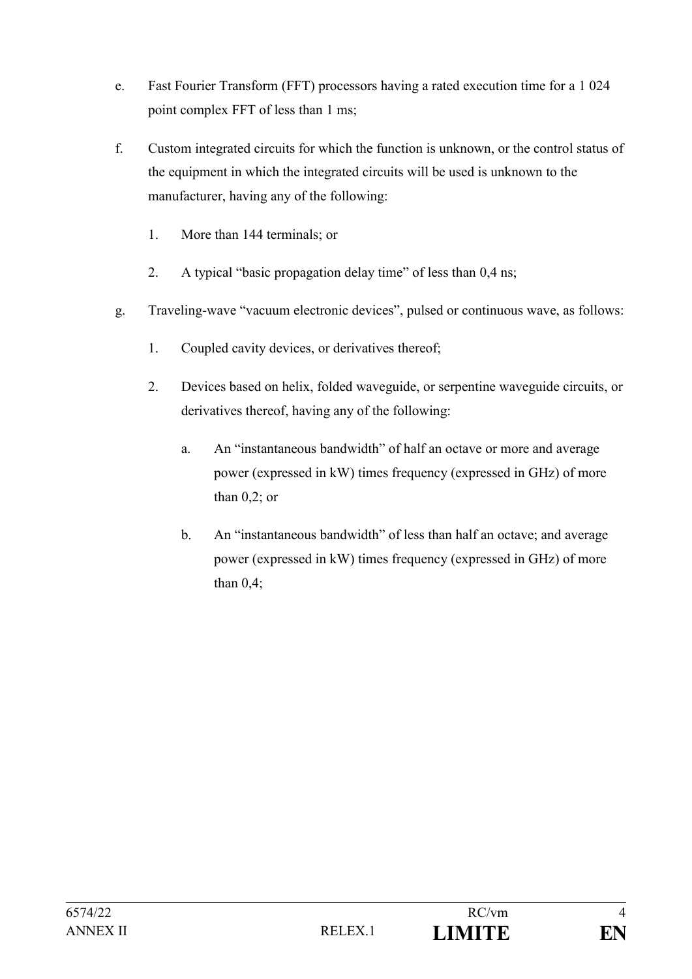- e. Fast Fourier Transform (FFT) processors having a rated execution time for a 1 024 point complex FFT of less than 1 ms;
- f. Custom integrated circuits for which the function is unknown, or the control status of the equipment in which the integrated circuits will be used is unknown to the manufacturer, having any of the following:
	- 1. More than 144 terminals; or
	- 2. A typical "basic propagation delay time" of less than 0,4 ns;
- g. Traveling-wave "vacuum electronic devices", pulsed or continuous wave, as follows:
	- 1. Coupled cavity devices, or derivatives thereof;
	- 2. Devices based on helix, folded waveguide, or serpentine waveguide circuits, or derivatives thereof, having any of the following:
		- a. An "instantaneous bandwidth" of half an octave or more and average power (expressed in kW) times frequency (expressed in GHz) of more than  $0,2$ ; or
		- b. An "instantaneous bandwidth" of less than half an octave; and average power (expressed in kW) times frequency (expressed in GHz) of more than 0,4;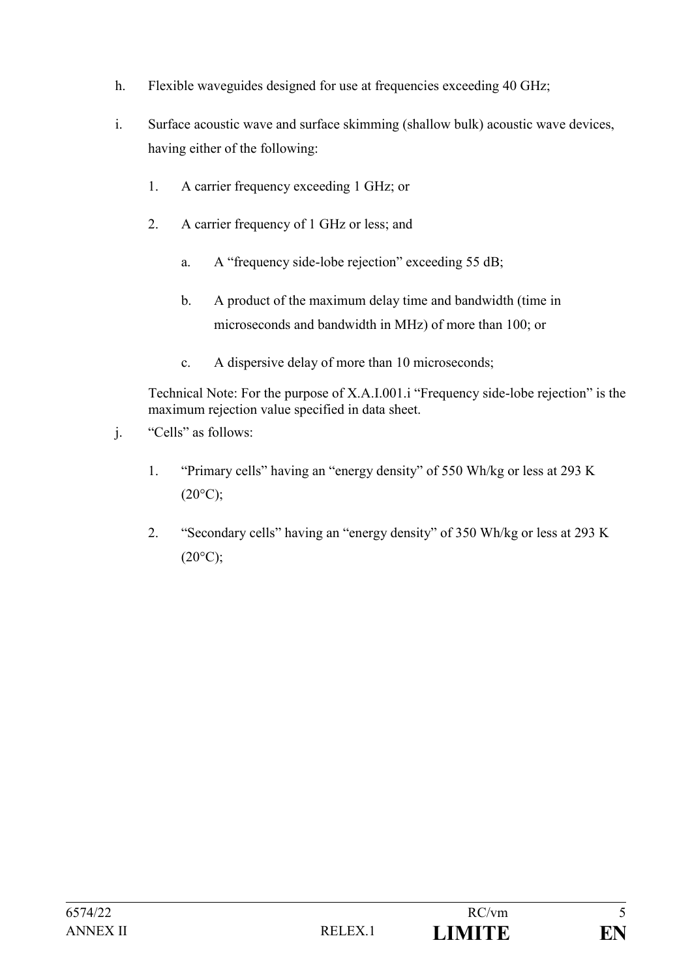- h. Flexible waveguides designed for use at frequencies exceeding 40 GHz;
- i. Surface acoustic wave and surface skimming (shallow bulk) acoustic wave devices, having either of the following:
	- 1. A carrier frequency exceeding 1 GHz; or
	- 2. A carrier frequency of 1 GHz or less; and
		- a. A "frequency side-lobe rejection" exceeding 55 dB;
		- b. A product of the maximum delay time and bandwidth (time in microseconds and bandwidth in MHz) of more than 100; or
		- c. A dispersive delay of more than 10 microseconds;

Technical Note: For the purpose of X.A.I.001.i "Frequency side-lobe rejection" is the maximum rejection value specified in data sheet.

- j. "Cells" as follows:
	- 1. "Primary cells" having an "energy density" of 550 Wh/kg or less at 293 K  $(20^{\circ}C);$
	- 2. "Secondary cells" having an "energy density" of 350 Wh/kg or less at 293 K  $(20^{\circ}C);$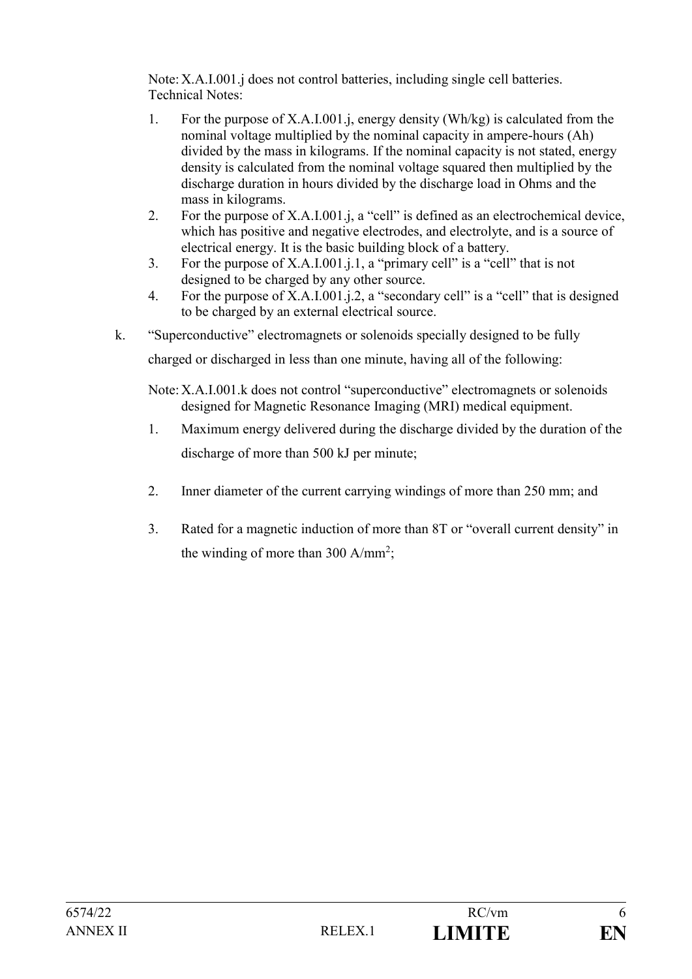Note:X.A.I.001.j does not control batteries, including single cell batteries. Technical Notes:

- 1. For the purpose of X.A.I.001.j, energy density (Wh/kg) is calculated from the nominal voltage multiplied by the nominal capacity in ampere-hours (Ah) divided by the mass in kilograms. If the nominal capacity is not stated, energy density is calculated from the nominal voltage squared then multiplied by the discharge duration in hours divided by the discharge load in Ohms and the mass in kilograms.
- 2. For the purpose of X.A.I.001.j, a "cell" is defined as an electrochemical device, which has positive and negative electrodes, and electrolyte, and is a source of electrical energy. It is the basic building block of a battery.
- 3. For the purpose of X.A.I.001.j.1, a "primary cell" is a "cell" that is not designed to be charged by any other source.
- 4. For the purpose of X.A.I.001.j.2, a "secondary cell" is a "cell" that is designed to be charged by an external electrical source.
- k. "Superconductive" electromagnets or solenoids specially designed to be fully

charged or discharged in less than one minute, having all of the following:

- Note:X.A.I.001.k does not control "superconductive" electromagnets or solenoids designed for Magnetic Resonance Imaging (MRI) medical equipment.
- 1. Maximum energy delivered during the discharge divided by the duration of the discharge of more than 500 kJ per minute;
- 2. Inner diameter of the current carrying windings of more than 250 mm; and
- 3. Rated for a magnetic induction of more than 8T or "overall current density" in the winding of more than 300  $A/mm^2$ ;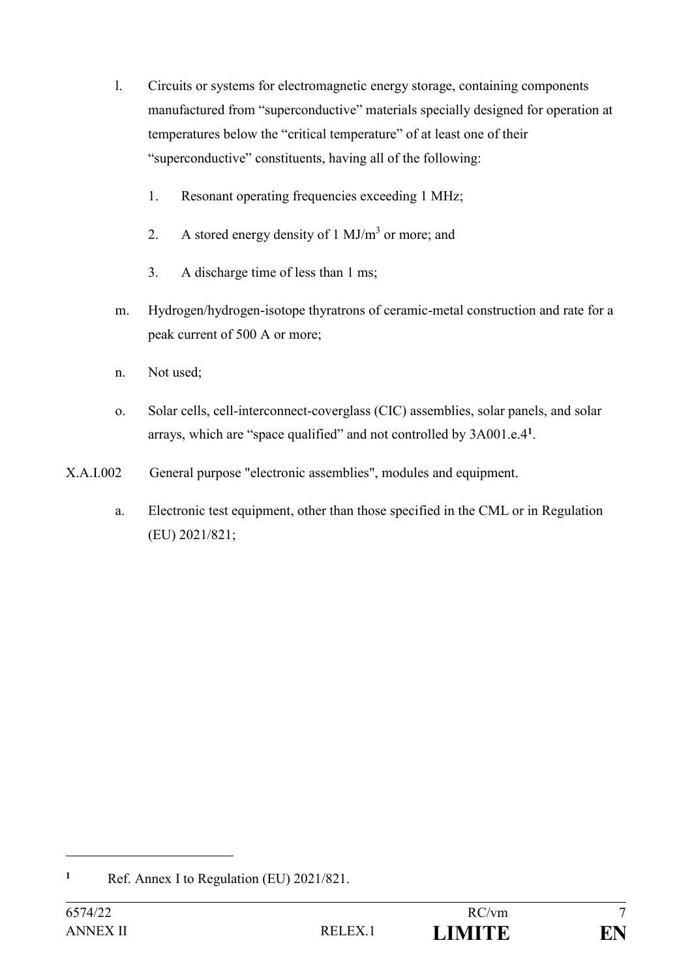- l. Circuits or systems for electromagnetic energy storage, containing components manufactured from "superconductive" materials specially designed for operation at temperatures below the "critical temperature" of at least one of their "superconductive" constituents, having all of the following:
	- 1. Resonant operating frequencies exceeding 1 MHz;
	- 2. A stored energy density of  $1 \text{ MJ/m}^3$  or more; and
	- 3. A discharge time of less than 1 ms;
- m. Hydrogen/hydrogen-isotope thyratrons of ceramic-metal construction and rate for a peak current of 500 A or more;
- n. Not used;
- o. Solar cells, cell-interconnect-coverglass (CIC) assemblies, solar panels, and solar arrays, which are "space qualified" and not controlled by 3A001.e.4**<sup>1</sup>** .
- X.A.I.002 General purpose "electronic assemblies", modules and equipment.
	- a. Electronic test equipment, other than those specified in the CML or in Regulation (EU) 2021/821;

**<sup>1</sup>** Ref. Annex I to Regulation (EU) 2021/821.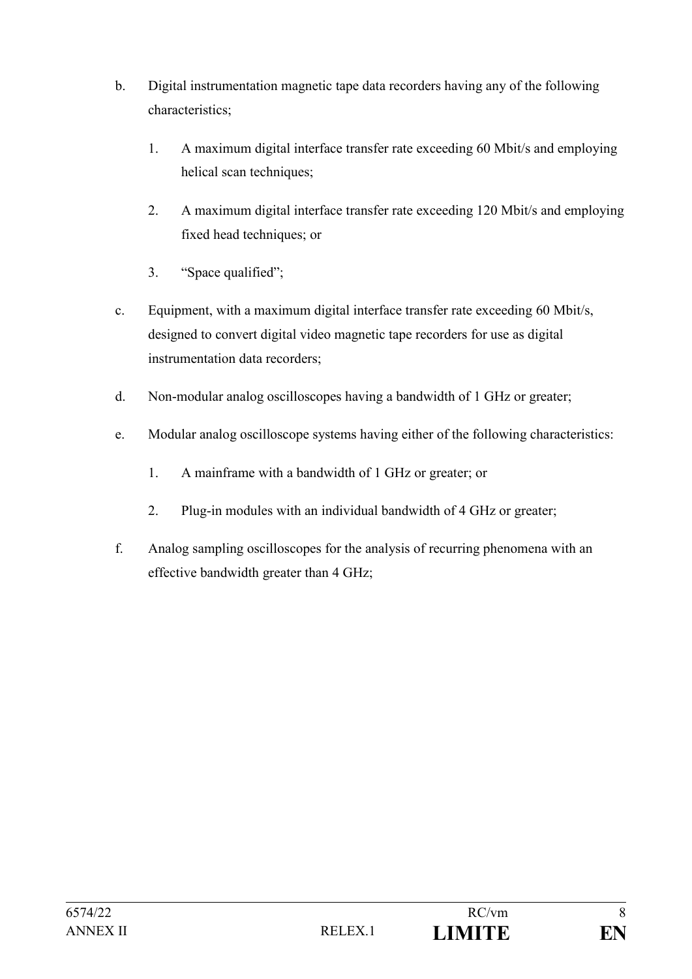- b. Digital instrumentation magnetic tape data recorders having any of the following characteristics;
	- 1. A maximum digital interface transfer rate exceeding 60 Mbit/s and employing helical scan techniques;
	- 2. A maximum digital interface transfer rate exceeding 120 Mbit/s and employing fixed head techniques; or
	- 3. "Space qualified";
- c. Equipment, with a maximum digital interface transfer rate exceeding 60 Mbit/s, designed to convert digital video magnetic tape recorders for use as digital instrumentation data recorders;
- d. Non-modular analog oscilloscopes having a bandwidth of 1 GHz or greater;
- e. Modular analog oscilloscope systems having either of the following characteristics:
	- 1. A mainframe with a bandwidth of 1 GHz or greater; or
	- 2. Plug-in modules with an individual bandwidth of 4 GHz or greater;
- f. Analog sampling oscilloscopes for the analysis of recurring phenomena with an effective bandwidth greater than 4 GHz;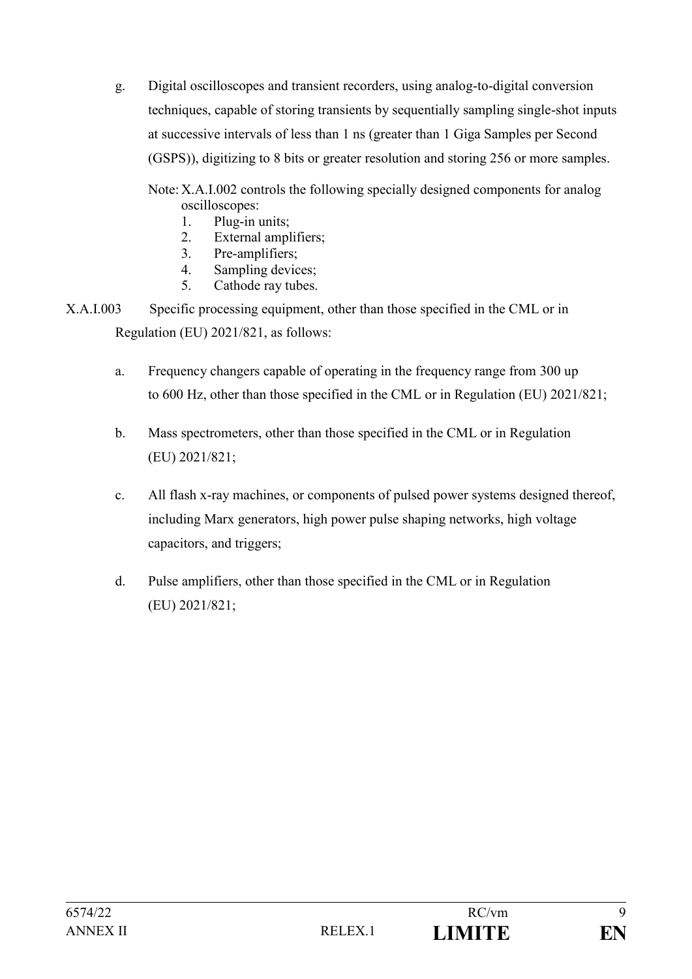g. Digital oscilloscopes and transient recorders, using analog-to-digital conversion techniques, capable of storing transients by sequentially sampling single-shot inputs at successive intervals of less than 1 ns (greater than 1 Giga Samples per Second (GSPS)), digitizing to 8 bits or greater resolution and storing 256 or more samples.

Note: X.A.I.002 controls the following specially designed components for analog oscilloscopes:

- 1. Plug-in units;
- 2. External amplifiers;
- 3. Pre-amplifiers;
- 4. Sampling devices;
- 5. Cathode ray tubes.
- X.A.I.003 Specific processing equipment, other than those specified in the CML or in Regulation (EU) 2021/821, as follows:
	- a. Frequency changers capable of operating in the frequency range from 300 up to 600 Hz, other than those specified in the CML or in Regulation (EU) 2021/821;
	- b. Mass spectrometers, other than those specified in the CML or in Regulation (EU) 2021/821;
	- c. All flash x-ray machines, or components of pulsed power systems designed thereof, including Marx generators, high power pulse shaping networks, high voltage capacitors, and triggers;
	- d. Pulse amplifiers, other than those specified in the CML or in Regulation (EU) 2021/821;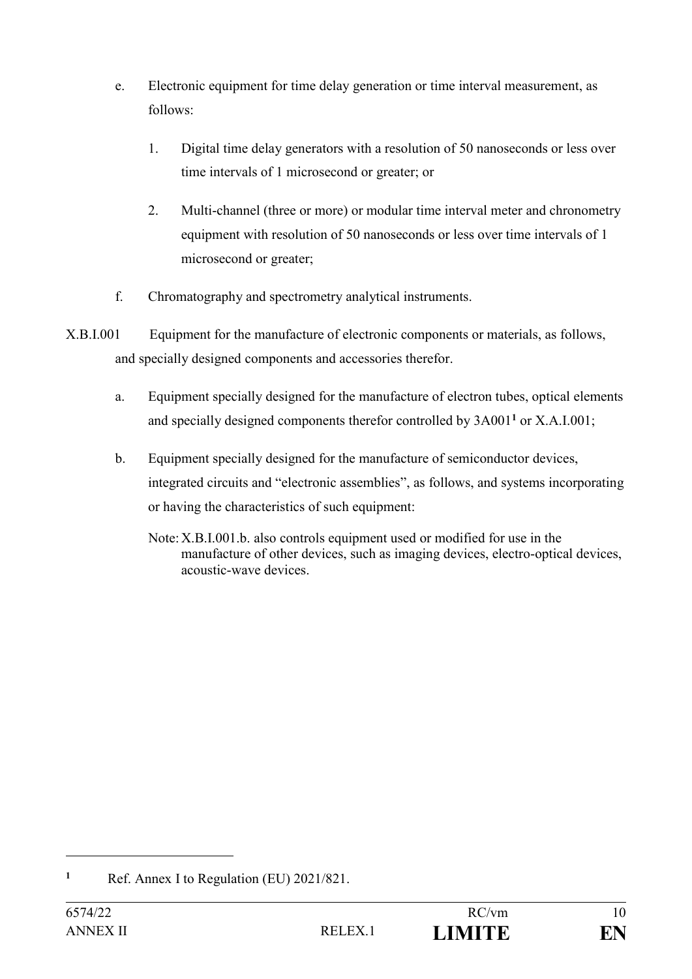- e. Electronic equipment for time delay generation or time interval measurement, as follows:
	- 1. Digital time delay generators with a resolution of 50 nanoseconds or less over time intervals of 1 microsecond or greater; or
	- 2. Multi-channel (three or more) or modular time interval meter and chronometry equipment with resolution of 50 nanoseconds or less over time intervals of 1 microsecond or greater;
- f. Chromatography and spectrometry analytical instruments.
- X.B.I.001 Equipment for the manufacture of electronic components or materials, as follows, and specially designed components and accessories therefor.
	- a. Equipment specially designed for the manufacture of electron tubes, optical elements and specially designed components therefor controlled by 3A001**<sup>1</sup>** or X.A.I.001;
	- b. Equipment specially designed for the manufacture of semiconductor devices, integrated circuits and "electronic assemblies", as follows, and systems incorporating or having the characteristics of such equipment:
		- Note:X.B.I.001.b. also controls equipment used or modified for use in the manufacture of other devices, such as imaging devices, electro-optical devices, acoustic-wave devices.

**<sup>1</sup>** Ref. Annex I to Regulation (EU) 2021/821.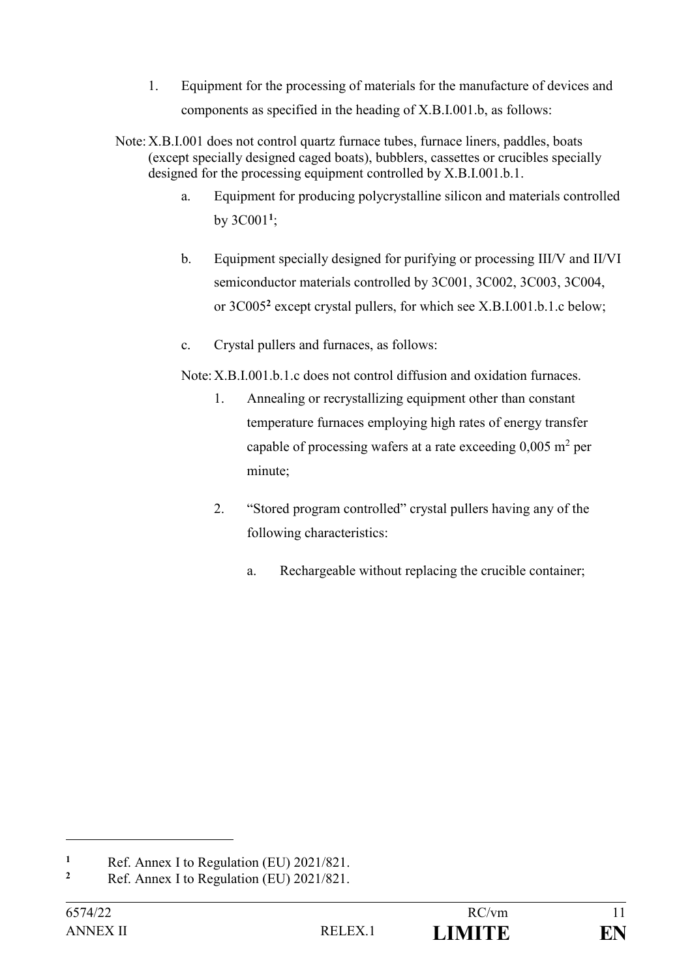- 1. Equipment for the processing of materials for the manufacture of devices and components as specified in the heading of X.B.I.001.b, as follows:
- Note:X.B.I.001 does not control quartz furnace tubes, furnace liners, paddles, boats (except specially designed caged boats), bubblers, cassettes or crucibles specially designed for the processing equipment controlled by X.B.I.001.b.1.
	- a. Equipment for producing polycrystalline silicon and materials controlled by 3C001**<sup>1</sup>** ;
	- b. Equipment specially designed for purifying or processing III/V and II/VI semiconductor materials controlled by 3C001, 3C002, 3C003, 3C004, or 3C005**<sup>2</sup>** except crystal pullers, for which see X.B.I.001.b.1.c below;
	- c. Crystal pullers and furnaces, as follows:

Note:X.B.I.001.b.1.c does not control diffusion and oxidation furnaces.

- 1. Annealing or recrystallizing equipment other than constant temperature furnaces employing high rates of energy transfer capable of processing wafers at a rate exceeding  $0,005$  m<sup>2</sup> per minute;
- 2. "Stored program controlled" crystal pullers having any of the following characteristics:
	- a. Rechargeable without replacing the crucible container;

**<sup>1</sup>** Ref. Annex I to Regulation (EU)  $2021/821$ .

**<sup>2</sup>** Ref. Annex I to Regulation (EU) 2021/821.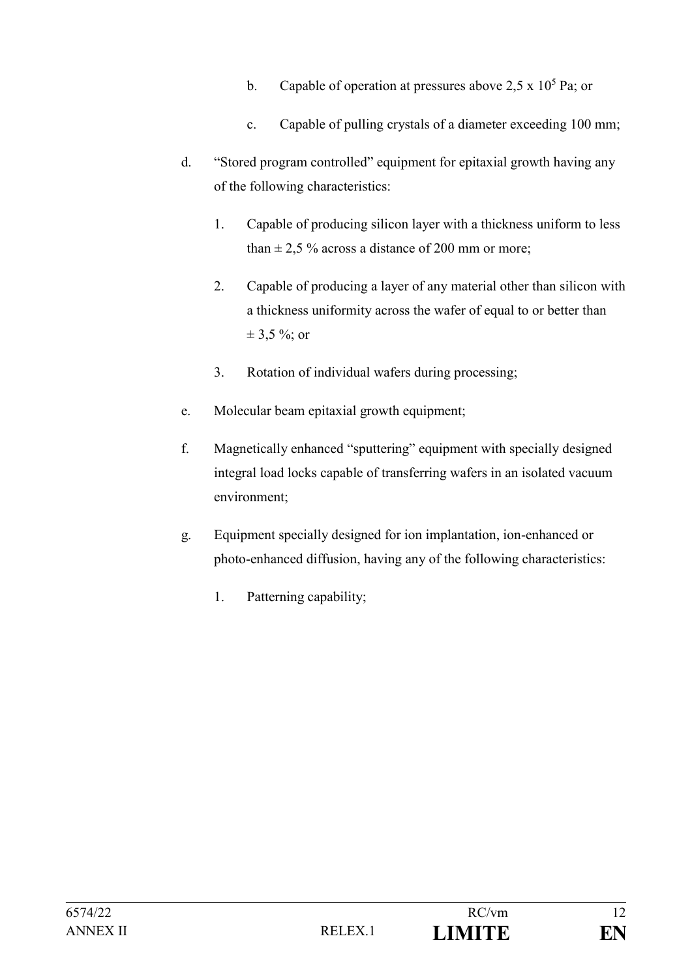- b. Capable of operation at pressures above 2,5 x  $10^5$  Pa; or
- c. Capable of pulling crystals of a diameter exceeding 100 mm;
- d. "Stored program controlled" equipment for epitaxial growth having any of the following characteristics:
	- 1. Capable of producing silicon layer with a thickness uniform to less than  $\pm$  2.5 % across a distance of 200 mm or more;
	- 2. Capable of producing a layer of any material other than silicon with a thickness uniformity across the wafer of equal to or better than  $\pm$  3,5 %; or
	- 3. Rotation of individual wafers during processing;
- e. Molecular beam epitaxial growth equipment;
- f. Magnetically enhanced "sputtering" equipment with specially designed integral load locks capable of transferring wafers in an isolated vacuum environment;
- g. Equipment specially designed for ion implantation, ion-enhanced or photo-enhanced diffusion, having any of the following characteristics:
	- 1. Patterning capability;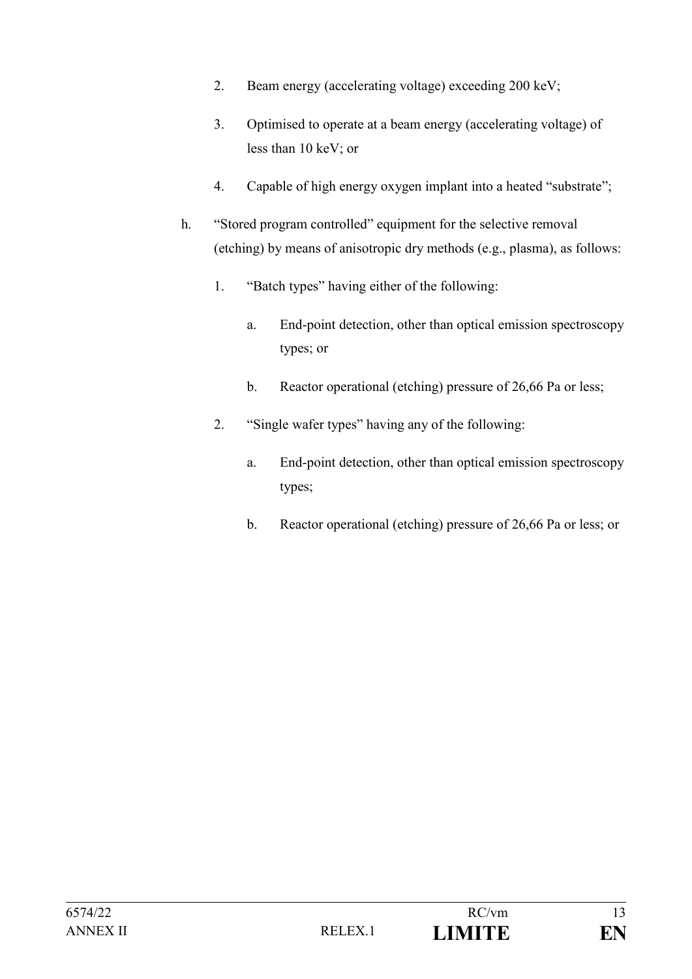- 2. Beam energy (accelerating voltage) exceeding 200 keV;
- 3. Optimised to operate at a beam energy (accelerating voltage) of less than 10 keV; or
- 4. Capable of high energy oxygen implant into a heated "substrate";
- h. "Stored program controlled" equipment for the selective removal (etching) by means of anisotropic dry methods (e.g., plasma), as follows:
	- 1. "Batch types" having either of the following:
		- a. End-point detection, other than optical emission spectroscopy types; or
		- b. Reactor operational (etching) pressure of 26,66 Pa or less;
	- 2. "Single wafer types" having any of the following:
		- a. End-point detection, other than optical emission spectroscopy types;
		- b. Reactor operational (etching) pressure of 26,66 Pa or less; or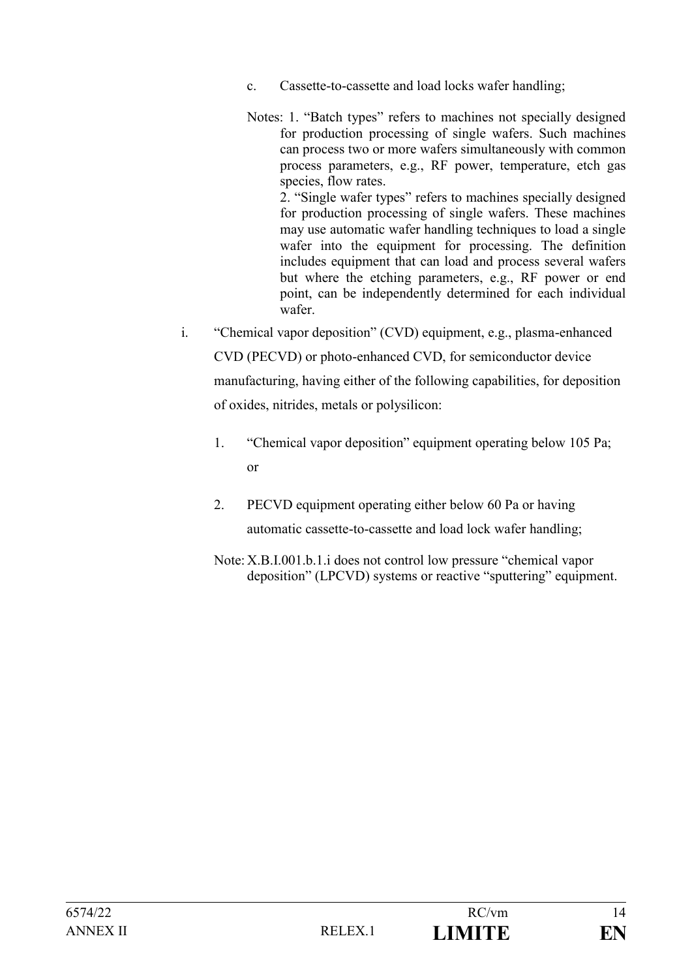- c. Cassette-to-cassette and load locks wafer handling;
- Notes: 1. "Batch types" refers to machines not specially designed for production processing of single wafers. Such machines can process two or more wafers simultaneously with common process parameters, e.g., RF power, temperature, etch gas species, flow rates. 2. "Single wafer types" refers to machines specially designed for production processing of single wafers. These machines may use automatic wafer handling techniques to load a single wafer into the equipment for processing. The definition includes equipment that can load and process several wafers but where the etching parameters, e.g., RF power or end point, can be independently determined for each individual wafer.
- i. "Chemical vapor deposition" (CVD) equipment, e.g., plasma-enhanced CVD (PECVD) or photo-enhanced CVD, for semiconductor device manufacturing, having either of the following capabilities, for deposition of oxides, nitrides, metals or polysilicon:
	- 1. "Chemical vapor deposition" equipment operating below 105 Pa; or
	- 2. PECVD equipment operating either below 60 Pa or having automatic cassette-to-cassette and load lock wafer handling;
	- Note: X.B.I.001.b.1.i does not control low pressure "chemical vapor deposition" (LPCVD) systems or reactive "sputtering" equipment.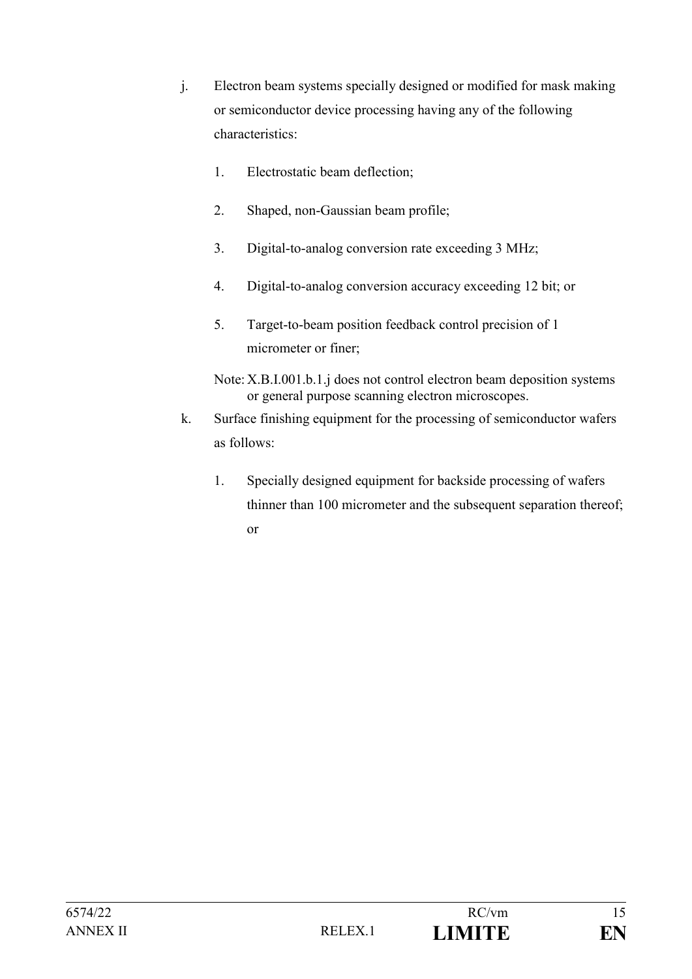- j. Electron beam systems specially designed or modified for mask making or semiconductor device processing having any of the following characteristics:
	- 1. Electrostatic beam deflection;
	- 2. Shaped, non-Gaussian beam profile;
	- 3. Digital-to-analog conversion rate exceeding 3 MHz;
	- 4. Digital-to-analog conversion accuracy exceeding 12 bit; or
	- 5. Target-to-beam position feedback control precision of 1 micrometer or finer;
	- Note: X.B.I.001.b.1.j does not control electron beam deposition systems or general purpose scanning electron microscopes.
- k. Surface finishing equipment for the processing of semiconductor wafers as follows:
	- 1. Specially designed equipment for backside processing of wafers thinner than 100 micrometer and the subsequent separation thereof; or

| 6574/22  |        | RC/vm         |  |
|----------|--------|---------------|--|
| ANNEX II | RELEX. | <b>LIMITE</b> |  |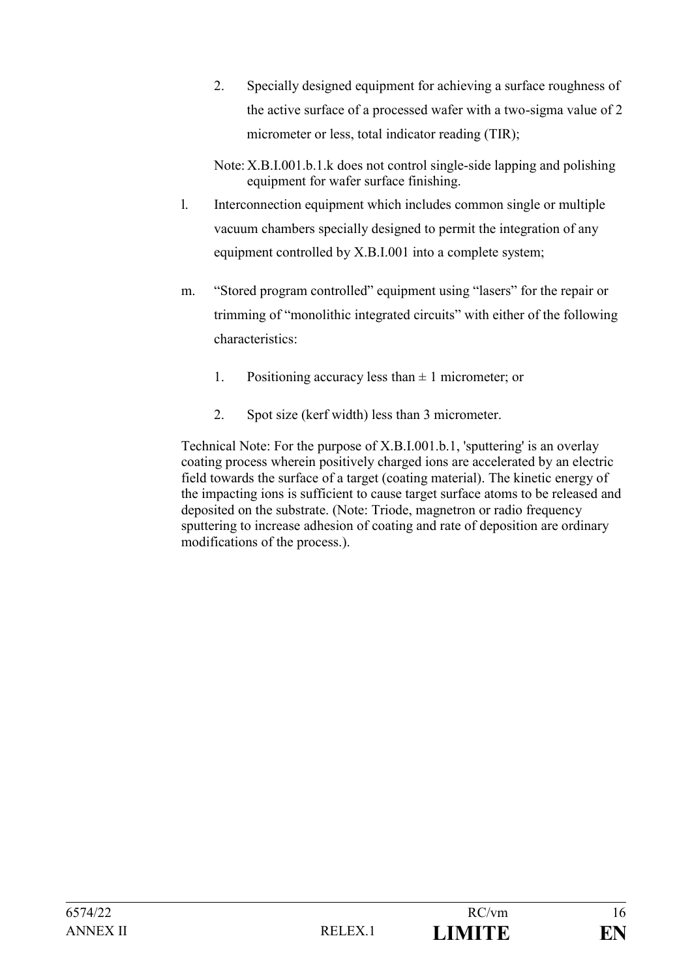- 2. Specially designed equipment for achieving a surface roughness of the active surface of a processed wafer with a two-sigma value of 2 micrometer or less, total indicator reading (TIR);
- Note: X.B.I.001.b.1.k does not control single-side lapping and polishing equipment for wafer surface finishing.
- l. Interconnection equipment which includes common single or multiple vacuum chambers specially designed to permit the integration of any equipment controlled by X.B.I.001 into a complete system;
- m. "Stored program controlled" equipment using "lasers" for the repair or trimming of "monolithic integrated circuits" with either of the following characteristics:
	- 1. Positioning accuracy less than  $\pm$  1 micrometer; or
	- 2. Spot size (kerf width) less than 3 micrometer.

Technical Note: For the purpose of X.B.I.001.b.1, 'sputtering' is an overlay coating process wherein positively charged ions are accelerated by an electric field towards the surface of a target (coating material). The kinetic energy of the impacting ions is sufficient to cause target surface atoms to be released and deposited on the substrate. (Note: Triode, magnetron or radio frequency sputtering to increase adhesion of coating and rate of deposition are ordinary modifications of the process.).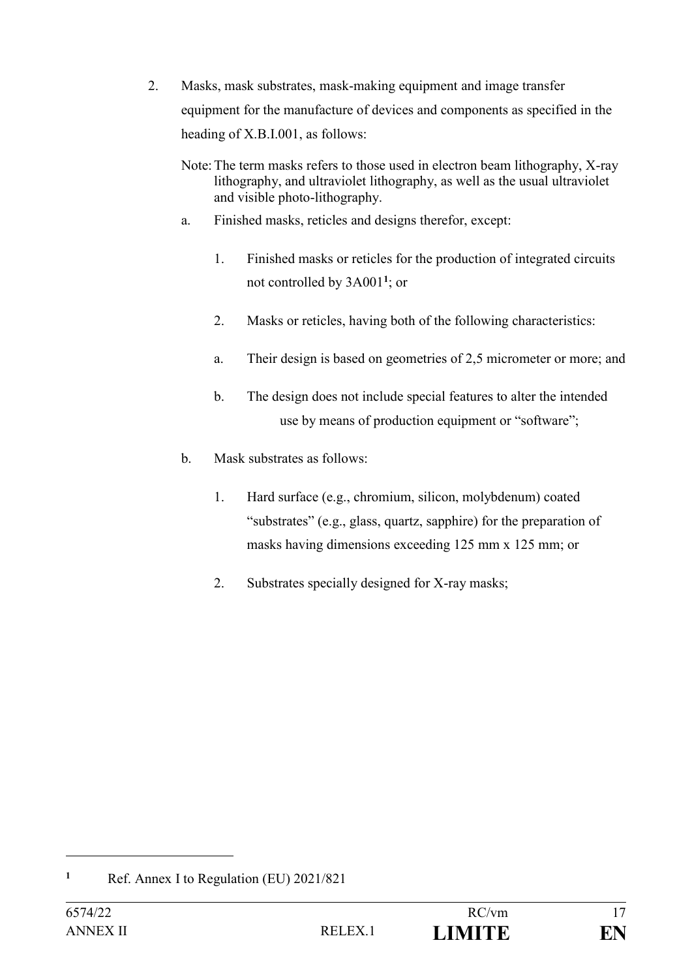- 2. Masks, mask substrates, mask-making equipment and image transfer equipment for the manufacture of devices and components as specified in the heading of X.B.I.001, as follows:
	- Note:The term masks refers to those used in electron beam lithography, X-ray lithography, and ultraviolet lithography, as well as the usual ultraviolet and visible photo-lithography.
	- a. Finished masks, reticles and designs therefor, except:
		- 1. Finished masks or reticles for the production of integrated circuits not controlled by 3A001**<sup>1</sup>** ; or
		- 2. Masks or reticles, having both of the following characteristics:
		- a. Their design is based on geometries of 2,5 micrometer or more; and
		- b. The design does not include special features to alter the intended use by means of production equipment or "software";
	- b. Mask substrates as follows:
		- 1. Hard surface (e.g., chromium, silicon, molybdenum) coated "substrates" (e.g., glass, quartz, sapphire) for the preparation of masks having dimensions exceeding 125 mm x 125 mm; or
		- 2. Substrates specially designed for X-ray masks;

**<sup>1</sup>** Ref. Annex I to Regulation (EU) 2021/821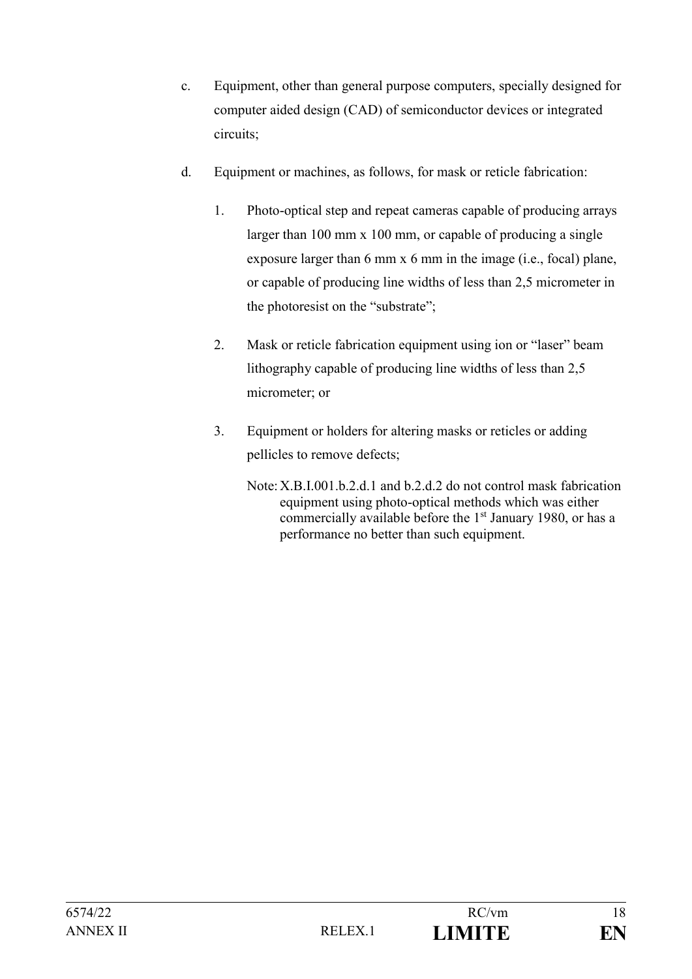- c. Equipment, other than general purpose computers, specially designed for computer aided design (CAD) of semiconductor devices or integrated circuits;
- d. Equipment or machines, as follows, for mask or reticle fabrication:
	- 1. Photo-optical step and repeat cameras capable of producing arrays larger than 100 mm x 100 mm, or capable of producing a single exposure larger than 6 mm x 6 mm in the image (i.e., focal) plane, or capable of producing line widths of less than 2,5 micrometer in the photoresist on the "substrate";
	- 2. Mask or reticle fabrication equipment using ion or "laser" beam lithography capable of producing line widths of less than 2,5 micrometer; or
	- 3. Equipment or holders for altering masks or reticles or adding pellicles to remove defects;
		- Note:X.B.I.001.b.2.d.1 and b.2.d.2 do not control mask fabrication equipment using photo-optical methods which was either commercially available before the 1<sup>st</sup> January 1980, or has a performance no better than such equipment.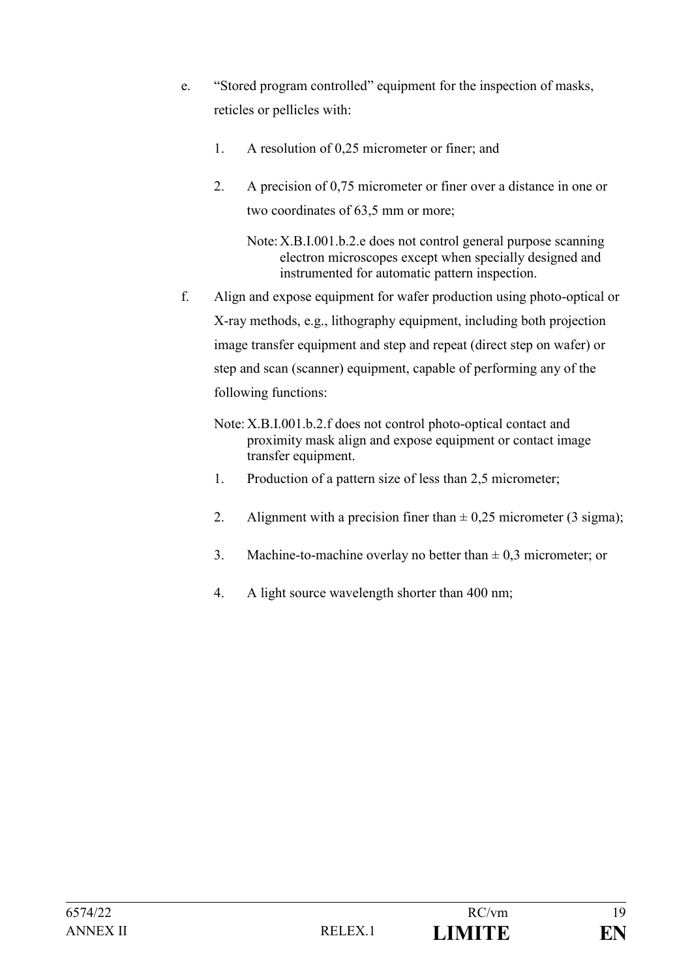- e. "Stored program controlled" equipment for the inspection of masks, reticles or pellicles with:
	- 1. A resolution of 0,25 micrometer or finer; and
	- 2. A precision of 0,75 micrometer or finer over a distance in one or two coordinates of 63,5 mm or more;

Note:X.B.I.001.b.2.e does not control general purpose scanning electron microscopes except when specially designed and instrumented for automatic pattern inspection.

- f. Align and expose equipment for wafer production using photo-optical or X-ray methods, e.g., lithography equipment, including both projection image transfer equipment and step and repeat (direct step on wafer) or step and scan (scanner) equipment, capable of performing any of the following functions:
	- Note: X.B.I.001.b.2.f does not control photo-optical contact and proximity mask align and expose equipment or contact image transfer equipment.
	- 1. Production of a pattern size of less than 2,5 micrometer;
	- 2. Alignment with a precision finer than  $\pm$  0,25 micrometer (3 sigma);
	- 3. Machine-to-machine overlay no better than  $\pm$  0,3 micrometer; or
	- 4. A light source wavelength shorter than 400 nm;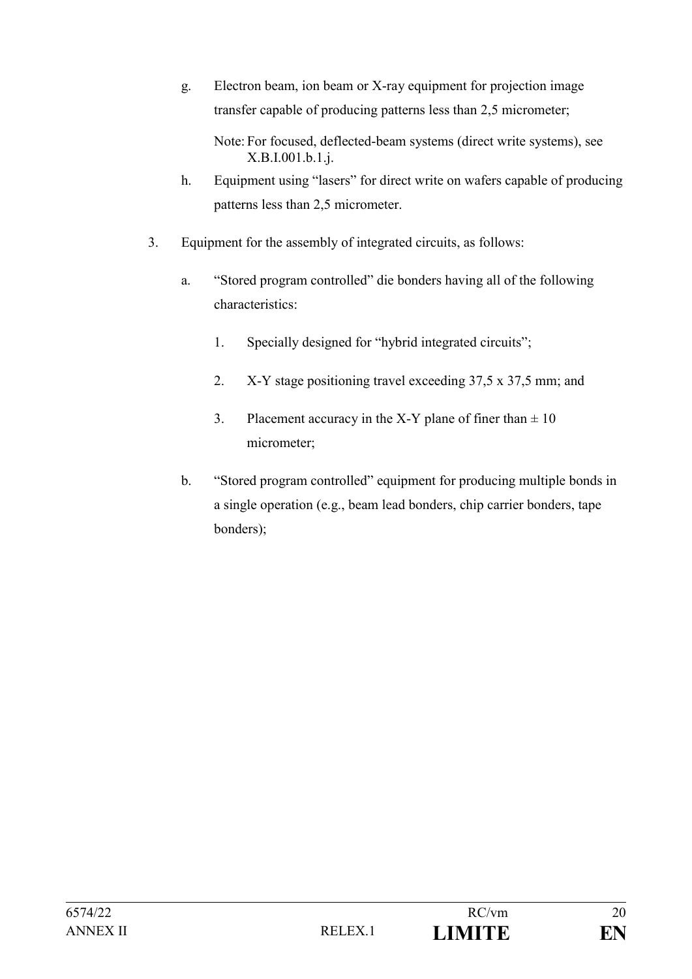g. Electron beam, ion beam or X-ray equipment for projection image transfer capable of producing patterns less than 2,5 micrometer;

Note: For focused, deflected-beam systems (direct write systems), see X.B.I.001.b.1.j.

- h. Equipment using "lasers" for direct write on wafers capable of producing patterns less than 2,5 micrometer.
- 3. Equipment for the assembly of integrated circuits, as follows:
	- a. "Stored program controlled" die bonders having all of the following characteristics:
		- 1. Specially designed for "hybrid integrated circuits";
		- 2. X-Y stage positioning travel exceeding 37,5 x 37,5 mm; and
		- 3. Placement accuracy in the X-Y plane of finer than  $\pm 10$ micrometer;
	- b. "Stored program controlled" equipment for producing multiple bonds in a single operation (e.g., beam lead bonders, chip carrier bonders, tape bonders);

| 6574/22  |        | RC/vm         | 20 |
|----------|--------|---------------|----|
| ANNEX II | RELEX. | <b>LIMITE</b> | EN |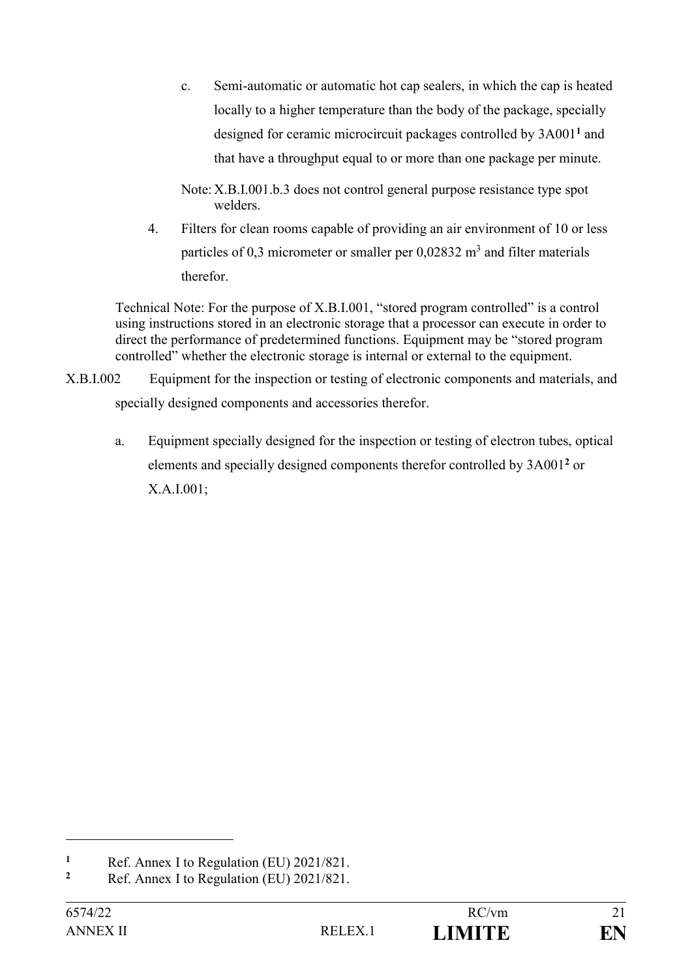c. Semi-automatic or automatic hot cap sealers, in which the cap is heated locally to a higher temperature than the body of the package, specially designed for ceramic microcircuit packages controlled by 3A001**<sup>1</sup>** and that have a throughput equal to or more than one package per minute.

Note:X.B.I.001.b.3 does not control general purpose resistance type spot welders.

4. Filters for clean rooms capable of providing an air environment of 10 or less particles of 0,3 micrometer or smaller per  $0,02832 \text{ m}^3$  and filter materials therefor.

Technical Note: For the purpose of X.B.I.001, "stored program controlled" is a control using instructions stored in an electronic storage that a processor can execute in order to direct the performance of predetermined functions. Equipment may be "stored program controlled" whether the electronic storage is internal or external to the equipment.

- X.B.I.002 Equipment for the inspection or testing of electronic components and materials, and specially designed components and accessories therefor.
	- a. Equipment specially designed for the inspection or testing of electron tubes, optical elements and specially designed components therefor controlled by 3A001**<sup>2</sup>** or X.A.I.001;

**<sup>1</sup>** Ref. Annex I to Regulation (EU)  $2021/821$ .

**<sup>2</sup>** Ref. Annex I to Regulation (EU) 2021/821.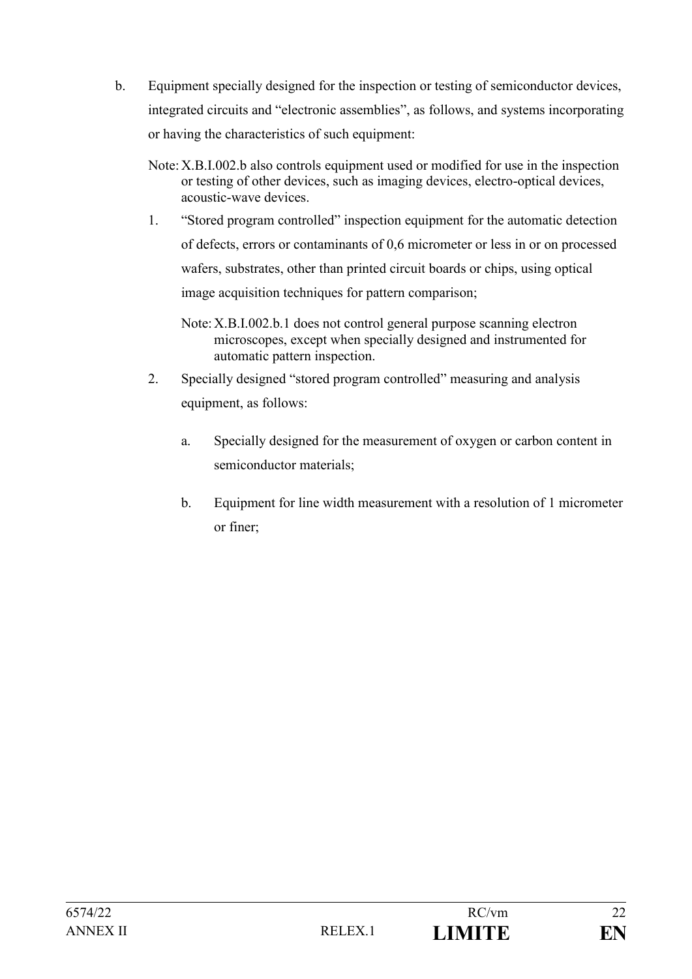- b. Equipment specially designed for the inspection or testing of semiconductor devices, integrated circuits and "electronic assemblies", as follows, and systems incorporating or having the characteristics of such equipment:
	- Note:X.B.I.002.b also controls equipment used or modified for use in the inspection or testing of other devices, such as imaging devices, electro-optical devices, acoustic-wave devices.
	- 1. "Stored program controlled" inspection equipment for the automatic detection of defects, errors or contaminants of 0,6 micrometer or less in or on processed wafers, substrates, other than printed circuit boards or chips, using optical image acquisition techniques for pattern comparison;
		- Note:X.B.I.002.b.1 does not control general purpose scanning electron microscopes, except when specially designed and instrumented for automatic pattern inspection.
	- 2. Specially designed "stored program controlled" measuring and analysis equipment, as follows:
		- a. Specially designed for the measurement of oxygen or carbon content in semiconductor materials;
		- b. Equipment for line width measurement with a resolution of 1 micrometer or finer;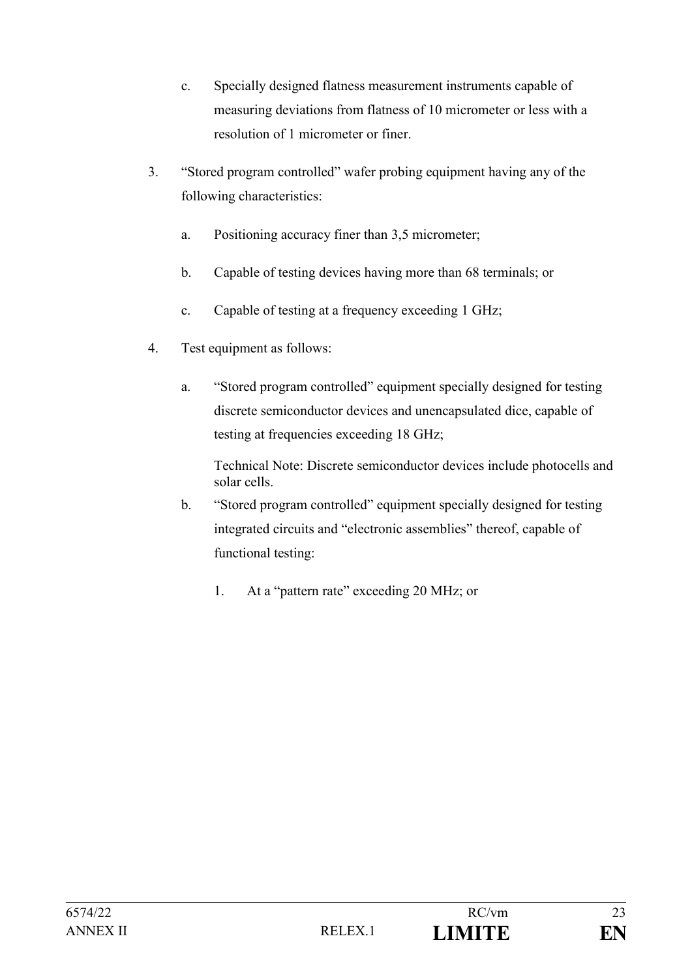- c. Specially designed flatness measurement instruments capable of measuring deviations from flatness of 10 micrometer or less with a resolution of 1 micrometer or finer.
- 3. "Stored program controlled" wafer probing equipment having any of the following characteristics:
	- a. Positioning accuracy finer than 3,5 micrometer;
	- b. Capable of testing devices having more than 68 terminals; or
	- c. Capable of testing at a frequency exceeding 1 GHz;
- 4. Test equipment as follows:
	- a. "Stored program controlled" equipment specially designed for testing discrete semiconductor devices and unencapsulated dice, capable of testing at frequencies exceeding 18 GHz;

Technical Note: Discrete semiconductor devices include photocells and solar cells.

- b. "Stored program controlled" equipment specially designed for testing integrated circuits and "electronic assemblies" thereof, capable of functional testing:
	- 1. At a "pattern rate" exceeding 20 MHz; or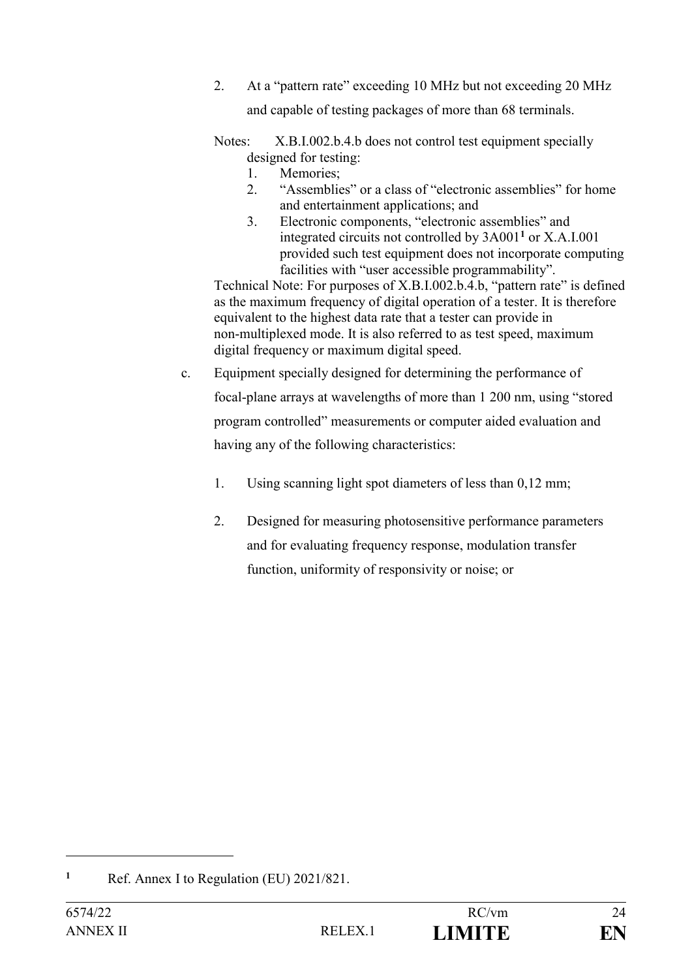- 2. At a "pattern rate" exceeding 10 MHz but not exceeding 20 MHz and capable of testing packages of more than 68 terminals.
- Notes: X.B.I.002.b.4.b does not control test equipment specially designed for testing:
	- 1. Memories;
	- 2. "Assemblies" or a class of "electronic assemblies" for home and entertainment applications; and
	- 3. Electronic components, "electronic assemblies" and integrated circuits not controlled by 3A001**<sup>1</sup>** or X.A.I.001 provided such test equipment does not incorporate computing facilities with "user accessible programmability".

Technical Note: For purposes of X.B.I.002.b.4.b, "pattern rate" is defined as the maximum frequency of digital operation of a tester. It is therefore equivalent to the highest data rate that a tester can provide in non-multiplexed mode. It is also referred to as test speed, maximum digital frequency or maximum digital speed.

- c. Equipment specially designed for determining the performance of focal-plane arrays at wavelengths of more than 1 200 nm, using "stored program controlled" measurements or computer aided evaluation and having any of the following characteristics:
	- 1. Using scanning light spot diameters of less than 0,12 mm;
	- 2. Designed for measuring photosensitive performance parameters and for evaluating frequency response, modulation transfer function, uniformity of responsivity or noise; or

**<sup>1</sup>** Ref. Annex I to Regulation (EU) 2021/821.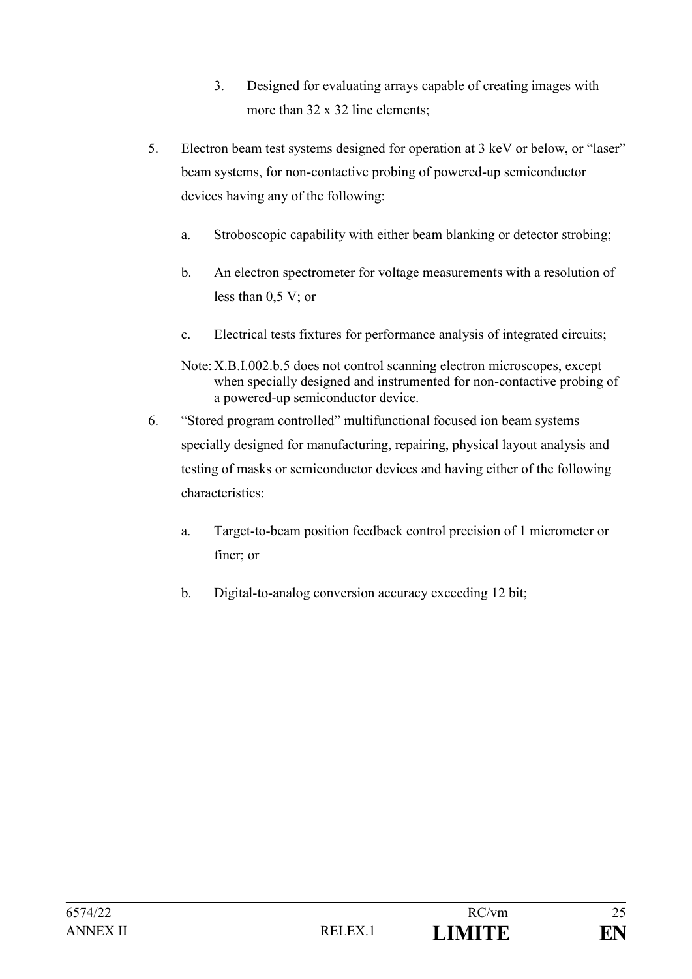- 3. Designed for evaluating arrays capable of creating images with more than 32 x 32 line elements;
- 5. Electron beam test systems designed for operation at 3 keV or below, or "laser" beam systems, for non-contactive probing of powered-up semiconductor devices having any of the following:
	- a. Stroboscopic capability with either beam blanking or detector strobing;
	- b. An electron spectrometer for voltage measurements with a resolution of less than 0,5 V; or
	- c. Electrical tests fixtures for performance analysis of integrated circuits;
	- Note:X.B.I.002.b.5 does not control scanning electron microscopes, except when specially designed and instrumented for non-contactive probing of a powered-up semiconductor device.
- 6. "Stored program controlled" multifunctional focused ion beam systems specially designed for manufacturing, repairing, physical layout analysis and testing of masks or semiconductor devices and having either of the following characteristics:
	- a. Target-to-beam position feedback control precision of 1 micrometer or finer; or
	- b. Digital-to-analog conversion accuracy exceeding 12 bit;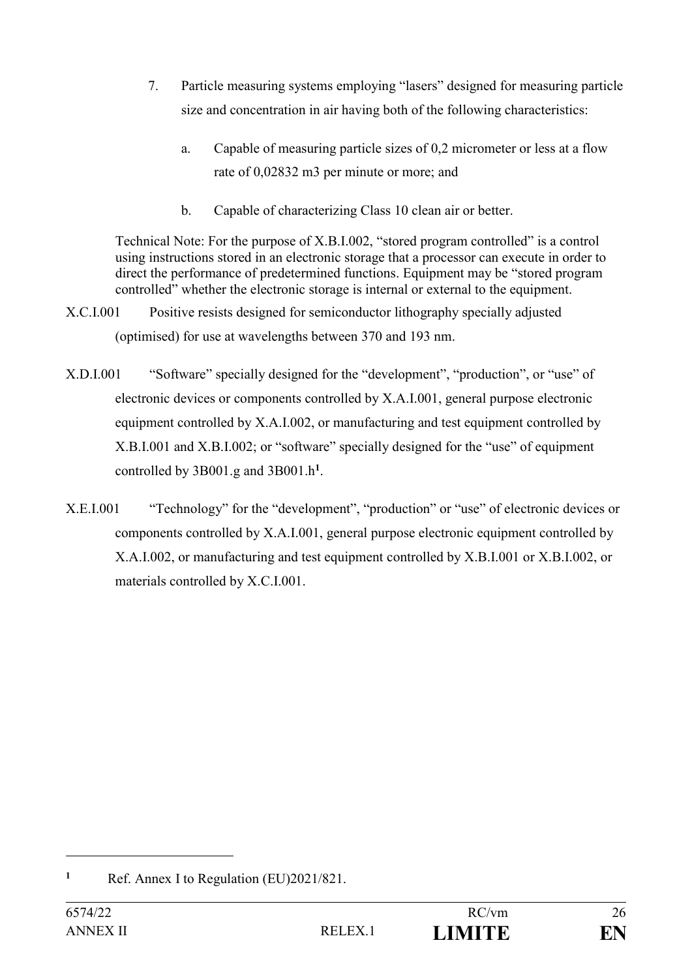- 7. Particle measuring systems employing "lasers" designed for measuring particle size and concentration in air having both of the following characteristics:
	- a. Capable of measuring particle sizes of 0,2 micrometer or less at a flow rate of 0,02832 m3 per minute or more; and
	- b. Capable of characterizing Class 10 clean air or better.

Technical Note: For the purpose of X.B.I.002, "stored program controlled" is a control using instructions stored in an electronic storage that a processor can execute in order to direct the performance of predetermined functions. Equipment may be "stored program controlled" whether the electronic storage is internal or external to the equipment.

- X.C.I.001 Positive resists designed for semiconductor lithography specially adjusted (optimised) for use at wavelengths between 370 and 193 nm.
- X.D.I.001 "Software" specially designed for the "development", "production", or "use" of electronic devices or components controlled by X.A.I.001, general purpose electronic equipment controlled by X.A.I.002, or manufacturing and test equipment controlled by X.B.I.001 and X.B.I.002; or "software" specially designed for the "use" of equipment controlled by 3B001.g and 3B001.h**<sup>1</sup>** .
- X.E.I.001 "Technology" for the "development", "production" or "use" of electronic devices or components controlled by X.A.I.001, general purpose electronic equipment controlled by X.A.I.002, or manufacturing and test equipment controlled by X.B.I.001 or X.B.I.002, or materials controlled by X.C.I.001.

<sup>&</sup>lt;sup>1</sup> Ref. Annex I to Regulation (EU)2021/821.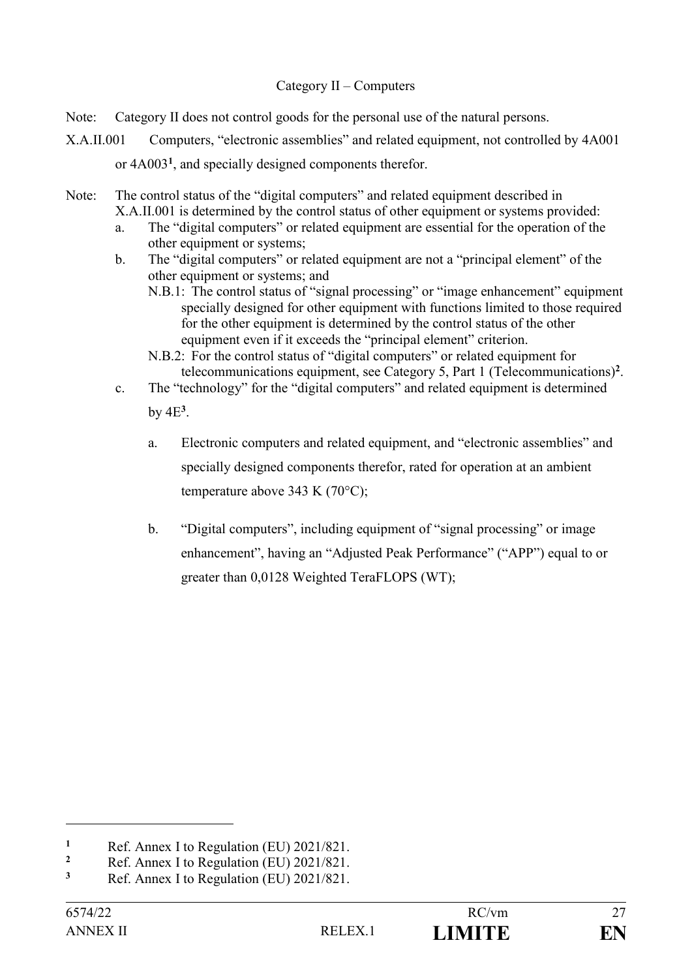#### Category II – Computers

- Note: Category II does not control goods for the personal use of the natural persons.
- X.A.II.001 Computers, "electronic assemblies" and related equipment, not controlled by 4A001 or 4A003**<sup>1</sup>** , and specially designed components therefor.
- Note: The control status of the "digital computers" and related equipment described in X.A.II.001 is determined by the control status of other equipment or systems provided:
	- a. The "digital computers" or related equipment are essential for the operation of the other equipment or systems;
	- b. The "digital computers" or related equipment are not a "principal element" of the other equipment or systems; and
		- N.B.1: The control status of "signal processing" or "image enhancement" equipment specially designed for other equipment with functions limited to those required for the other equipment is determined by the control status of the other equipment even if it exceeds the "principal element" criterion.
		- N.B.2: For the control status of "digital computers" or related equipment for telecommunications equipment, see Category 5, Part 1 (Telecommunications)**<sup>2</sup>** .
	- c. The "technology" for the "digital computers" and related equipment is determined by  $4E^3$ .
		- a. Electronic computers and related equipment, and "electronic assemblies" and specially designed components therefor, rated for operation at an ambient temperature above 343 K (70°C);
		- b. "Digital computers", including equipment of "signal processing" or image enhancement", having an "Adjusted Peak Performance" ("APP") equal to or greater than 0,0128 Weighted TeraFLOPS (WT);

**<sup>1</sup>** Ref. Annex I to Regulation (EU)  $2021/821$ .

<sup>&</sup>lt;sup>2</sup> Ref. Annex I to Regulation (EU)  $2021/821$ .<br><sup>3</sup> Ref. Annex I to Regulation (EU)  $2021/821$ .

**<sup>3</sup>** Ref. Annex I to Regulation (EU) 2021/821.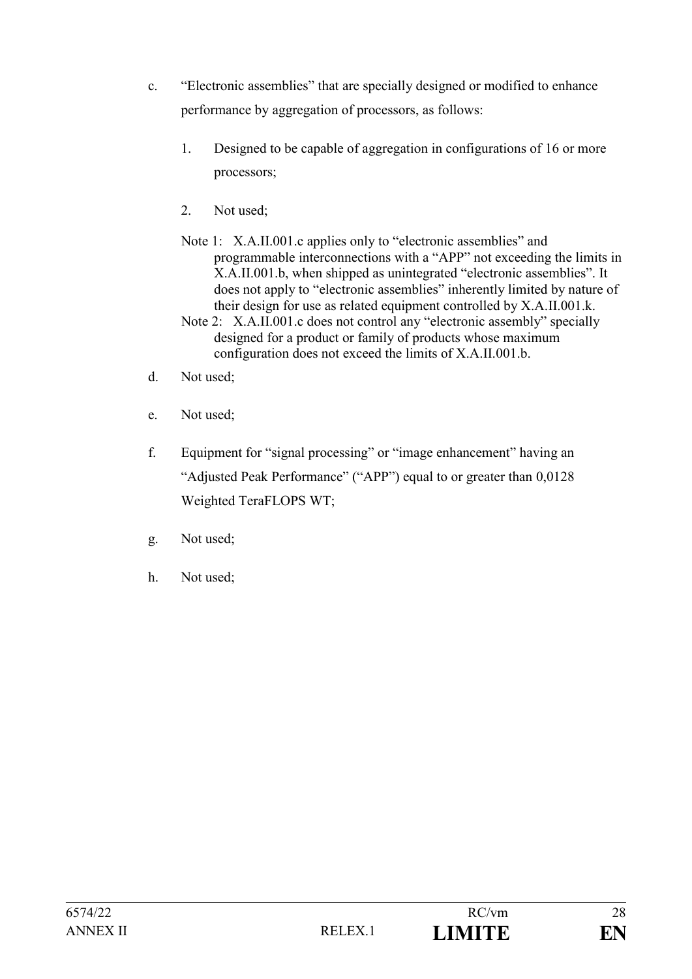- c. "Electronic assemblies" that are specially designed or modified to enhance performance by aggregation of processors, as follows:
	- 1. Designed to be capable of aggregation in configurations of 16 or more processors;
	- 2. Not used;
	- Note 1: X.A.II.001.c applies only to "electronic assemblies" and programmable interconnections with a "APP" not exceeding the limits in X.A.II.001.b, when shipped as unintegrated "electronic assemblies". It does not apply to "electronic assemblies" inherently limited by nature of their design for use as related equipment controlled by X.A.II.001.k.
	- Note 2: X.A.II.001.c does not control any "electronic assembly" specially designed for a product or family of products whose maximum configuration does not exceed the limits of X.A.II.001.b.
- d. Not used;
- e. Not used;
- f. Equipment for "signal processing" or "image enhancement" having an "Adjusted Peak Performance" ("APP") equal to or greater than 0,0128 Weighted TeraFLOPS WT;
- g. Not used;
- h. Not used;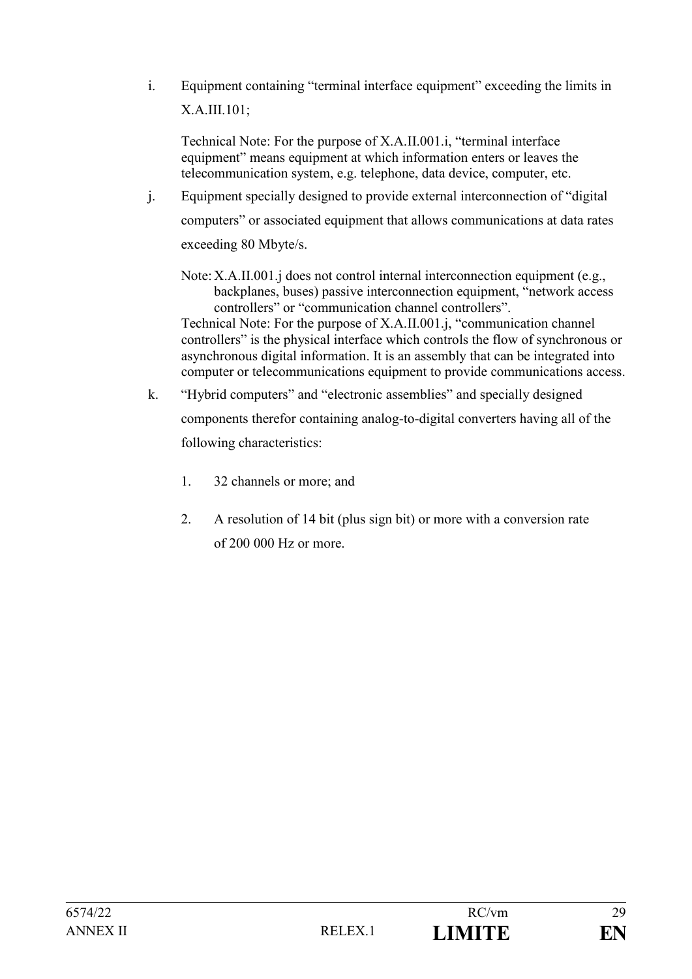i. Equipment containing "terminal interface equipment" exceeding the limits in X.A.III.101;

Technical Note: For the purpose of X.A.II.001.i, "terminal interface equipment" means equipment at which information enters or leaves the telecommunication system, e.g. telephone, data device, computer, etc.

- j. Equipment specially designed to provide external interconnection of "digital computers" or associated equipment that allows communications at data rates exceeding 80 Mbyte/s.
	- Note: X.A.II.001.j does not control internal interconnection equipment (e.g., backplanes, buses) passive interconnection equipment, "network access controllers" or "communication channel controllers".

Technical Note: For the purpose of X.A.II.001.j, "communication channel controllers" is the physical interface which controls the flow of synchronous or asynchronous digital information. It is an assembly that can be integrated into computer or telecommunications equipment to provide communications access.

- k. "Hybrid computers" and "electronic assemblies" and specially designed components therefor containing analog-to-digital converters having all of the following characteristics:
	- 1. 32 channels or more; and
	- 2. A resolution of 14 bit (plus sign bit) or more with a conversion rate of 200 000 Hz or more.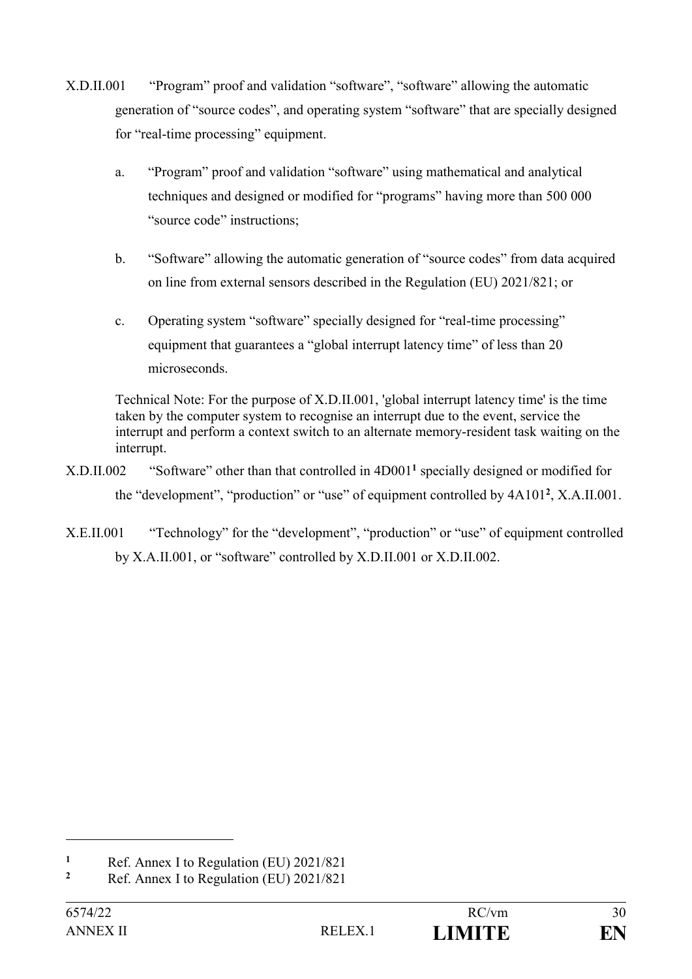- X.D.II.001 "Program" proof and validation "software", "software" allowing the automatic generation of "source codes", and operating system "software" that are specially designed for "real-time processing" equipment.
	- a. "Program" proof and validation "software" using mathematical and analytical techniques and designed or modified for "programs" having more than 500 000 "source code" instructions;
	- b. "Software" allowing the automatic generation of "source codes" from data acquired on line from external sensors described in the Regulation (EU) 2021/821; or
	- c. Operating system "software" specially designed for "real-time processing" equipment that guarantees a "global interrupt latency time" of less than 20 microseconds.

Technical Note: For the purpose of X.D.II.001, 'global interrupt latency time' is the time taken by the computer system to recognise an interrupt due to the event, service the interrupt and perform a context switch to an alternate memory-resident task waiting on the interrupt.

- X.D.II.002 "Software" other than that controlled in 4D001**<sup>1</sup>** specially designed or modified for the "development", "production" or "use" of equipment controlled by 4A101**<sup>2</sup>** , X.A.II.001.
- X.E.II.001 "Technology" for the "development", "production" or "use" of equipment controlled by X.A.II.001, or "software" controlled by X.D.II.001 or X.D.II.002.

<sup>&</sup>lt;sup>1</sup> Ref. Annex I to Regulation (EU)  $2021/821$ <br><sup>2</sup> Ref. Annex I to Regulation (EU)  $2021/821$ 

**<sup>2</sup>** Ref. Annex I to Regulation (EU) 2021/821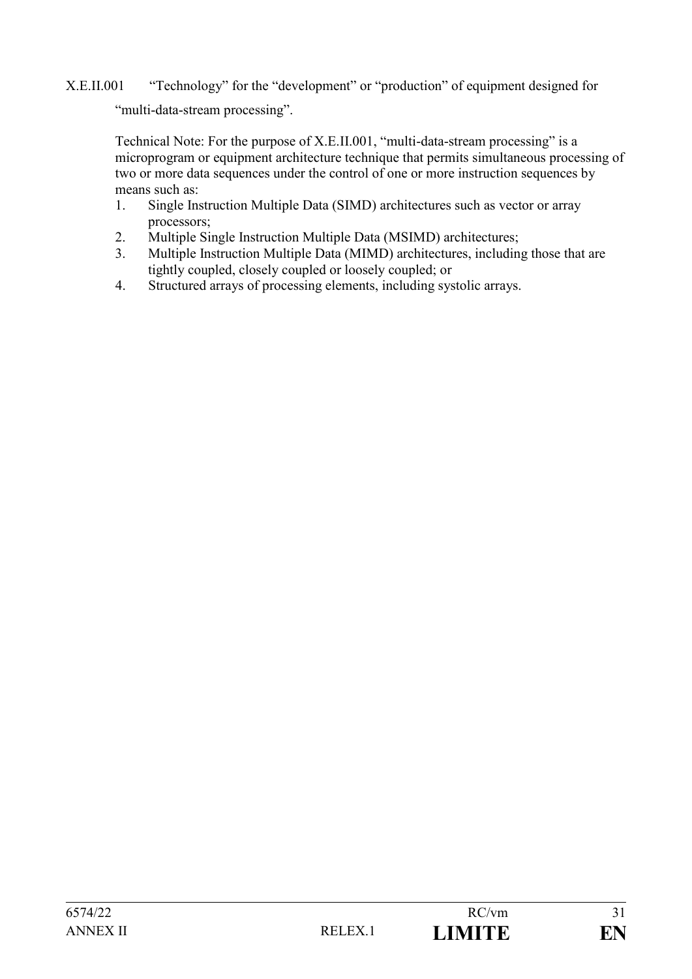# X.E.II.001 "Technology" for the "development" or "production" of equipment designed for "multi-data-stream processing".

Technical Note: For the purpose of X.E.II.001, "multi-data-stream processing" is a microprogram or equipment architecture technique that permits simultaneous processing of two or more data sequences under the control of one or more instruction sequences by means such as:

- 1. Single Instruction Multiple Data (SIMD) architectures such as vector or array processors;
- 2. Multiple Single Instruction Multiple Data (MSIMD) architectures;
- 3. Multiple Instruction Multiple Data (MIMD) architectures, including those that are tightly coupled, closely coupled or loosely coupled; or
- 4. Structured arrays of processing elements, including systolic arrays.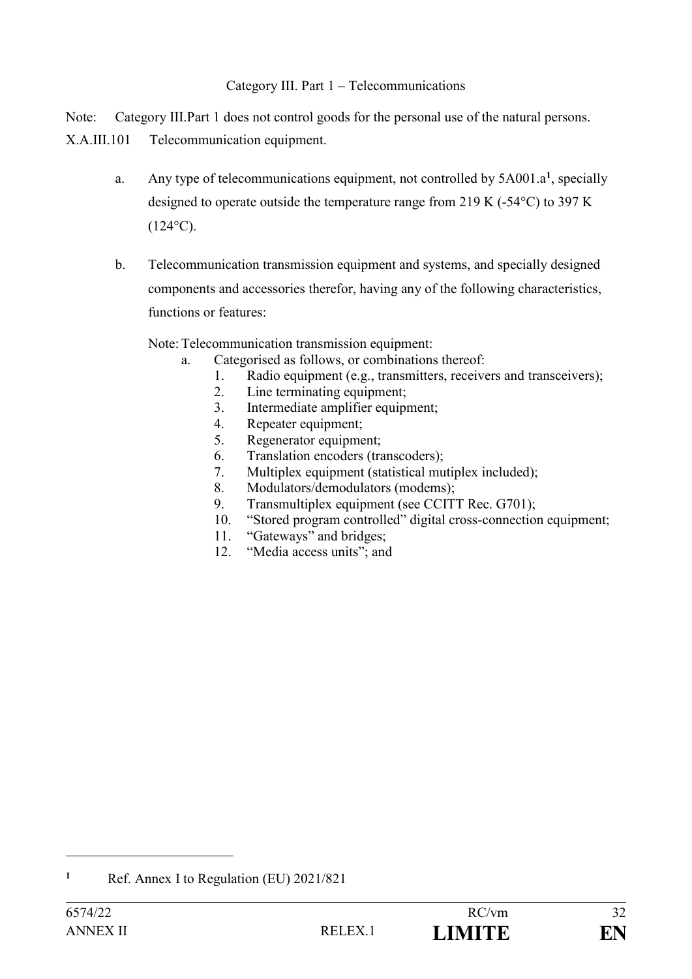## Category III. Part 1 – Telecommunications

Note: Category III.Part 1 does not control goods for the personal use of the natural persons.

X.A.III.101 Telecommunication equipment.

- a. Any type of telecommunications equipment, not controlled by 5A001.a**<sup>1</sup>** , specially designed to operate outside the temperature range from 219 K (-54°C) to 397 K  $(124^{\circ}C)$ .
- b. Telecommunication transmission equipment and systems, and specially designed components and accessories therefor, having any of the following characteristics, functions or features:

Note:Telecommunication transmission equipment:

- a. Categorised as follows, or combinations thereof:
	- 1. Radio equipment (e.g., transmitters, receivers and transceivers);
	- 2. Line terminating equipment;
	- 3. Intermediate amplifier equipment;
	- 4. Repeater equipment;
	- 5. Regenerator equipment;
	- 6. Translation encoders (transcoders);
	- 7. Multiplex equipment (statistical mutiplex included);
	- 8. Modulators/demodulators (modems);
	- 9. Transmultiplex equipment (see CCITT Rec. G701);
	- 10. "Stored program controlled" digital cross-connection equipment;
	- 11. "Gateways" and bridges;
	- 12. "Media access units"; and

**<sup>1</sup>** Ref. Annex I to Regulation (EU) 2021/821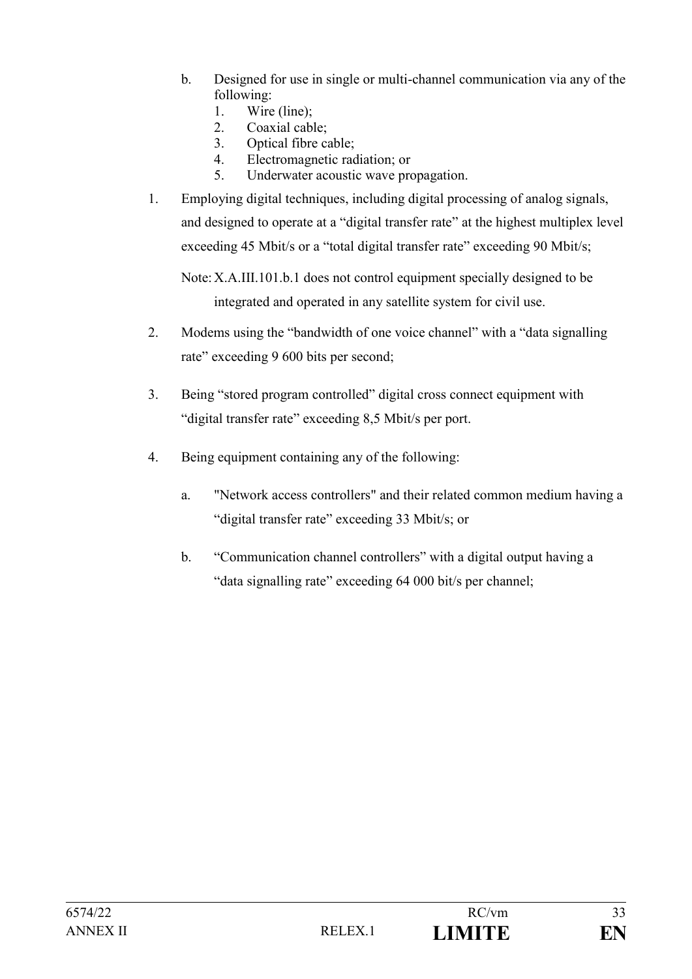- b. Designed for use in single or multi-channel communication via any of the following:
	- 1. Wire (line);
	- 2. Coaxial cable;
	- 3. Optical fibre cable;
	- 4. Electromagnetic radiation; or
	- 5. Underwater acoustic wave propagation.
- 1. Employing digital techniques, including digital processing of analog signals, and designed to operate at a "digital transfer rate" at the highest multiplex level exceeding 45 Mbit/s or a "total digital transfer rate" exceeding 90 Mbit/s;

Note:X.A.III.101.b.1 does not control equipment specially designed to be integrated and operated in any satellite system for civil use.

- 2. Modems using the "bandwidth of one voice channel" with a "data signalling rate" exceeding 9 600 bits per second;
- 3. Being "stored program controlled" digital cross connect equipment with "digital transfer rate" exceeding 8,5 Mbit/s per port.
- 4. Being equipment containing any of the following:
	- a. "Network access controllers" and their related common medium having a "digital transfer rate" exceeding 33 Mbit/s; or
	- b. "Communication channel controllers" with a digital output having a "data signalling rate" exceeding 64 000 bit/s per channel;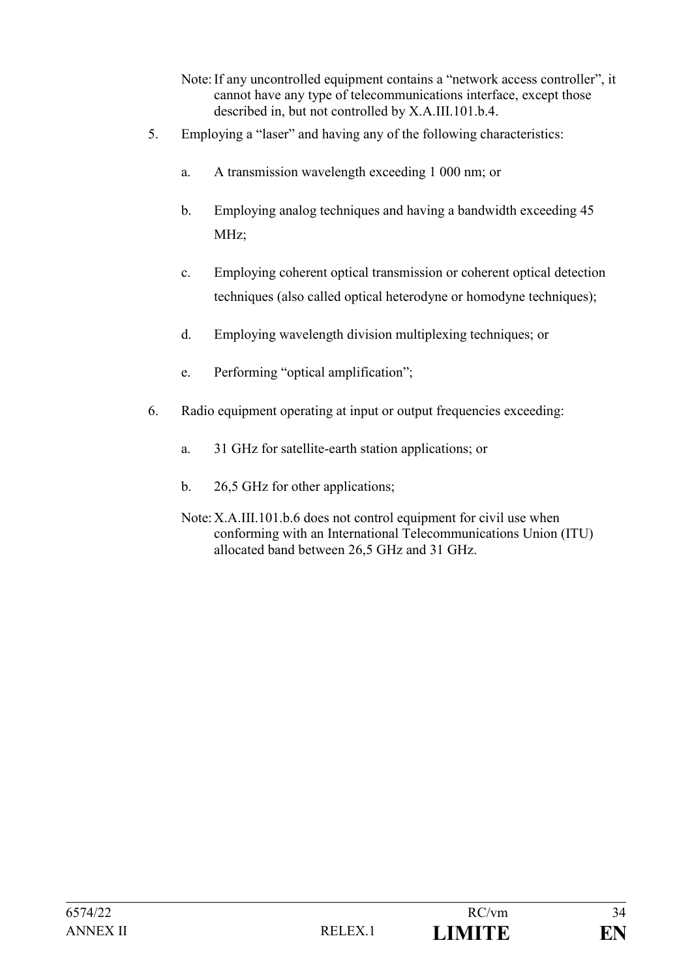- Note:If any uncontrolled equipment contains a "network access controller", it cannot have any type of telecommunications interface, except those described in, but not controlled by X.A.III.101.b.4.
- 5. Employing a "laser" and having any of the following characteristics:
	- a. A transmission wavelength exceeding 1 000 nm; or
	- b. Employing analog techniques and having a bandwidth exceeding 45 MHz;
	- c. Employing coherent optical transmission or coherent optical detection techniques (also called optical heterodyne or homodyne techniques);
	- d. Employing wavelength division multiplexing techniques; or
	- e. Performing "optical amplification";
- 6. Radio equipment operating at input or output frequencies exceeding:
	- a. 31 GHz for satellite-earth station applications; or
	- b. 26,5 GHz for other applications;
	- Note:X.A.III.101.b.6 does not control equipment for civil use when conforming with an International Telecommunications Union (ITU) allocated band between 26,5 GHz and 31 GHz.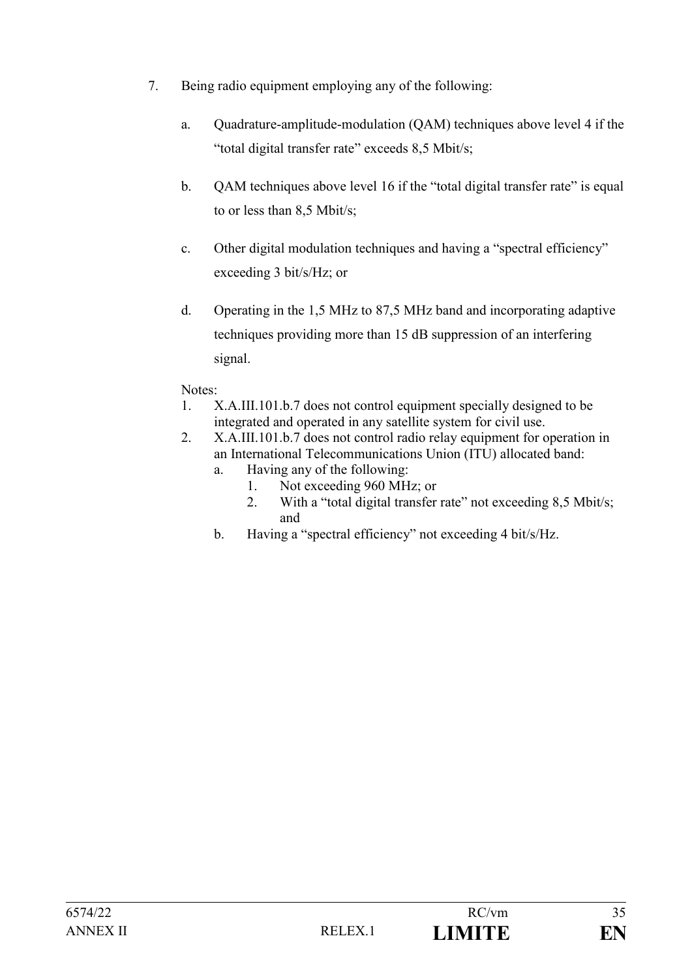- 7. Being radio equipment employing any of the following:
	- a. Quadrature-amplitude-modulation (QAM) techniques above level 4 if the "total digital transfer rate" exceeds 8,5 Mbit/s;
	- b. QAM techniques above level 16 if the "total digital transfer rate" is equal to or less than 8,5 Mbit/s;
	- c. Other digital modulation techniques and having a "spectral efficiency" exceeding 3 bit/s/Hz; or
	- d. Operating in the 1,5 MHz to 87,5 MHz band and incorporating adaptive techniques providing more than 15 dB suppression of an interfering signal.

## Notes:

- 1. X.A.III.101.b.7 does not control equipment specially designed to be integrated and operated in any satellite system for civil use.
- 2. X.A.III.101.b.7 does not control radio relay equipment for operation in an International Telecommunications Union (ITU) allocated band:
	- a. Having any of the following:
		- 1. Not exceeding 960 MHz; or
		- 2. With a "total digital transfer rate" not exceeding 8,5 Mbit/s; and
	- b. Having a "spectral efficiency" not exceeding 4 bit/s/Hz.

| 6574/22  |                     | RC/vm         | $\cap$ $\subset$ |
|----------|---------------------|---------------|------------------|
| ANNEX II | RELEX <sub>.1</sub> | <b>LIMITE</b> | EN               |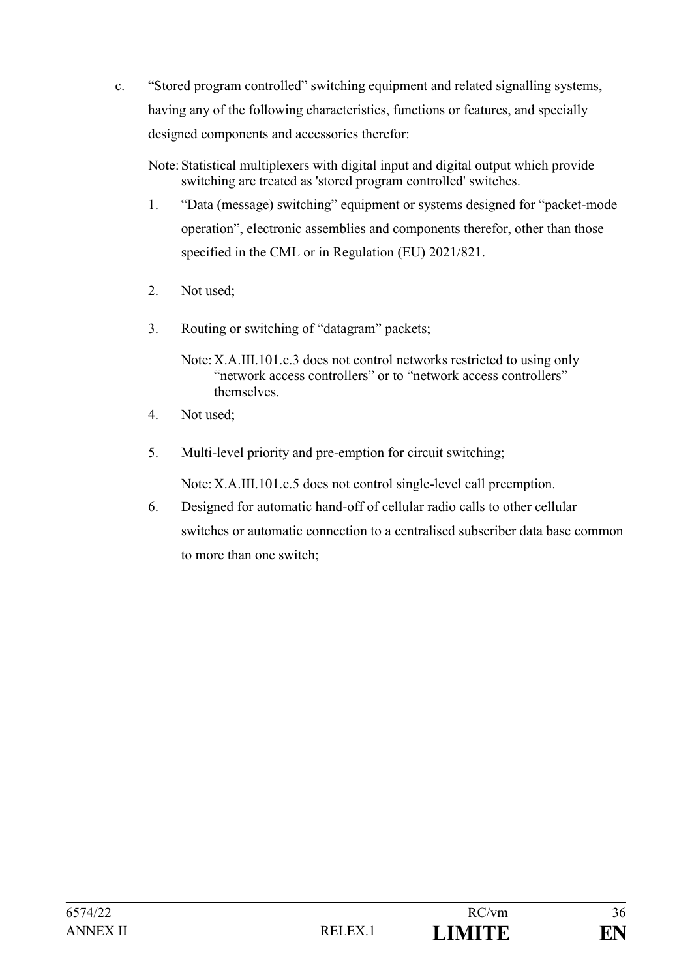c. "Stored program controlled" switching equipment and related signalling systems, having any of the following characteristics, functions or features, and specially designed components and accessories therefor:

Note: Statistical multiplexers with digital input and digital output which provide switching are treated as 'stored program controlled' switches.

- 1. "Data (message) switching" equipment or systems designed for "packet-mode operation", electronic assemblies and components therefor, other than those specified in the CML or in Regulation (EU) 2021/821.
- 2. Not used;
- 3. Routing or switching of "datagram" packets;

Note:X.A.III.101.c.3 does not control networks restricted to using only "network access controllers" or to "network access controllers" themselves.

- 4. Not used;
- 5. Multi-level priority and pre-emption for circuit switching;

Note:X.A.III.101.c.5 does not control single-level call preemption.

6. Designed for automatic hand-off of cellular radio calls to other cellular switches or automatic connection to a centralised subscriber data base common to more than one switch;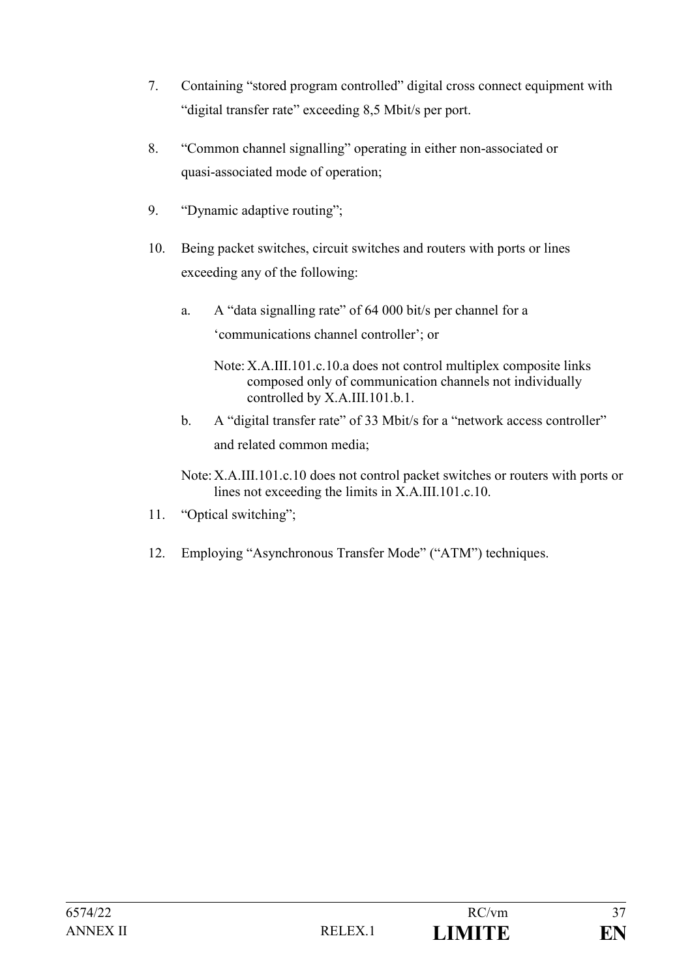- 7. Containing "stored program controlled" digital cross connect equipment with "digital transfer rate" exceeding 8,5 Mbit/s per port.
- 8. "Common channel signalling" operating in either non-associated or quasi-associated mode of operation;
- 9. "Dynamic adaptive routing";
- 10. Being packet switches, circuit switches and routers with ports or lines exceeding any of the following:
	- a. A "data signalling rate" of 64 000 bit/s per channel for a 'communications channel controller'; or
		- Note: X.A.III.101.c.10.a does not control multiplex composite links composed only of communication channels not individually controlled by X.A.III.101.b.1.
	- b. A "digital transfer rate" of 33 Mbit/s for a "network access controller" and related common media;
	- Note:X.A.III.101.c.10 does not control packet switches or routers with ports or lines not exceeding the limits in X.A.III.101.c.10.
- 11. "Optical switching";
- 12. Employing "Asynchronous Transfer Mode" ("ATM") techniques.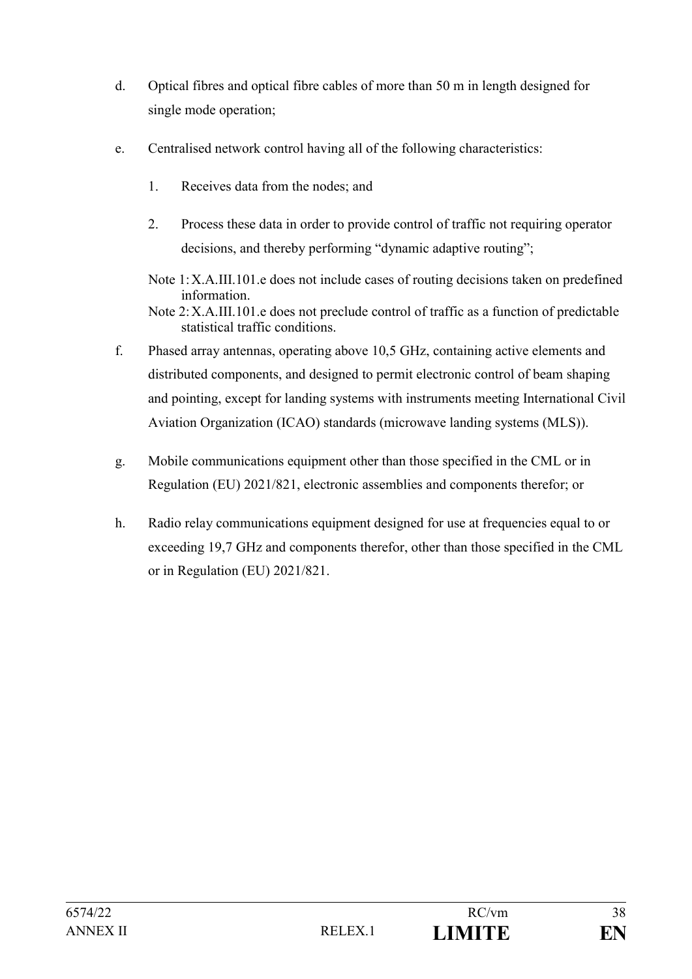- d. Optical fibres and optical fibre cables of more than 50 m in length designed for single mode operation;
- e. Centralised network control having all of the following characteristics:
	- 1. Receives data from the nodes; and

statistical traffic conditions.

- 2. Process these data in order to provide control of traffic not requiring operator decisions, and thereby performing "dynamic adaptive routing";
- Note 1:X.A.III.101.e does not include cases of routing decisions taken on predefined information. Note 2:X.A.III.101.e does not preclude control of traffic as a function of predictable
- f. Phased array antennas, operating above 10,5 GHz, containing active elements and distributed components, and designed to permit electronic control of beam shaping and pointing, except for landing systems with instruments meeting International Civil Aviation Organization (ICAO) standards (microwave landing systems (MLS)).
- g. Mobile communications equipment other than those specified in the CML or in Regulation (EU) 2021/821, electronic assemblies and components therefor; or
- h. Radio relay communications equipment designed for use at frequencies equal to or exceeding 19,7 GHz and components therefor, other than those specified in the CML or in Regulation (EU) 2021/821.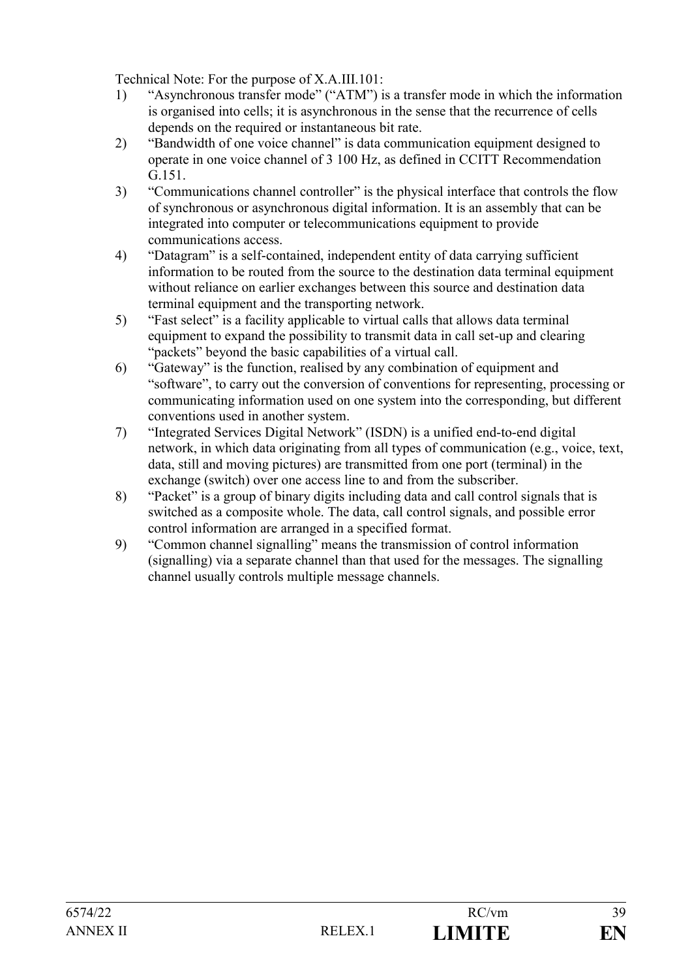Technical Note: For the purpose of X.A.III.101:

- 1) "Asynchronous transfer mode" ("ATM") is a transfer mode in which the information is organised into cells; it is asynchronous in the sense that the recurrence of cells depends on the required or instantaneous bit rate.
- 2) "Bandwidth of one voice channel" is data communication equipment designed to operate in one voice channel of 3 100 Hz, as defined in CCITT Recommendation G.151.
- 3) "Communications channel controller" is the physical interface that controls the flow of synchronous or asynchronous digital information. It is an assembly that can be integrated into computer or telecommunications equipment to provide communications access.
- 4) "Datagram" is a self-contained, independent entity of data carrying sufficient information to be routed from the source to the destination data terminal equipment without reliance on earlier exchanges between this source and destination data terminal equipment and the transporting network.
- 5) "Fast select" is a facility applicable to virtual calls that allows data terminal equipment to expand the possibility to transmit data in call set-up and clearing "packets" beyond the basic capabilities of a virtual call.
- 6) "Gateway" is the function, realised by any combination of equipment and "software", to carry out the conversion of conventions for representing, processing or communicating information used on one system into the corresponding, but different conventions used in another system.
- 7) "Integrated Services Digital Network" (ISDN) is a unified end-to-end digital network, in which data originating from all types of communication (e.g., voice, text, data, still and moving pictures) are transmitted from one port (terminal) in the exchange (switch) over one access line to and from the subscriber.
- 8) "Packet" is a group of binary digits including data and call control signals that is switched as a composite whole. The data, call control signals, and possible error control information are arranged in a specified format.
- 9) "Common channel signalling" means the transmission of control information (signalling) via a separate channel than that used for the messages. The signalling channel usually controls multiple message channels.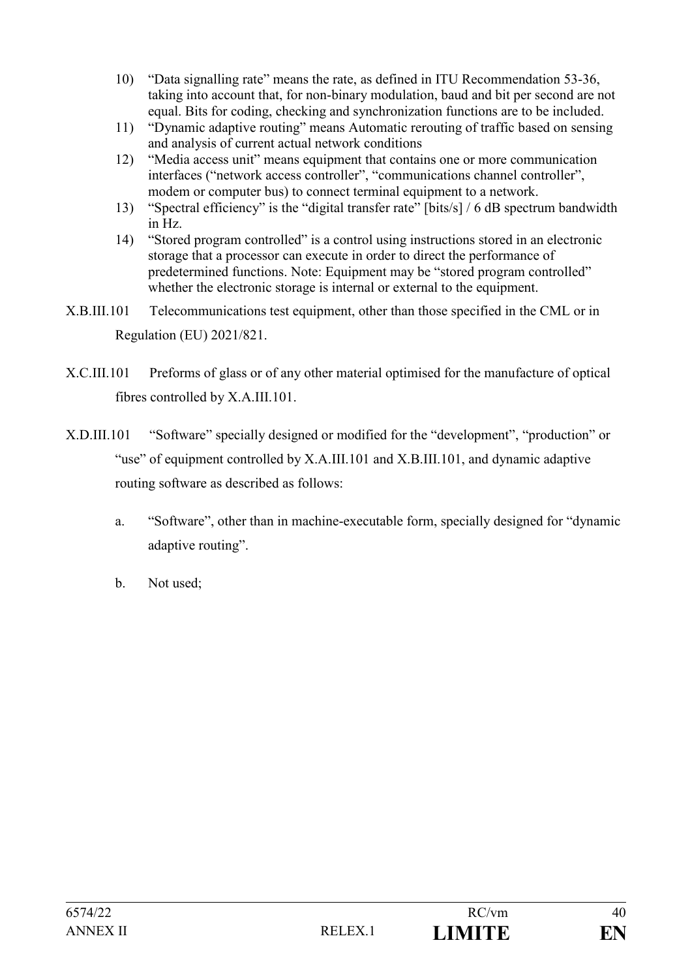- 10) "Data signalling rate" means the rate, as defined in ITU Recommendation 53-36, taking into account that, for non-binary modulation, baud and bit per second are not equal. Bits for coding, checking and synchronization functions are to be included.
- 11) "Dynamic adaptive routing" means Automatic rerouting of traffic based on sensing and analysis of current actual network conditions
- 12) "Media access unit" means equipment that contains one or more communication interfaces ("network access controller", "communications channel controller", modem or computer bus) to connect terminal equipment to a network.
- 13) "Spectral efficiency" is the "digital transfer rate" [bits/s] / 6 dB spectrum bandwidth in Hz.
- 14) "Stored program controlled" is a control using instructions stored in an electronic storage that a processor can execute in order to direct the performance of predetermined functions. Note: Equipment may be "stored program controlled" whether the electronic storage is internal or external to the equipment.
- X.B.III.101 Telecommunications test equipment, other than those specified in the CML or in Regulation (EU) 2021/821.
- X.C.III.101 Preforms of glass or of any other material optimised for the manufacture of optical fibres controlled by X.A.III.101.
- X.D.III.101 "Software" specially designed or modified for the "development", "production" or "use" of equipment controlled by X.A.III.101 and X.B.III.101, and dynamic adaptive routing software as described as follows:
	- a. "Software", other than in machine-executable form, specially designed for "dynamic adaptive routing".
	- b. Not used;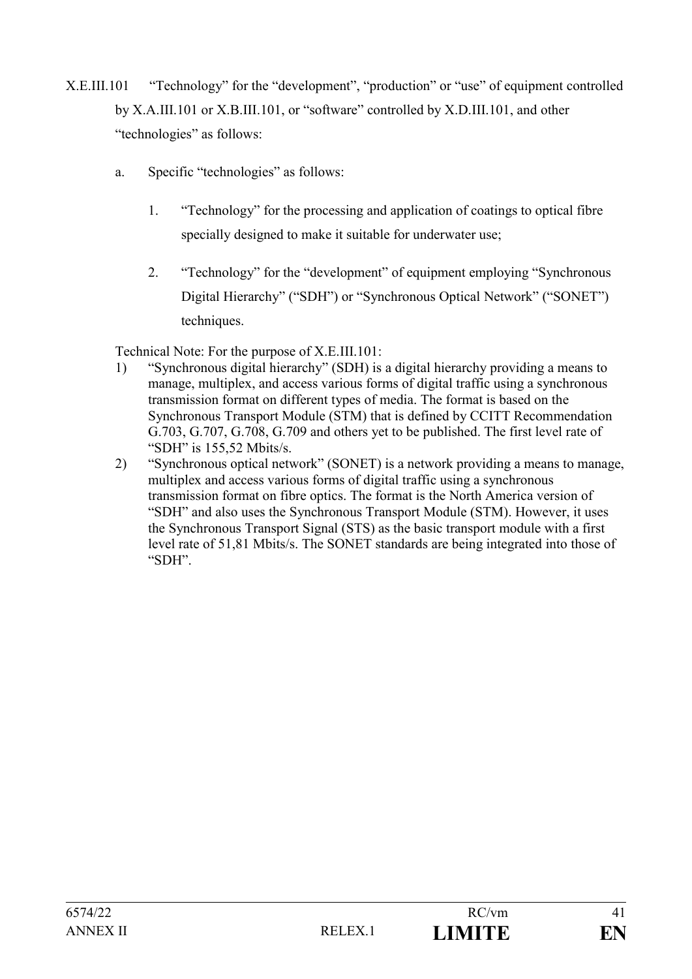- X.E.III.101 "Technology" for the "development", "production" or "use" of equipment controlled by X.A.III.101 or X.B.III.101, or "software" controlled by X.D.III.101, and other "technologies" as follows:
	- a. Specific "technologies" as follows:
		- 1. "Technology" for the processing and application of coatings to optical fibre specially designed to make it suitable for underwater use;
		- 2. "Technology" for the "development" of equipment employing "Synchronous Digital Hierarchy" ("SDH") or "Synchronous Optical Network" ("SONET") techniques.

Technical Note: For the purpose of X.E.III.101:

- 1) "Synchronous digital hierarchy" (SDH) is a digital hierarchy providing a means to manage, multiplex, and access various forms of digital traffic using a synchronous transmission format on different types of media. The format is based on the Synchronous Transport Module (STM) that is defined by CCITT Recommendation G.703, G.707, G.708, G.709 and others yet to be published. The first level rate of "SDH" is 155,52 Mbits/s.
- 2) "Synchronous optical network" (SONET) is a network providing a means to manage, multiplex and access various forms of digital traffic using a synchronous transmission format on fibre optics. The format is the North America version of "SDH" and also uses the Synchronous Transport Module (STM). However, it uses the Synchronous Transport Signal (STS) as the basic transport module with a first level rate of 51,81 Mbits/s. The SONET standards are being integrated into those of "SDH".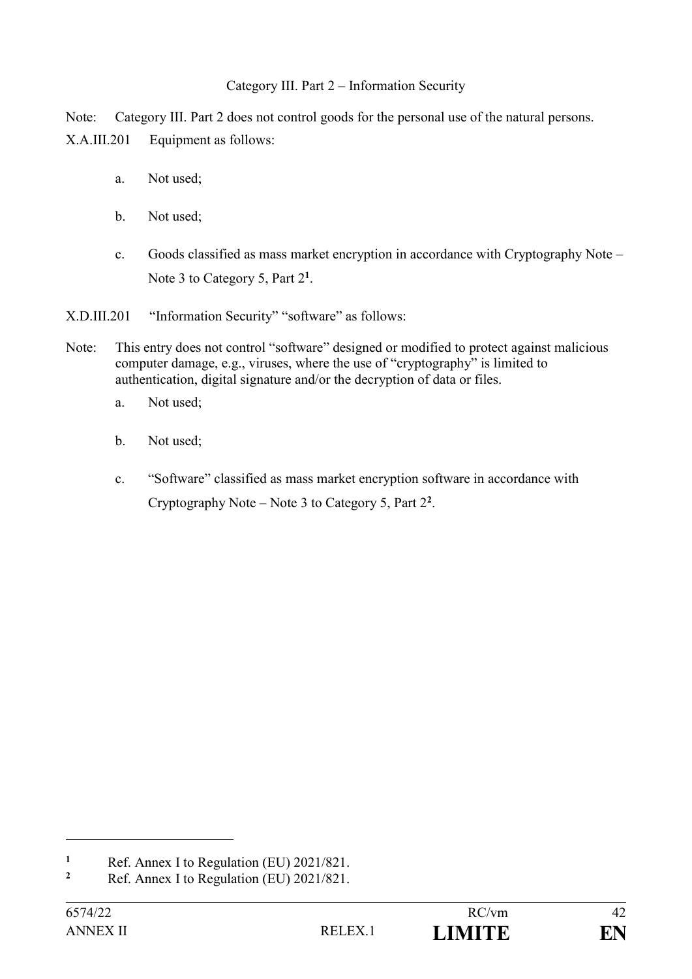#### Category III. Part 2 – Information Security

Note: Category III. Part 2 does not control goods for the personal use of the natural persons. X.A.III.201 Equipment as follows:

- a. Not used;
- b. Not used;
- c. Goods classified as mass market encryption in accordance with Cryptography Note Note 3 to Category 5, Part 2<sup>1</sup>.

X.D.III.201 "Information Security" "software" as follows:

- Note: This entry does not control "software" designed or modified to protect against malicious computer damage, e.g., viruses, where the use of "cryptography" is limited to authentication, digital signature and/or the decryption of data or files.
	- a. Not used;
	- b. Not used;
	- c. "Software" classified as mass market encryption software in accordance with Cryptography Note – Note 3 to Category 5, Part 2 **2** .

**<sup>1</sup>** Ref. Annex I to Regulation (EU)  $2021/821$ .

**<sup>2</sup>** Ref. Annex I to Regulation (EU) 2021/821.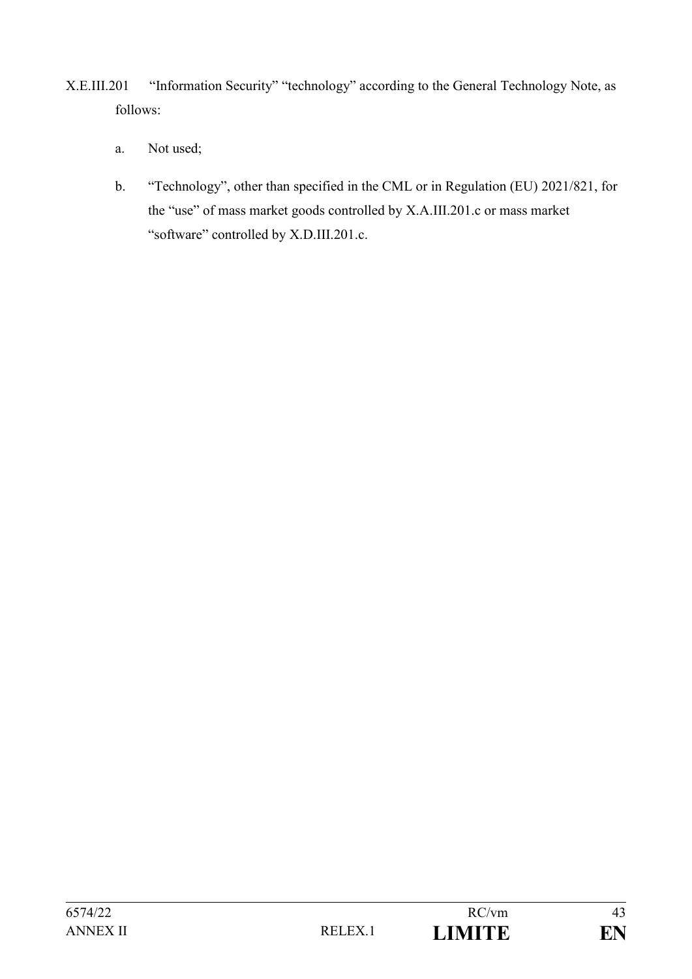- X.E.III.201 "Information Security" "technology" according to the General Technology Note, as follows:
	- a. Not used;
	- b. "Technology", other than specified in the CML or in Regulation (EU) 2021/821, for the "use" of mass market goods controlled by X.A.III.201.c or mass market "software" controlled by X.D.III.201.c.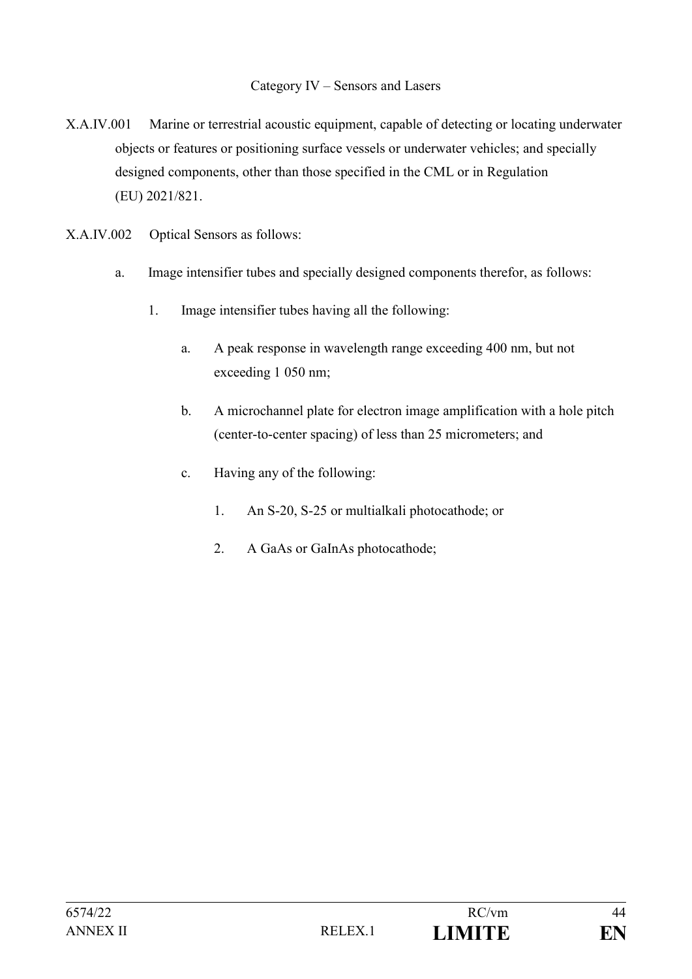#### Category IV – Sensors and Lasers

- X.A.IV.001 Marine or terrestrial acoustic equipment, capable of detecting or locating underwater objects or features or positioning surface vessels or underwater vehicles; and specially designed components, other than those specified in the CML or in Regulation (EU) 2021/821.
- X.A.IV.002 Optical Sensors as follows:
	- a. Image intensifier tubes and specially designed components therefor, as follows:
		- 1. Image intensifier tubes having all the following:
			- a. A peak response in wavelength range exceeding 400 nm, but not exceeding 1 050 nm;
			- b. A microchannel plate for electron image amplification with a hole pitch (center-to-center spacing) of less than 25 micrometers; and
			- c. Having any of the following:
				- 1. An S-20, S-25 or multialkali photocathode; or
				- 2. A GaAs or GaInAs photocathode;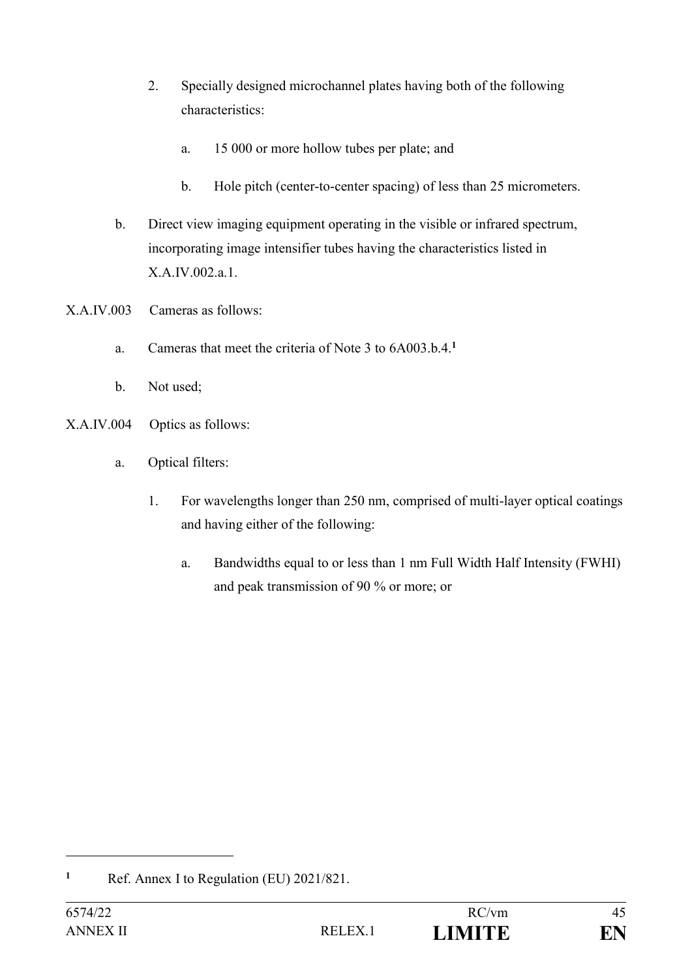- 2. Specially designed microchannel plates having both of the following characteristics:
	- a. 15 000 or more hollow tubes per plate; and
	- b. Hole pitch (center-to-center spacing) of less than 25 micrometers.
- b. Direct view imaging equipment operating in the visible or infrared spectrum, incorporating image intensifier tubes having the characteristics listed in X.A.IV.002.a.1.
- X.A.IV.003 Cameras as follows:
	- a. Cameras that meet the criteria of Note 3 to 6A003.b.4.**<sup>1</sup>**
	- b. Not used;
- X.A.IV.004 Optics as follows:
	- a. Optical filters:
		- 1. For wavelengths longer than 250 nm, comprised of multi-layer optical coatings and having either of the following:
			- a. Bandwidths equal to or less than 1 nm Full Width Half Intensity (FWHI) and peak transmission of 90 % or more; or

**<sup>1</sup>** Ref. Annex I to Regulation (EU) 2021/821.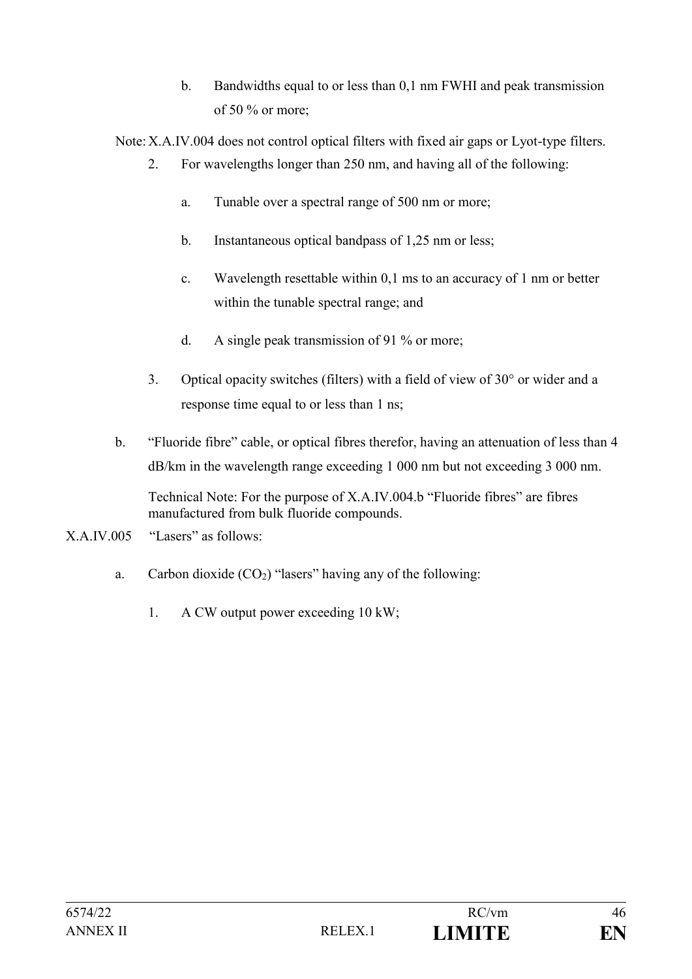b. Bandwidths equal to or less than 0,1 nm FWHI and peak transmission of 50 % or more;

Note:X.A.IV.004 does not control optical filters with fixed air gaps or Lyot-type filters.

- 2. For wavelengths longer than 250 nm, and having all of the following:
	- a. Tunable over a spectral range of 500 nm or more;
	- b. Instantaneous optical bandpass of 1,25 nm or less;
	- c. Wavelength resettable within 0,1 ms to an accuracy of 1 nm or better within the tunable spectral range; and
	- d. A single peak transmission of 91 % or more;
- 3. Optical opacity switches (filters) with a field of view of  $30^{\circ}$  or wider and a response time equal to or less than 1 ns;
- b. "Fluoride fibre" cable, or optical fibres therefor, having an attenuation of less than 4 dB/km in the wavelength range exceeding 1 000 nm but not exceeding 3 000 nm.

Technical Note: For the purpose of X.A.IV.004.b "Fluoride fibres" are fibres manufactured from bulk fluoride compounds.

- X.A.IV.005 "Lasers" as follows:
	- a. Carbon dioxide  $(CO_2)$  "lasers" having any of the following:
		- 1. A CW output power exceeding 10 kW;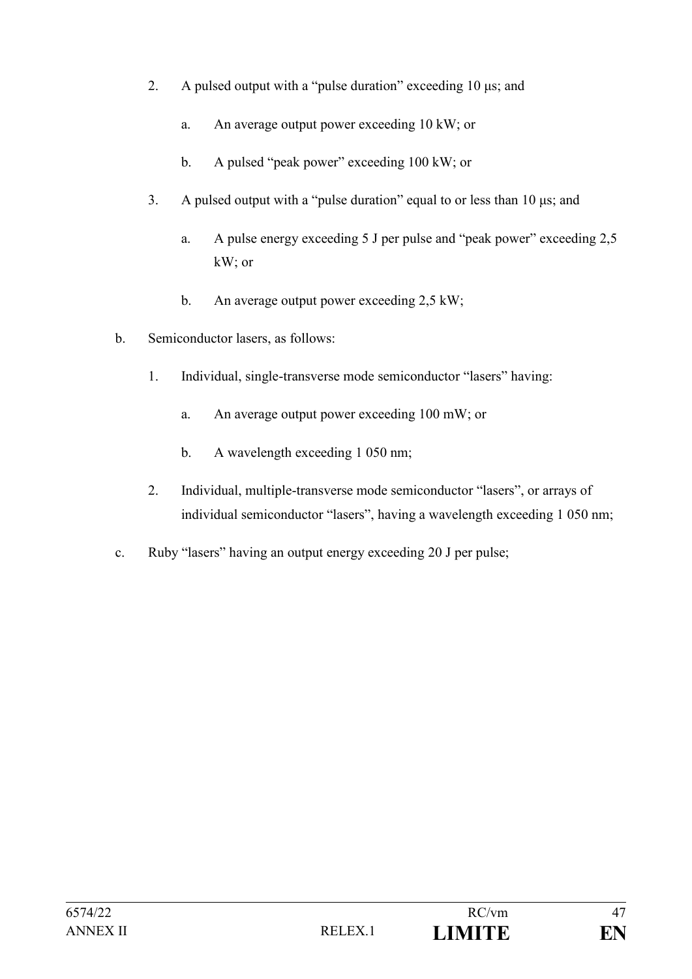- 2. A pulsed output with a "pulse duration" exceeding 10 μs; and
	- a. An average output power exceeding 10 kW; or
	- b. A pulsed "peak power" exceeding 100 kW; or
- 3. A pulsed output with a "pulse duration" equal to or less than 10 μs; and
	- a. A pulse energy exceeding 5 J per pulse and "peak power" exceeding 2,5 kW; or
	- b. An average output power exceeding 2,5 kW;
- b. Semiconductor lasers, as follows:
	- 1. Individual, single-transverse mode semiconductor "lasers" having:
		- a. An average output power exceeding 100 mW; or
		- b. A wavelength exceeding 1 050 nm;
	- 2. Individual, multiple-transverse mode semiconductor "lasers", or arrays of individual semiconductor "lasers", having a wavelength exceeding 1 050 nm;
- c. Ruby "lasers" having an output energy exceeding 20 J per pulse;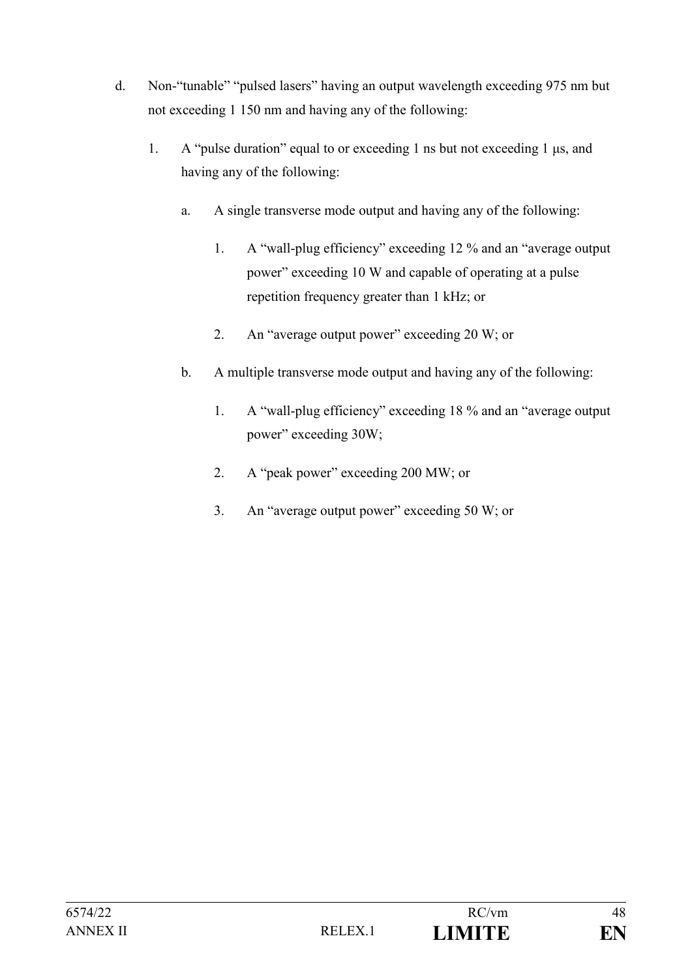- d. Non-"tunable" "pulsed lasers" having an output wavelength exceeding 975 nm but not exceeding 1 150 nm and having any of the following:
	- 1. A "pulse duration" equal to or exceeding 1 ns but not exceeding 1 μs, and having any of the following:
		- a. A single transverse mode output and having any of the following:
			- 1. A "wall-plug efficiency" exceeding 12 % and an "average output power" exceeding 10 W and capable of operating at a pulse repetition frequency greater than 1 kHz; or
			- 2. An "average output power" exceeding 20 W; or
		- b. A multiple transverse mode output and having any of the following:
			- 1. A "wall-plug efficiency" exceeding 18 % and an "average output power" exceeding 30W;
			- 2. A "peak power" exceeding 200 MW; or
			- 3. An "average output power" exceeding 50 W; or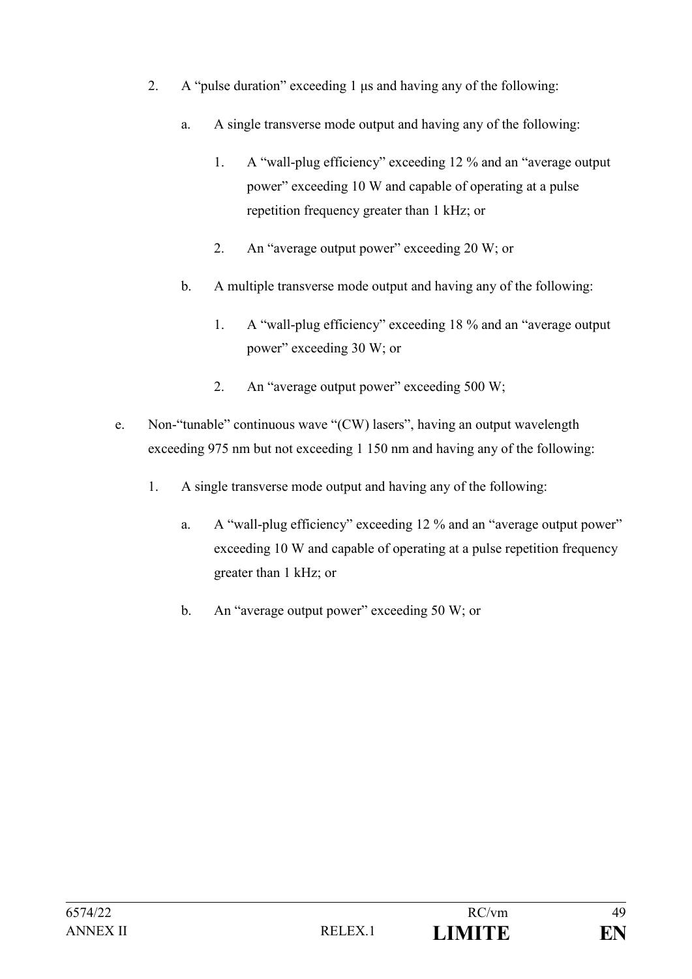- 2. A "pulse duration" exceeding 1 μs and having any of the following:
	- a. A single transverse mode output and having any of the following:
		- 1. A "wall-plug efficiency" exceeding 12 % and an "average output power" exceeding 10 W and capable of operating at a pulse repetition frequency greater than 1 kHz; or
		- 2. An "average output power" exceeding 20 W; or
	- b. A multiple transverse mode output and having any of the following:
		- 1. A "wall-plug efficiency" exceeding 18 % and an "average output power" exceeding 30 W; or
		- 2. An "average output power" exceeding 500 W;
- e. Non-"tunable" continuous wave "(CW) lasers", having an output wavelength exceeding 975 nm but not exceeding 1 150 nm and having any of the following:
	- 1. A single transverse mode output and having any of the following:
		- a. A "wall-plug efficiency" exceeding 12 % and an "average output power" exceeding 10 W and capable of operating at a pulse repetition frequency greater than 1 kHz; or
		- b. An "average output power" exceeding 50 W; or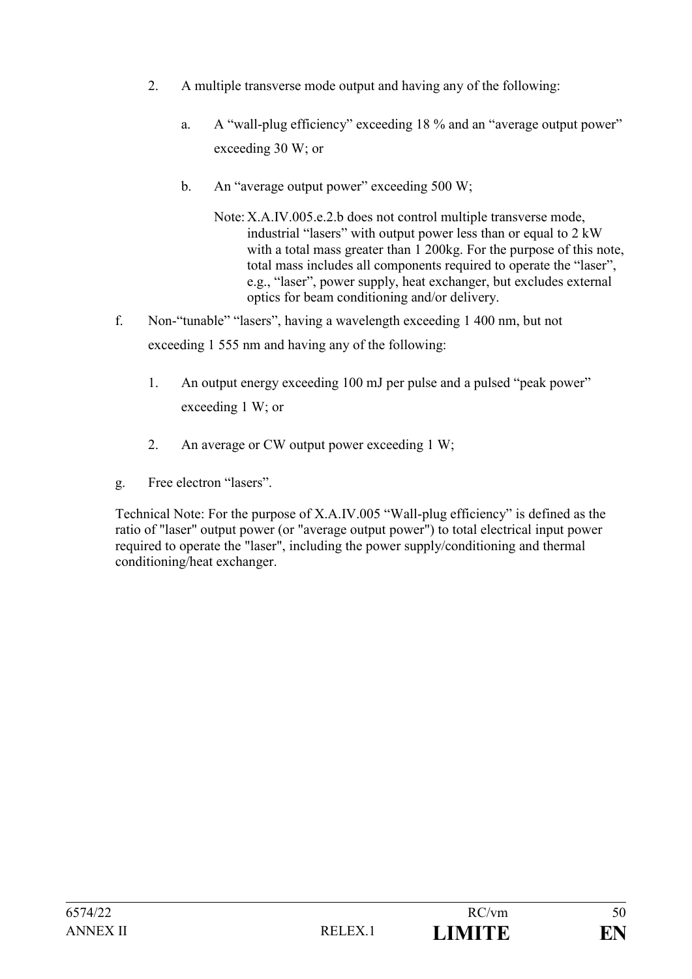- 2. A multiple transverse mode output and having any of the following:
	- a. A "wall-plug efficiency" exceeding 18 % and an "average output power" exceeding 30 W; or
	- b. An "average output power" exceeding 500 W;
		- Note: X.A.IV.005.e.2.b does not control multiple transverse mode, industrial "lasers" with output power less than or equal to 2 kW with a total mass greater than 1 200kg. For the purpose of this note, total mass includes all components required to operate the "laser", e.g., "laser", power supply, heat exchanger, but excludes external optics for beam conditioning and/or delivery.
- f. Non-"tunable" "lasers", having a wavelength exceeding 1 400 nm, but not exceeding 1 555 nm and having any of the following:
	- 1. An output energy exceeding 100 mJ per pulse and a pulsed "peak power" exceeding 1 W; or
	- 2. An average or CW output power exceeding 1 W;
- g. Free electron "lasers".

Technical Note: For the purpose of X.A.IV.005 "Wall-plug efficiency" is defined as the ratio of "laser" output power (or "average output power") to total electrical input power required to operate the "laser", including the power supply/conditioning and thermal conditioning/heat exchanger.

| 6574/22  |                    | RC/vm         | 50 |
|----------|--------------------|---------------|----|
| ANNEX II | RELEX <sup>1</sup> | <b>LIMITE</b> | EN |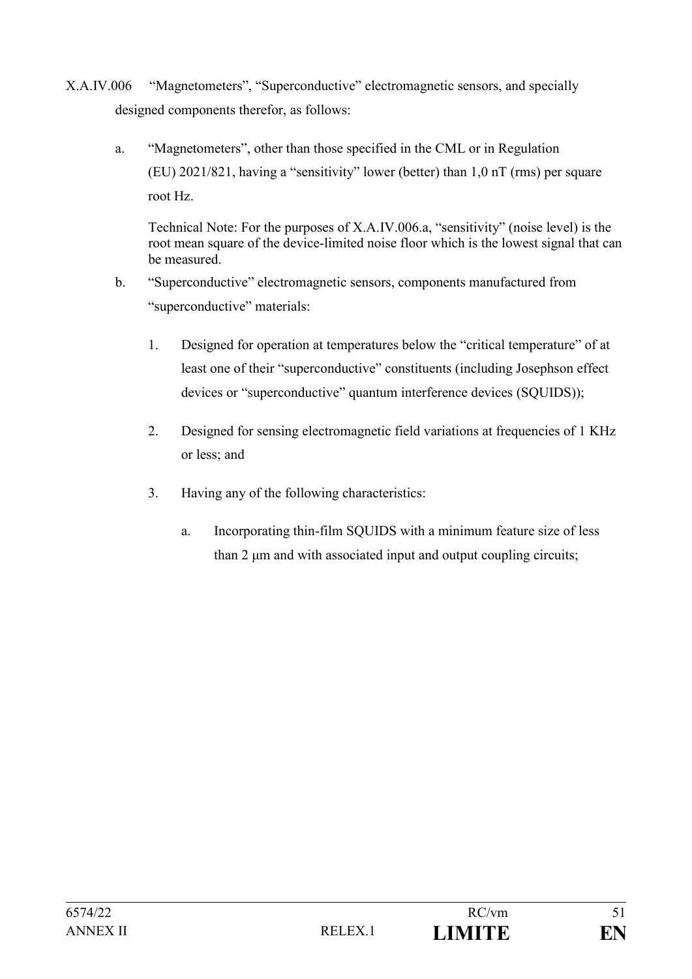- X.A.IV.006 "Magnetometers", "Superconductive" electromagnetic sensors, and specially designed components therefor, as follows:
	- a. "Magnetometers", other than those specified in the CML or in Regulation (EU) 2021/821, having a "sensitivity" lower (better) than 1,0 nT (rms) per square root Hz.

Technical Note: For the purposes of X.A.IV.006.a, "sensitivity" (noise level) is the root mean square of the device-limited noise floor which is the lowest signal that can be measured.

- b. "Superconductive" electromagnetic sensors, components manufactured from "superconductive" materials:
	- 1. Designed for operation at temperatures below the "critical temperature" of at least one of their "superconductive" constituents (including Josephson effect devices or "superconductive" quantum interference devices (SQUIDS));
	- 2. Designed for sensing electromagnetic field variations at frequencies of 1 KHz or less; and
	- 3. Having any of the following characteristics:
		- a. Incorporating thin-film SQUIDS with a minimum feature size of less than 2 μm and with associated input and output coupling circuits;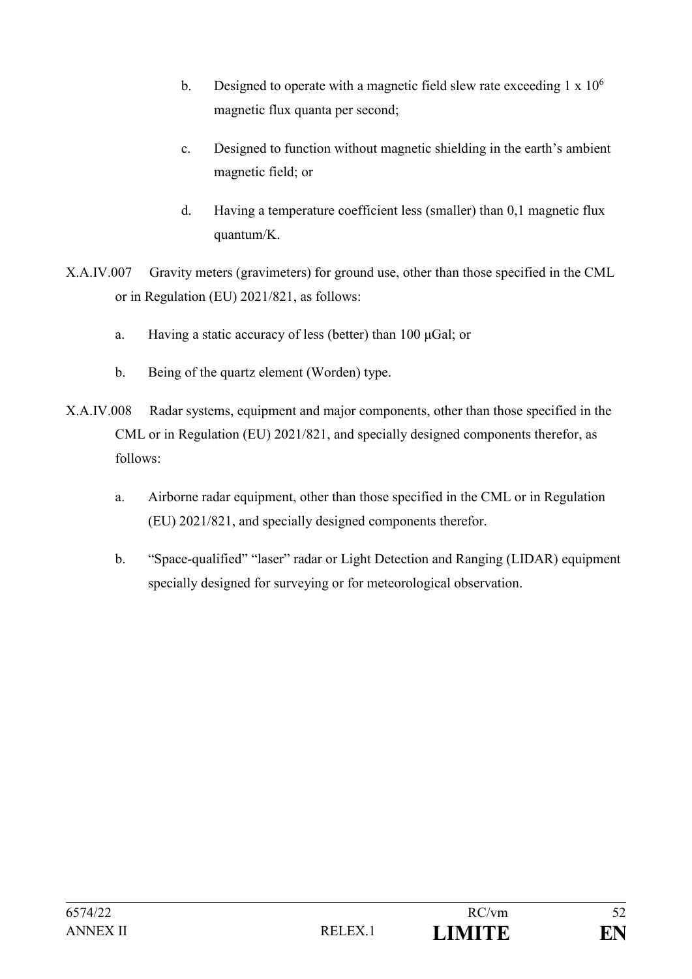- b. Designed to operate with a magnetic field slew rate exceeding  $1 \times 10^6$ magnetic flux quanta per second;
- c. Designed to function without magnetic shielding in the earth's ambient magnetic field; or
- d. Having a temperature coefficient less (smaller) than 0,1 magnetic flux quantum/K.
- X.A.IV.007 Gravity meters (gravimeters) for ground use, other than those specified in the CML or in Regulation (EU) 2021/821, as follows:
	- a. Having a static accuracy of less (better) than 100 μGal; or
	- b. Being of the quartz element (Worden) type.
- X.A.IV.008 Radar systems, equipment and major components, other than those specified in the CML or in Regulation (EU) 2021/821, and specially designed components therefor, as follows:
	- a. Airborne radar equipment, other than those specified in the CML or in Regulation (EU) 2021/821, and specially designed components therefor.
	- b. "Space-qualified" "laser" radar or Light Detection and Ranging (LIDAR) equipment specially designed for surveying or for meteorological observation.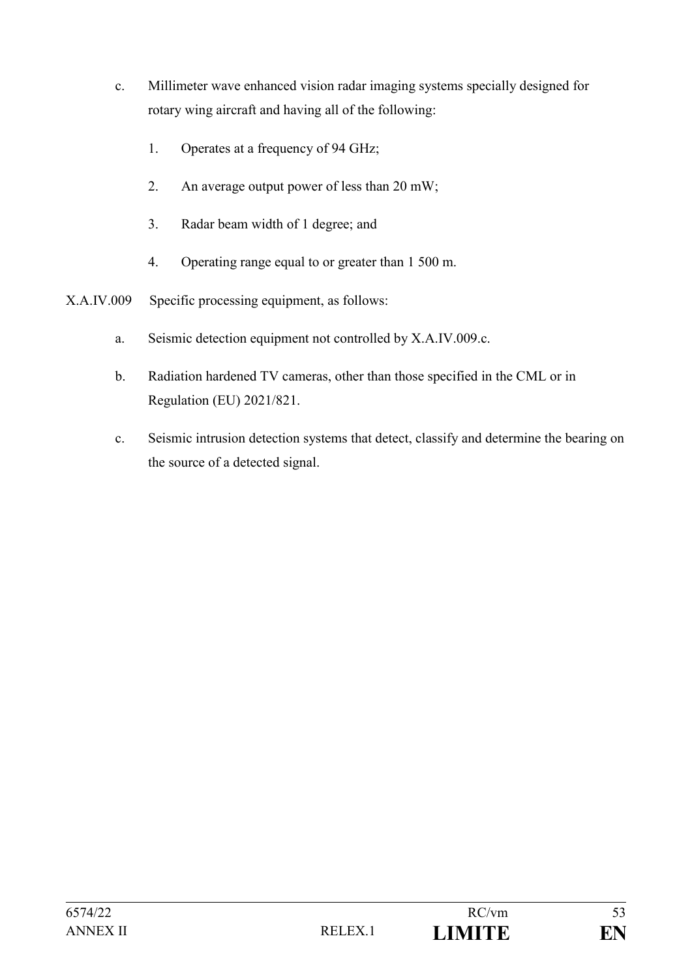- c. Millimeter wave enhanced vision radar imaging systems specially designed for rotary wing aircraft and having all of the following:
	- 1. Operates at a frequency of 94 GHz;
	- 2. An average output power of less than 20 mW;
	- 3. Radar beam width of 1 degree; and
	- 4. Operating range equal to or greater than 1 500 m.
- X.A.IV.009 Specific processing equipment, as follows:
	- a. Seismic detection equipment not controlled by X.A.IV.009.c.
	- b. Radiation hardened TV cameras, other than those specified in the CML or in Regulation (EU) 2021/821.
	- c. Seismic intrusion detection systems that detect, classify and determine the bearing on the source of a detected signal.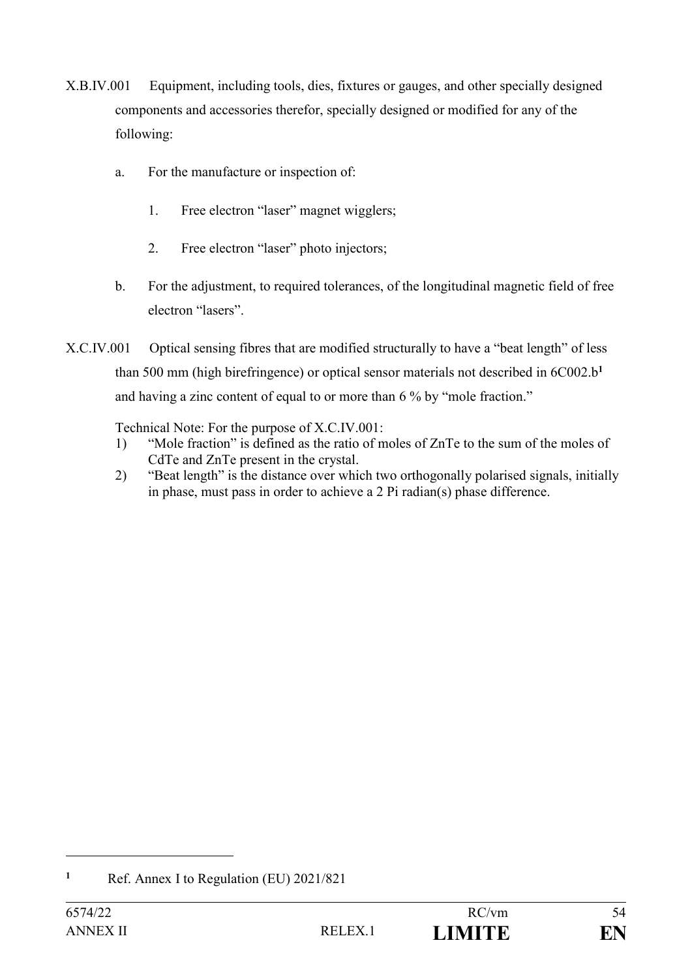- X.B.IV.001 Equipment, including tools, dies, fixtures or gauges, and other specially designed components and accessories therefor, specially designed or modified for any of the following:
	- a. For the manufacture or inspection of:
		- 1. Free electron "laser" magnet wigglers;
		- 2. Free electron "laser" photo injectors;
	- b. For the adjustment, to required tolerances, of the longitudinal magnetic field of free electron "lasers".
- X.C.IV.001 Optical sensing fibres that are modified structurally to have a "beat length" of less than 500 mm (high birefringence) or optical sensor materials not described in 6C002.b**<sup>1</sup>** and having a zinc content of equal to or more than 6 % by "mole fraction."

Technical Note: For the purpose of X.C.IV.001:

- 1) "Mole fraction" is defined as the ratio of moles of ZnTe to the sum of the moles of CdTe and ZnTe present in the crystal.
- 2) "Beat length" is the distance over which two orthogonally polarised signals, initially in phase, must pass in order to achieve a 2 Pi radian(s) phase difference.

**<sup>1</sup>** Ref. Annex I to Regulation (EU) 2021/821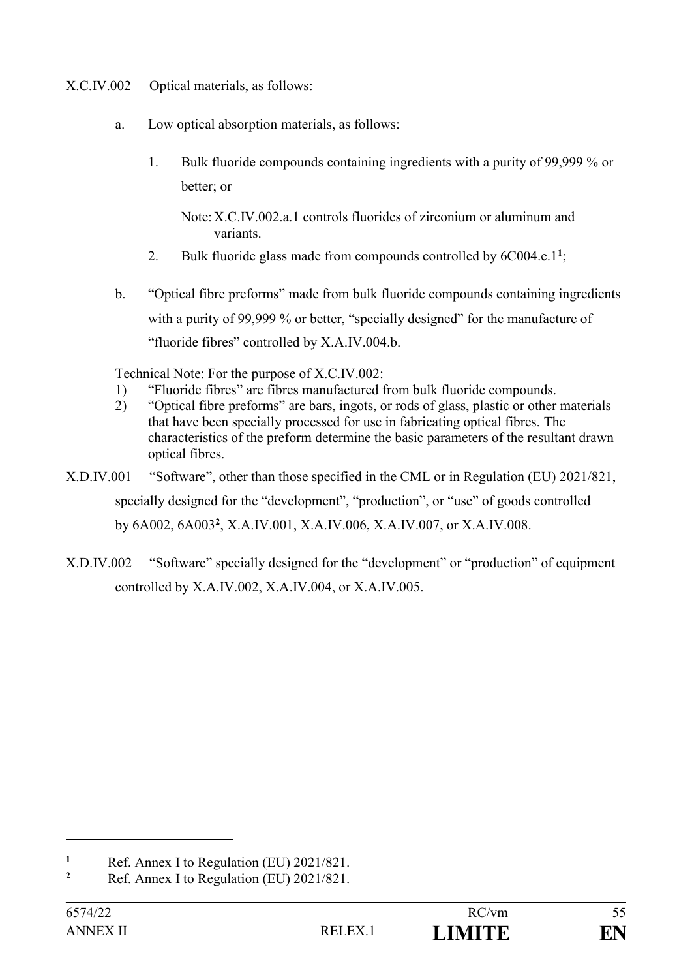- X.C.IV.002 Optical materials, as follows:
	- a. Low optical absorption materials, as follows:
		- 1. Bulk fluoride compounds containing ingredients with a purity of 99,999 % or better; or

Note:X.C.IV.002.a.1 controls fluorides of zirconium or aluminum and variants.

- 2. Bulk fluoride glass made from compounds controlled by 6C004.e.1**<sup>1</sup>** ;
- b. "Optical fibre preforms" made from bulk fluoride compounds containing ingredients with a purity of 99,999 % or better, "specially designed" for the manufacture of "fluoride fibres" controlled by X.A.IV.004.b.

Technical Note: For the purpose of X.C.IV.002:

- 1) "Fluoride fibres" are fibres manufactured from bulk fluoride compounds.
- 2) "Optical fibre preforms" are bars, ingots, or rods of glass, plastic or other materials that have been specially processed for use in fabricating optical fibres. The characteristics of the preform determine the basic parameters of the resultant drawn optical fibres.
- X.D.IV.001 "Software", other than those specified in the CML or in Regulation (EU) 2021/821, specially designed for the "development", "production", or "use" of goods controlled by 6A002, 6A003**<sup>2</sup>** , X.A.IV.001, X.A.IV.006, X.A.IV.007, or X.A.IV.008.
- X.D.IV.002 "Software" specially designed for the "development" or "production" of equipment controlled by X.A.IV.002, X.A.IV.004, or X.A.IV.005.

**<sup>1</sup>** Ref. Annex I to Regulation (EU)  $2021/821$ .

**<sup>2</sup>** Ref. Annex I to Regulation (EU) 2021/821.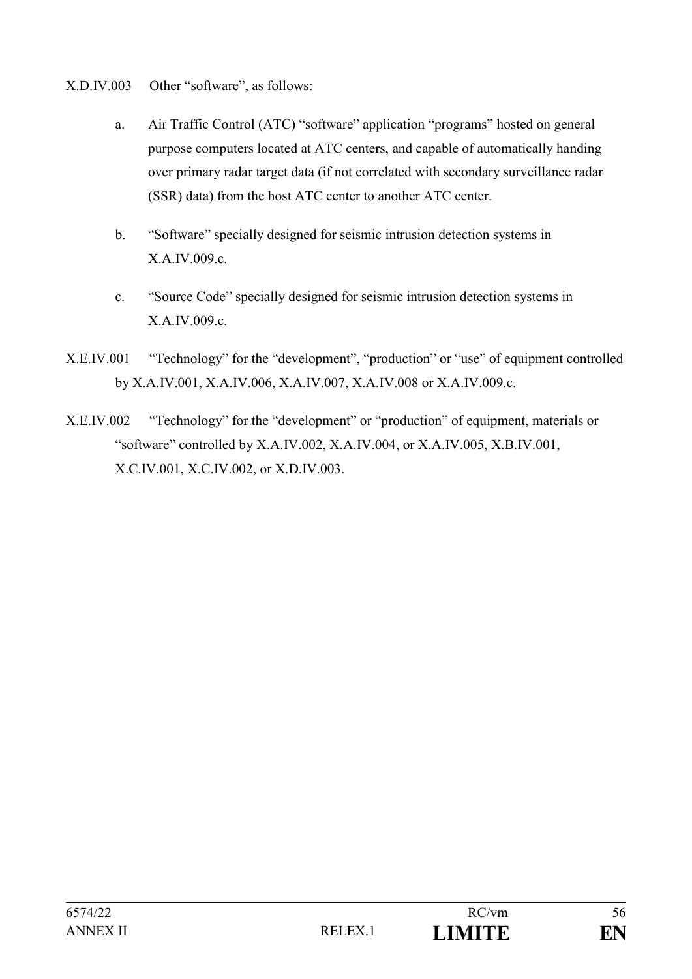- X.D.IV.003 Other "software", as follows:
	- a. Air Traffic Control (ATC) "software" application "programs" hosted on general purpose computers located at ATC centers, and capable of automatically handing over primary radar target data (if not correlated with secondary surveillance radar (SSR) data) from the host ATC center to another ATC center.
	- b. "Software" specially designed for seismic intrusion detection systems in X.A.IV.009.c.
	- c. "Source Code" specially designed for seismic intrusion detection systems in X.A.IV.009.c.
- X.E.IV.001 "Technology" for the "development", "production" or "use" of equipment controlled by X.A.IV.001, X.A.IV.006, X.A.IV.007, X.A.IV.008 or X.A.IV.009.c.
- X.E.IV.002 "Technology" for the "development" or "production" of equipment, materials or "software" controlled by X.A.IV.002, X.A.IV.004, or X.A.IV.005, X.B.IV.001, X.C.IV.001, X.C.IV.002, or X.D.IV.003.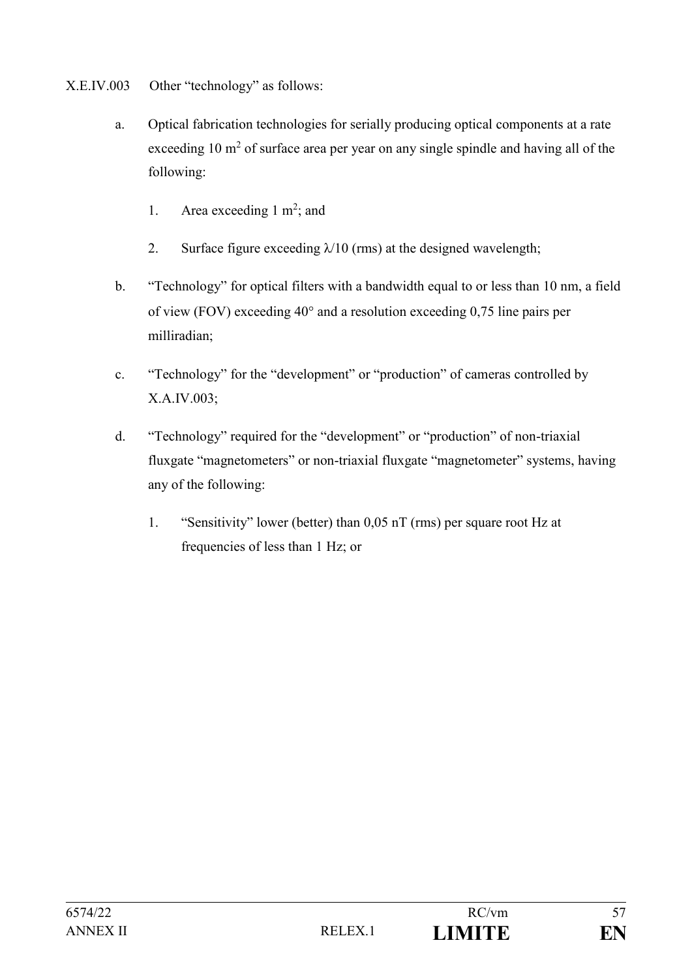- X.E.IV.003 Other "technology" as follows:
	- a. Optical fabrication technologies for serially producing optical components at a rate exceeding 10  $m<sup>2</sup>$  of surface area per year on any single spindle and having all of the following:
		- 1. Area exceeding  $1 \text{ m}^2$ ; and
		- 2. Surface figure exceeding  $\lambda/10$  (rms) at the designed wavelength;
	- b. "Technology" for optical filters with a bandwidth equal to or less than 10 nm, a field of view (FOV) exceeding  $40^{\circ}$  and a resolution exceeding 0,75 line pairs per milliradian;
	- c. "Technology" for the "development" or "production" of cameras controlled by X.A.IV.003;
	- d. "Technology" required for the "development" or "production" of non-triaxial fluxgate "magnetometers" or non-triaxial fluxgate "magnetometer" systems, having any of the following:
		- 1. "Sensitivity" lower (better) than 0,05 nT (rms) per square root Hz at frequencies of less than 1 Hz; or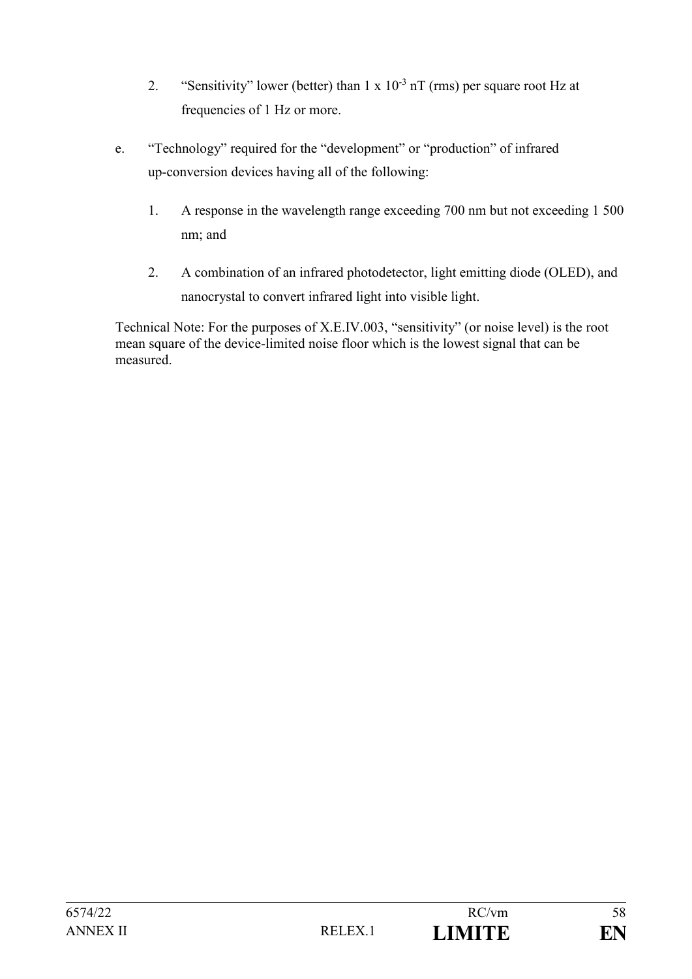- 2. "Sensitivity" lower (better) than  $1 \times 10^{-3}$  nT (rms) per square root Hz at frequencies of 1 Hz or more.
- e. "Technology" required for the "development" or "production" of infrared up-conversion devices having all of the following:
	- 1. A response in the wavelength range exceeding 700 nm but not exceeding 1 500 nm; and
	- 2. A combination of an infrared photodetector, light emitting diode (OLED), and nanocrystal to convert infrared light into visible light.

Technical Note: For the purposes of X.E.IV.003, "sensitivity" (or noise level) is the root mean square of the device-limited noise floor which is the lowest signal that can be measured.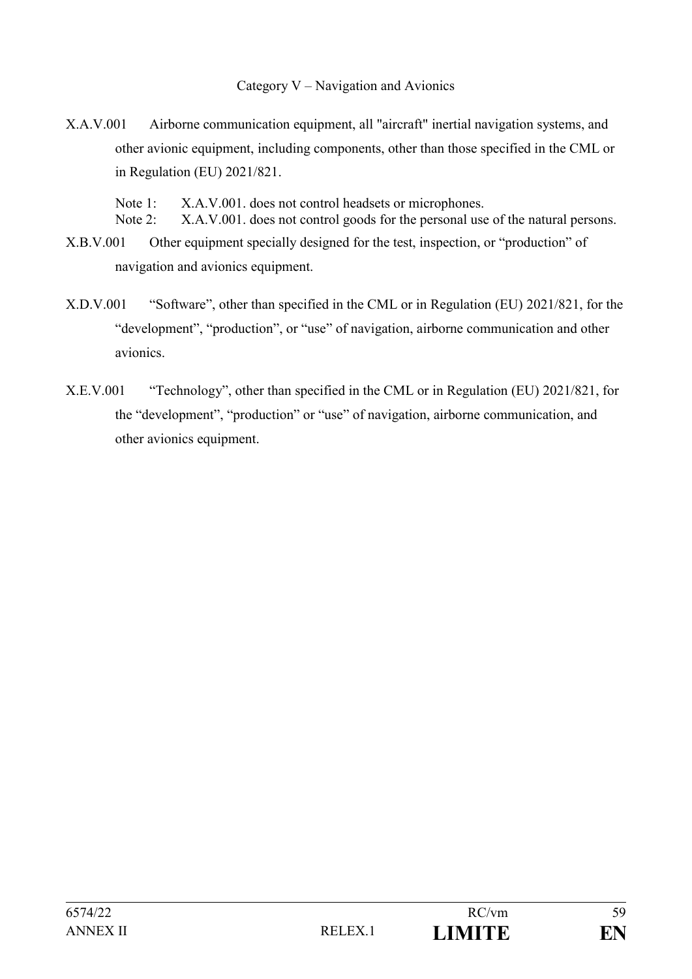Category V – Navigation and Avionics

X.A.V.001 Airborne communication equipment, all "aircraft" inertial navigation systems, and other avionic equipment, including components, other than those specified in the CML or in Regulation (EU) 2021/821.

Note 1: X.A.V.001. does not control headsets or microphones.

- Note 2: X.A.V.001. does not control goods for the personal use of the natural persons.
- X.B.V.001 Other equipment specially designed for the test, inspection, or "production" of navigation and avionics equipment.
- X.D.V.001 "Software", other than specified in the CML or in Regulation (EU) 2021/821, for the "development", "production", or "use" of navigation, airborne communication and other avionics.
- X.E.V.001 "Technology", other than specified in the CML or in Regulation (EU) 2021/821, for the "development", "production" or "use" of navigation, airborne communication, and other avionics equipment.

| 6574/22  |                     | RC/vm         | 59 |
|----------|---------------------|---------------|----|
| ANNEX II | RELEX <sub>.1</sub> | <b>LIMITE</b> | EN |
|          |                     |               |    |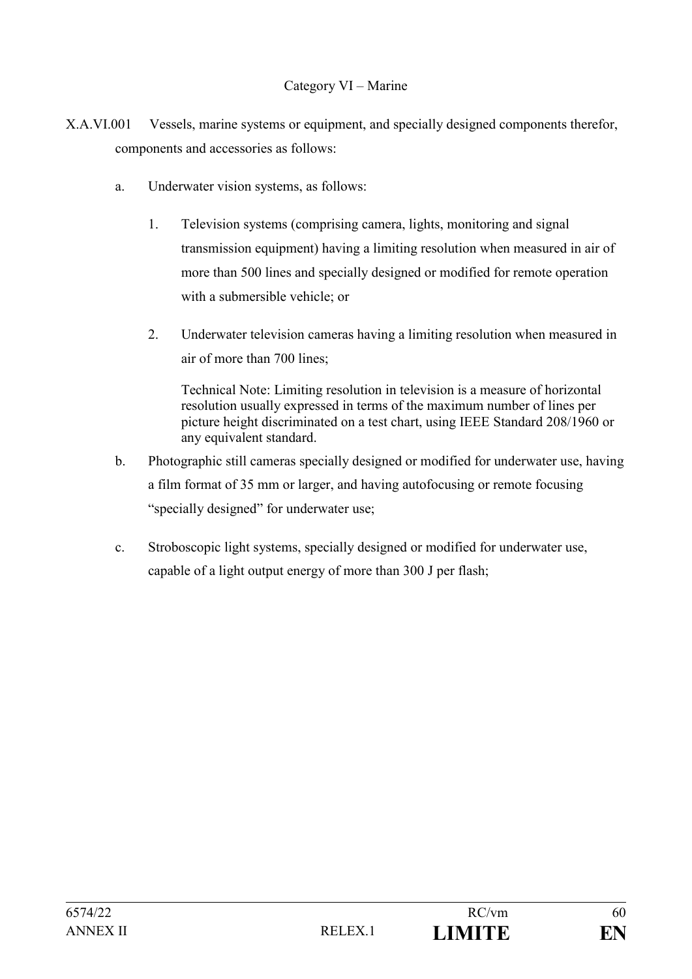#### Category VI – Marine

- X.A.VI.001 Vessels, marine systems or equipment, and specially designed components therefor, components and accessories as follows:
	- a. Underwater vision systems, as follows:
		- 1. Television systems (comprising camera, lights, monitoring and signal transmission equipment) having a limiting resolution when measured in air of more than 500 lines and specially designed or modified for remote operation with a submersible vehicle; or
		- 2. Underwater television cameras having a limiting resolution when measured in air of more than 700 lines;

Technical Note: Limiting resolution in television is a measure of horizontal resolution usually expressed in terms of the maximum number of lines per picture height discriminated on a test chart, using IEEE Standard 208/1960 or any equivalent standard.

- b. Photographic still cameras specially designed or modified for underwater use, having a film format of 35 mm or larger, and having autofocusing or remote focusing "specially designed" for underwater use;
- c. Stroboscopic light systems, specially designed or modified for underwater use, capable of a light output energy of more than 300 J per flash;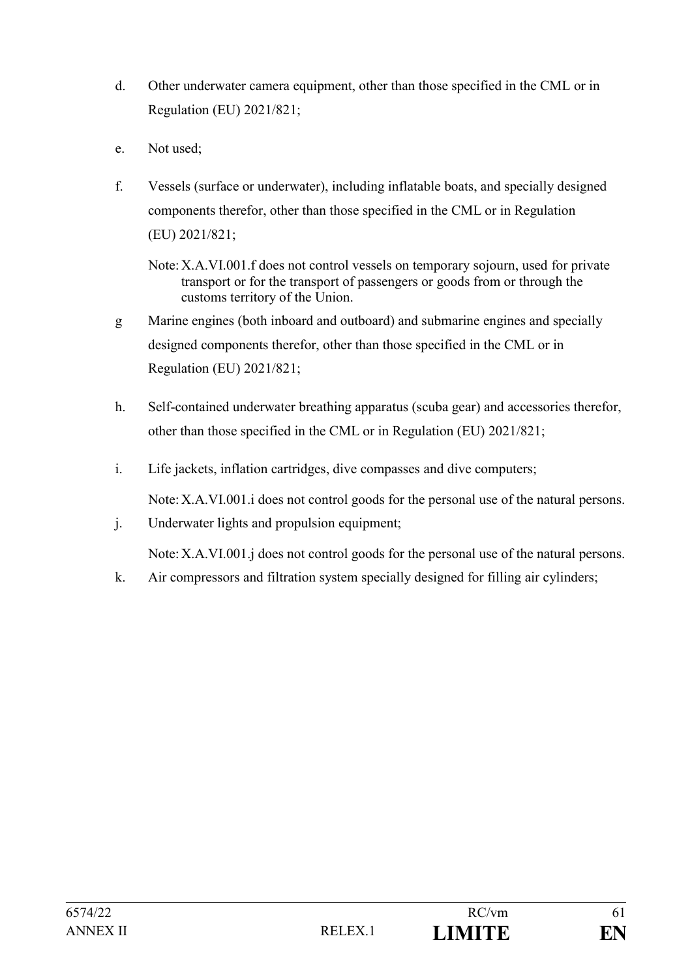- d. Other underwater camera equipment, other than those specified in the CML or in Regulation (EU) 2021/821;
- e. Not used;
- f. Vessels (surface or underwater), including inflatable boats, and specially designed components therefor, other than those specified in the CML or in Regulation (EU) 2021/821;
	- Note:X.A.VI.001.f does not control vessels on temporary sojourn, used for private transport or for the transport of passengers or goods from or through the customs territory of the Union.
- g Marine engines (both inboard and outboard) and submarine engines and specially designed components therefor, other than those specified in the CML or in Regulation (EU) 2021/821;
- h. Self-contained underwater breathing apparatus (scuba gear) and accessories therefor, other than those specified in the CML or in Regulation (EU) 2021/821;
- i. Life jackets, inflation cartridges, dive compasses and dive computers;

Note:X.A.VI.001.i does not control goods for the personal use of the natural persons.

j. Underwater lights and propulsion equipment;

Note: X.A.VI.001.*j* does not control goods for the personal use of the natural persons.

k. Air compressors and filtration system specially designed for filling air cylinders;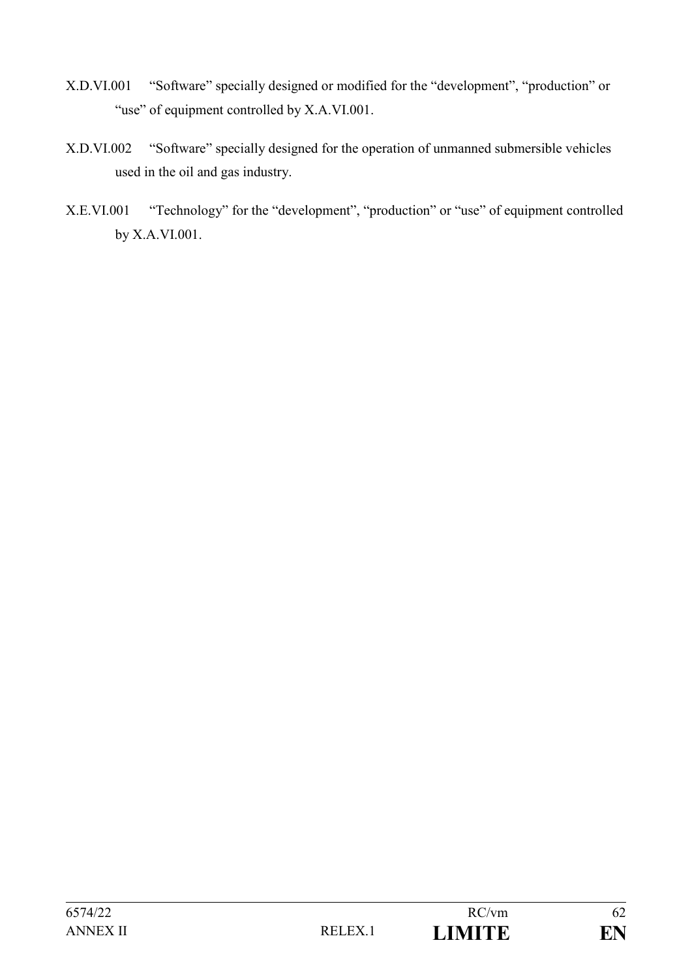- X.D.VI.001 "Software" specially designed or modified for the "development", "production" or "use" of equipment controlled by X.A.VI.001.
- X.D.VI.002 "Software" specially designed for the operation of unmanned submersible vehicles used in the oil and gas industry.
- X.E.VI.001 "Technology" for the "development", "production" or "use" of equipment controlled by X.A.VI.001.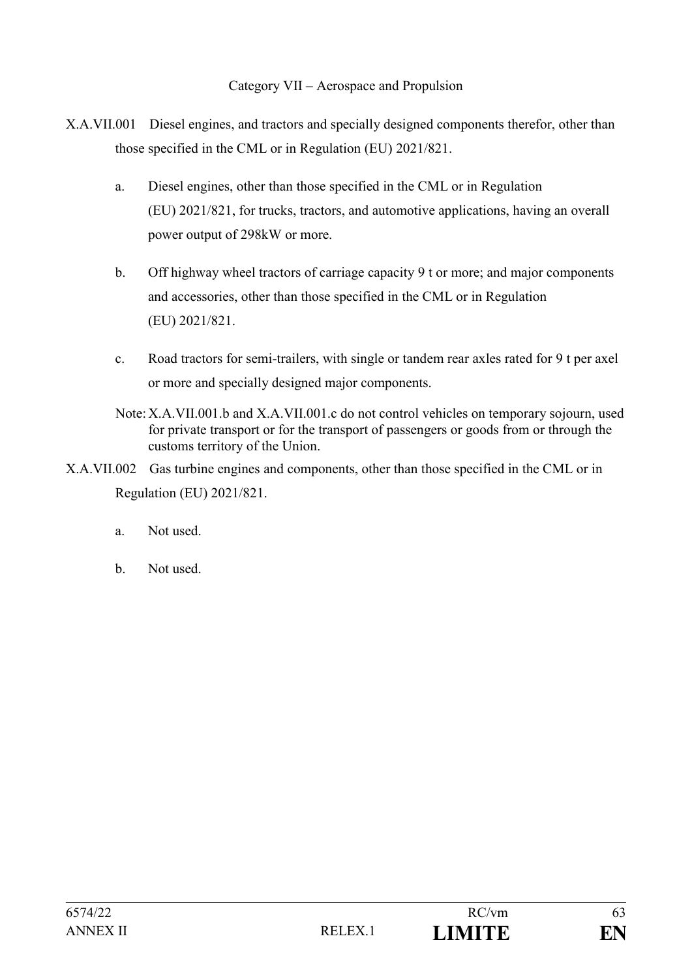#### Category VII – Aerospace and Propulsion

- X.A.VII.001 Diesel engines, and tractors and specially designed components therefor, other than those specified in the CML or in Regulation (EU) 2021/821.
	- a. Diesel engines, other than those specified in the CML or in Regulation (EU) 2021/821, for trucks, tractors, and automotive applications, having an overall power output of 298kW or more.
	- b. Off highway wheel tractors of carriage capacity 9 t or more; and major components and accessories, other than those specified in the CML or in Regulation (EU) 2021/821.
	- c. Road tractors for semi-trailers, with single or tandem rear axles rated for 9 t per axel or more and specially designed major components.
	- Note:X.A.VII.001.b and X.A.VII.001.c do not control vehicles on temporary sojourn, used for private transport or for the transport of passengers or goods from or through the customs territory of the Union.
- X.A.VII.002 Gas turbine engines and components, other than those specified in the CML or in Regulation (EU) 2021/821.
	- a. Not used.
	- b. Not used.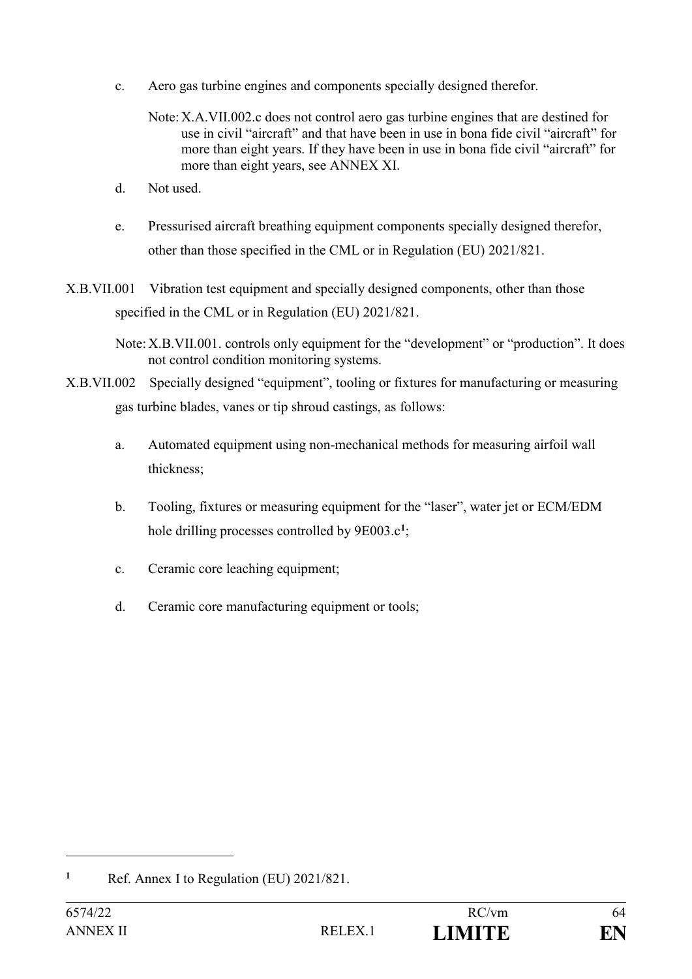- c. Aero gas turbine engines and components specially designed therefor.
	- Note:X.A.VII.002.c does not control aero gas turbine engines that are destined for use in civil "aircraft" and that have been in use in bona fide civil "aircraft" for more than eight years. If they have been in use in bona fide civil "aircraft" for more than eight years, see ANNEX XI.
- d. Not used.
- e. Pressurised aircraft breathing equipment components specially designed therefor, other than those specified in the CML or in Regulation (EU) 2021/821.
- X.B.VII.001 Vibration test equipment and specially designed components, other than those specified in the CML or in Regulation (EU) 2021/821.
	- Note:X.B.VII.001. controls only equipment for the "development" or "production". It does not control condition monitoring systems.
- X.B.VII.002 Specially designed "equipment", tooling or fixtures for manufacturing or measuring gas turbine blades, vanes or tip shroud castings, as follows:
	- a. Automated equipment using non-mechanical methods for measuring airfoil wall thickness;
	- b. Tooling, fixtures or measuring equipment for the "laser", water jet or ECM/EDM hole drilling processes controlled by 9E003.c**<sup>1</sup>** ;
	- c. Ceramic core leaching equipment;
	- d. Ceramic core manufacturing equipment or tools;

**<sup>1</sup>** Ref. Annex I to Regulation (EU) 2021/821.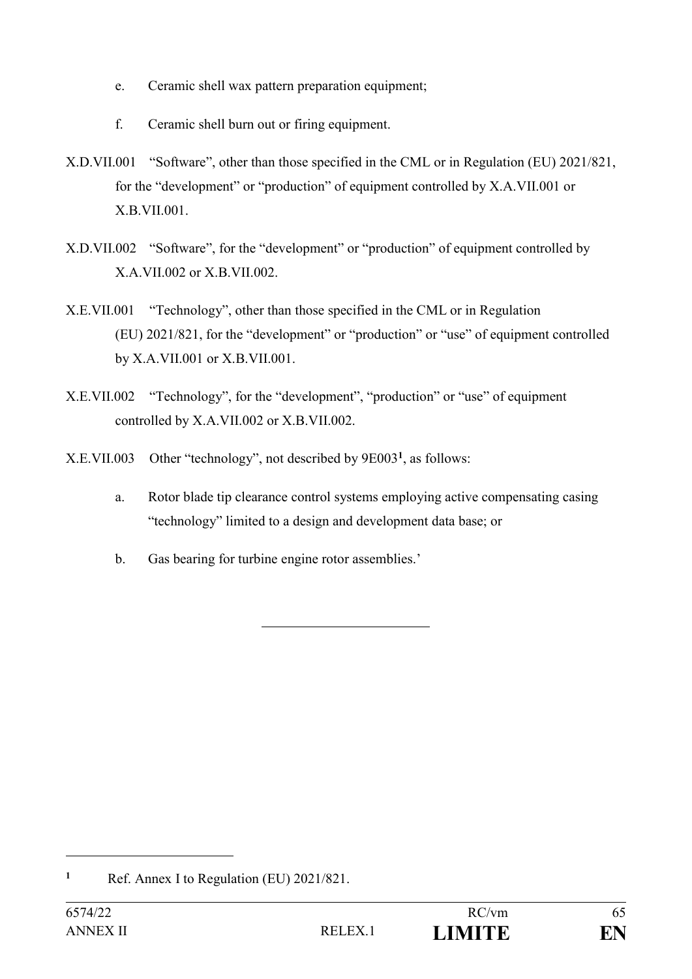- e. Ceramic shell wax pattern preparation equipment;
- f. Ceramic shell burn out or firing equipment.
- X.D.VII.001 "Software", other than those specified in the CML or in Regulation (EU) 2021/821, for the "development" or "production" of equipment controlled by X.A.VII.001 or X.B.VII.001.
- X.D.VII.002 "Software", for the "development" or "production" of equipment controlled by X.A.VII.002 or X.B.VII.002.
- X.E.VII.001 "Technology", other than those specified in the CML or in Regulation (EU) 2021/821, for the "development" or "production" or "use" of equipment controlled by X.A.VII.001 or X.B.VII.001.
- X.E.VII.002 "Technology", for the "development", "production" or "use" of equipment controlled by X.A.VII.002 or X.B.VII.002.
- X.E.VII.003 Other "technology", not described by 9E003**<sup>1</sup>** , as follows:
	- a. Rotor blade tip clearance control systems employing active compensating casing "technology" limited to a design and development data base; or
	- b. Gas bearing for turbine engine rotor assemblies.'

**<sup>1</sup>** Ref. Annex I to Regulation (EU) 2021/821.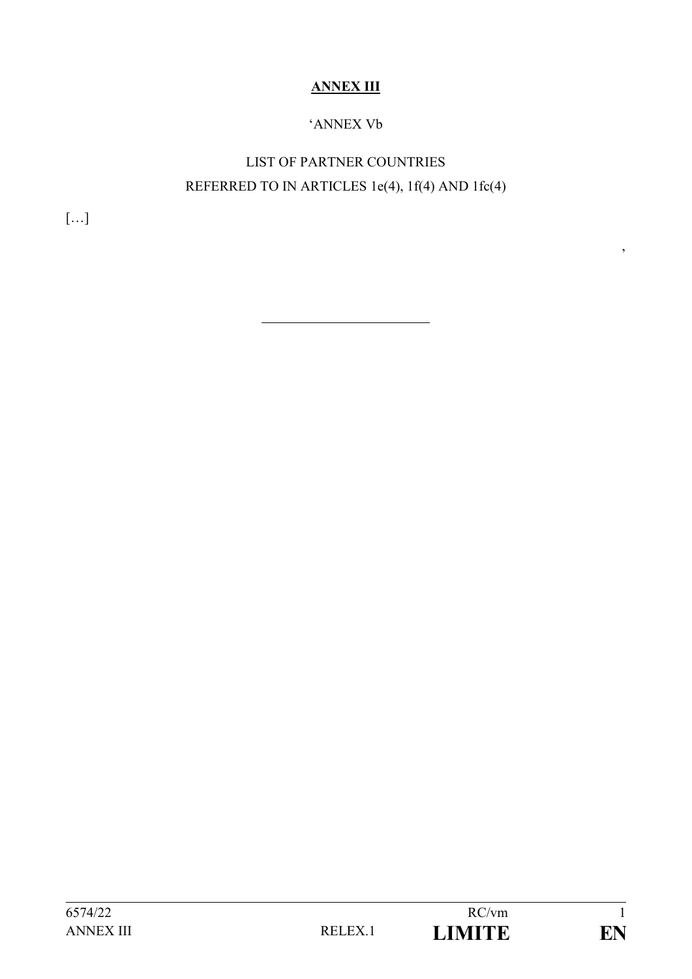## **ANNEX III**

### 'ANNEX Vb

# LIST OF PARTNER COUNTRIES REFERRED TO IN ARTICLES 1e(4), 1f(4) AND 1fc(4)

 $[\ldots]$ 

6574/22 RC/vm 1

 $\overline{\phantom{a}}$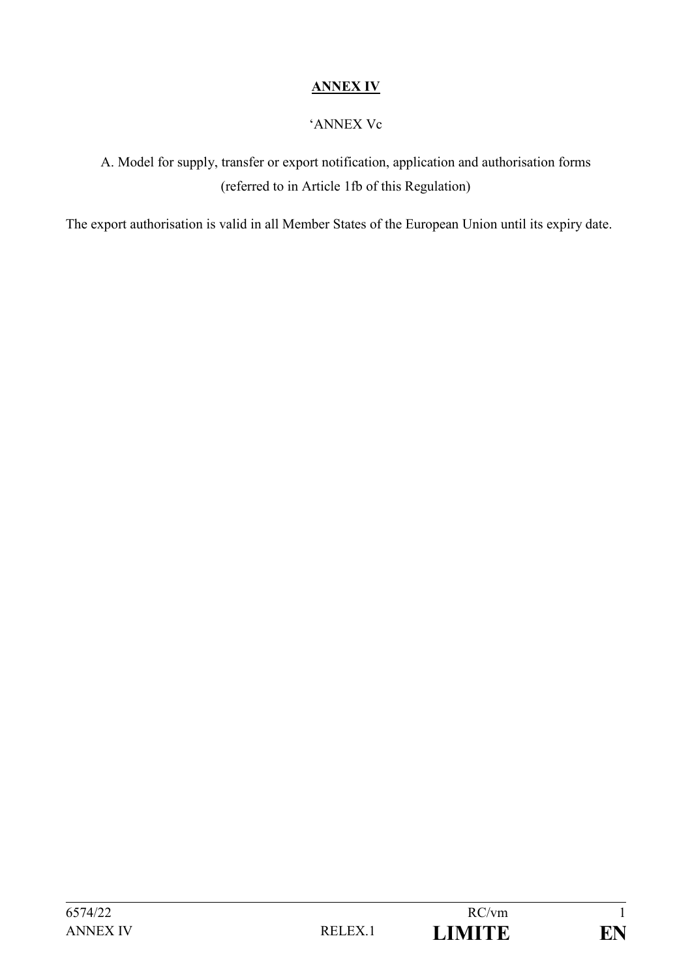### **ANNEX IV**

#### 'ANNEX Vc

A. Model for supply, transfer or export notification, application and authorisation forms (referred to in Article 1fb of this Regulation)

The export authorisation is valid in all Member States of the European Union until its expiry date.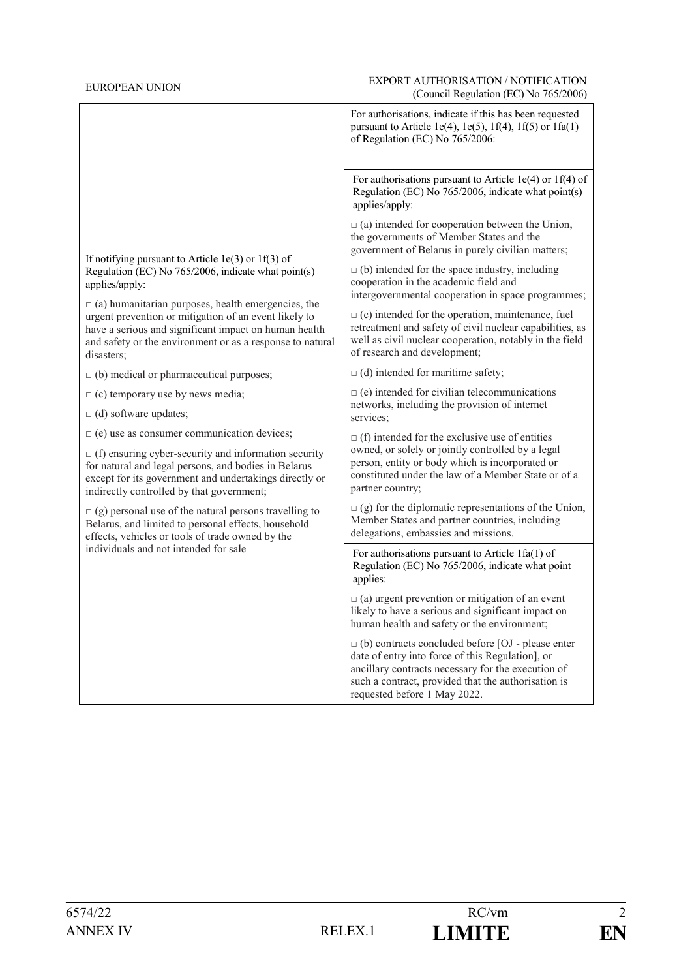#### EUROPEAN UNION EUROPEAN UNION EXPORT AUTHORISATION / NOTIFICATION (Council Regulation (EC) No 765/2006)

|                                                                                                                                                                                                                                                                                                                                                                                           | For authorisations, indicate if this has been requested<br>pursuant to Article 1e(4), 1e(5), 1f(4), 1f(5) or 1fa(1)<br>of Regulation (EC) No 765/2006:                                                                                                    |  |  |
|-------------------------------------------------------------------------------------------------------------------------------------------------------------------------------------------------------------------------------------------------------------------------------------------------------------------------------------------------------------------------------------------|-----------------------------------------------------------------------------------------------------------------------------------------------------------------------------------------------------------------------------------------------------------|--|--|
|                                                                                                                                                                                                                                                                                                                                                                                           | For authorisations pursuant to Article 1e(4) or 1f(4) of<br>Regulation (EC) No 765/2006, indicate what point(s)<br>applies/apply:                                                                                                                         |  |  |
| If notifying pursuant to Article $1e(3)$ or $1f(3)$ of<br>Regulation (EC) No 765/2006, indicate what point(s)<br>applies/apply:<br>$\Box$ (a) humanitarian purposes, health emergencies, the<br>urgent prevention or mitigation of an event likely to<br>have a serious and significant impact on human health<br>and safety or the environment or as a response to natural<br>disasters; | $\Box$ (a) intended for cooperation between the Union,<br>the governments of Member States and the<br>government of Belarus in purely civilian matters;                                                                                                   |  |  |
|                                                                                                                                                                                                                                                                                                                                                                                           | $\Box$ (b) intended for the space industry, including<br>cooperation in the academic field and<br>intergovernmental cooperation in space programmes;                                                                                                      |  |  |
|                                                                                                                                                                                                                                                                                                                                                                                           | $\Box$ (c) intended for the operation, maintenance, fuel<br>retreatment and safety of civil nuclear capabilities, as<br>well as civil nuclear cooperation, notably in the field<br>of research and development;                                           |  |  |
| $\Box$ (b) medical or pharmaceutical purposes;                                                                                                                                                                                                                                                                                                                                            | $\Box$ (d) intended for maritime safety;                                                                                                                                                                                                                  |  |  |
| $\Box$ (c) temporary use by news media;                                                                                                                                                                                                                                                                                                                                                   | $\Box$ (e) intended for civilian telecommunications                                                                                                                                                                                                       |  |  |
| $\Box$ (d) software updates;                                                                                                                                                                                                                                                                                                                                                              | networks, including the provision of internet<br>services:                                                                                                                                                                                                |  |  |
| $\Box$ (e) use as consumer communication devices;                                                                                                                                                                                                                                                                                                                                         | $\Box$ (f) intended for the exclusive use of entities                                                                                                                                                                                                     |  |  |
| $\Box$ (f) ensuring cyber-security and information security<br>for natural and legal persons, and bodies in Belarus<br>except for its government and undertakings directly or<br>indirectly controlled by that government;                                                                                                                                                                | owned, or solely or jointly controlled by a legal<br>person, entity or body which is incorporated or<br>constituted under the law of a Member State or of a<br>partner country;                                                                           |  |  |
| $\Box$ (g) personal use of the natural persons travelling to<br>Belarus, and limited to personal effects, household<br>effects, vehicles or tools of trade owned by the                                                                                                                                                                                                                   | $\Box$ (g) for the diplomatic representations of the Union,<br>Member States and partner countries, including<br>delegations, embassies and missions.                                                                                                     |  |  |
| individuals and not intended for sale                                                                                                                                                                                                                                                                                                                                                     | For authorisations pursuant to Article $1fa(1)$ of<br>Regulation (EC) No 765/2006, indicate what point<br>applies:                                                                                                                                        |  |  |
|                                                                                                                                                                                                                                                                                                                                                                                           | $\Box$ (a) urgent prevention or mitigation of an event<br>likely to have a serious and significant impact on<br>human health and safety or the environment;                                                                                               |  |  |
|                                                                                                                                                                                                                                                                                                                                                                                           | $\Box$ (b) contracts concluded before [OJ - please enter<br>date of entry into force of this Regulation], or<br>ancillary contracts necessary for the execution of<br>such a contract, provided that the authorisation is<br>requested before 1 May 2022. |  |  |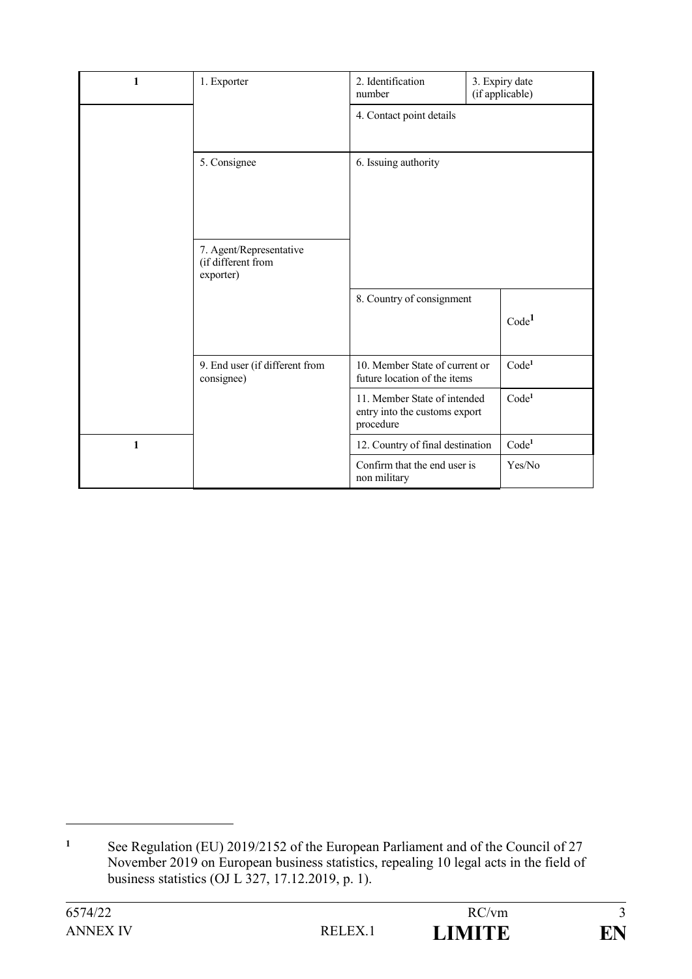| 1 | 1. Exporter                                                | 2. Identification<br>number                                                |  | 3. Expiry date<br>(if applicable) |
|---|------------------------------------------------------------|----------------------------------------------------------------------------|--|-----------------------------------|
|   |                                                            | 4. Contact point details                                                   |  |                                   |
|   | 5. Consignee                                               | 6. Issuing authority                                                       |  |                                   |
|   | 7. Agent/Representative<br>(if different from<br>exporter) |                                                                            |  |                                   |
|   |                                                            | 8. Country of consignment                                                  |  | Code <sup>1</sup>                 |
|   | 9. End user (if different from<br>consignee)               | 10. Member State of current or<br>future location of the items             |  | Code <sup>1</sup>                 |
|   |                                                            | 11. Member State of intended<br>entry into the customs export<br>procedure |  | Code <sup>1</sup>                 |
| 1 |                                                            | 12. Country of final destination                                           |  | Code <sup>1</sup>                 |
|   |                                                            | Confirm that the end user is<br>non military                               |  | Yes/No                            |

<sup>&</sup>lt;sup>1</sup> See Regulation (EU) 2019/2152 of the European Parliament and of the Council of 27 November 2019 on European business statistics, repealing 10 legal acts in the field of business statistics (OJ L 327, 17.12.2019, p. 1).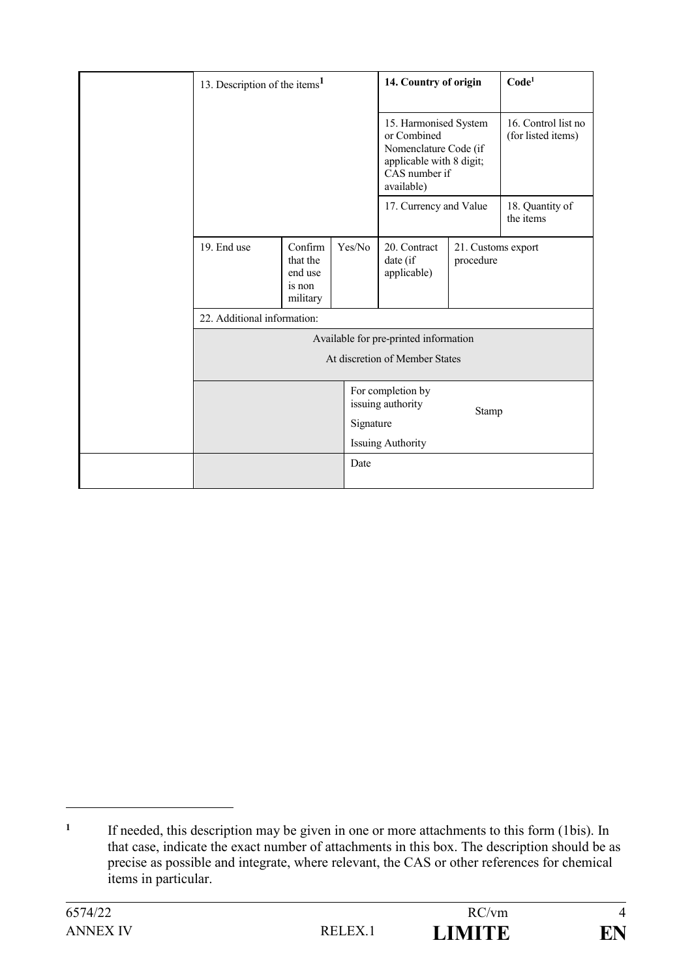| 13. Description of the items <sup>1</sup> |                                                      | 14. Country of origin |                                                                                                                          | Code <sup>1</sup>               |                                           |
|-------------------------------------------|------------------------------------------------------|-----------------------|--------------------------------------------------------------------------------------------------------------------------|---------------------------------|-------------------------------------------|
|                                           |                                                      |                       | 15. Harmonised System<br>or Combined<br>Nomenclature Code (if<br>applicable with 8 digit;<br>CAS number if<br>available) |                                 | 16. Control list no<br>(for listed items) |
|                                           |                                                      |                       | 17. Currency and Value                                                                                                   |                                 | 18. Quantity of<br>the items              |
| 19. End use                               | Confirm<br>that the<br>end use<br>is non<br>military | Yes/No                | 20. Contract<br>date (if<br>applicable)                                                                                  | 21. Customs export<br>procedure |                                           |
| 22. Additional information:               |                                                      |                       |                                                                                                                          |                                 |                                           |
|                                           |                                                      |                       | Available for pre-printed information                                                                                    |                                 |                                           |
| At discretion of Member States            |                                                      |                       |                                                                                                                          |                                 |                                           |
|                                           |                                                      | Signature             | For completion by<br>issuing authority<br><b>Issuing Authority</b>                                                       | Stamp                           |                                           |
|                                           |                                                      | Date                  |                                                                                                                          |                                 |                                           |

<u>.</u>

**<sup>1</sup>** If needed, this description may be given in one or more attachments to this form (1bis). In that case, indicate the exact number of attachments in this box. The description should be as precise as possible and integrate, where relevant, the CAS or other references for chemical items in particular.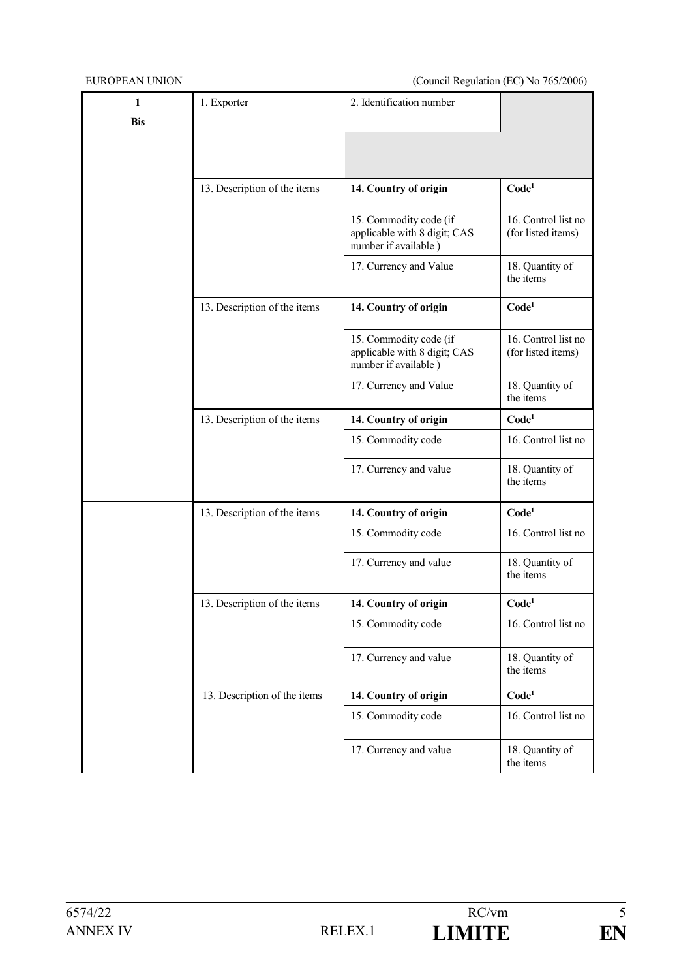| 1          | 1. Exporter                  | 2. Identification number                                                       |                                           |
|------------|------------------------------|--------------------------------------------------------------------------------|-------------------------------------------|
| <b>Bis</b> |                              |                                                                                |                                           |
|            |                              |                                                                                |                                           |
|            |                              |                                                                                |                                           |
|            | 13. Description of the items | 14. Country of origin                                                          | Code <sup>1</sup>                         |
|            |                              | 15. Commodity code (if<br>applicable with 8 digit; CAS<br>number if available) | 16. Control list no<br>(for listed items) |
|            |                              | 17. Currency and Value                                                         | 18. Quantity of<br>the items              |
|            | 13. Description of the items | 14. Country of origin                                                          | Code <sup>1</sup>                         |
|            |                              | 15. Commodity code (if<br>applicable with 8 digit; CAS<br>number if available) | 16. Control list no<br>(for listed items) |
|            |                              | 17. Currency and Value                                                         | 18. Quantity of<br>the items              |
|            | 13. Description of the items | 14. Country of origin                                                          | Code <sup>1</sup>                         |
|            |                              | 15. Commodity code                                                             | 16. Control list no                       |
|            |                              | 17. Currency and value                                                         | 18. Quantity of<br>the items              |
|            | 13. Description of the items | 14. Country of origin                                                          | Code <sup>1</sup>                         |
|            |                              | 15. Commodity code                                                             | 16. Control list no                       |
|            |                              | 17. Currency and value                                                         | 18. Quantity of<br>the items              |
|            | 13. Description of the items | 14. Country of origin                                                          | Code <sup>1</sup>                         |
|            |                              | 15. Commodity code                                                             | 16. Control list no                       |
|            |                              | 17. Currency and value                                                         | 18. Quantity of<br>the items              |
|            | 13. Description of the items | 14. Country of origin                                                          | Code <sup>1</sup>                         |
|            |                              | 15. Commodity code                                                             | 16. Control list no                       |
|            |                              | 17. Currency and value                                                         | 18. Quantity of<br>the items              |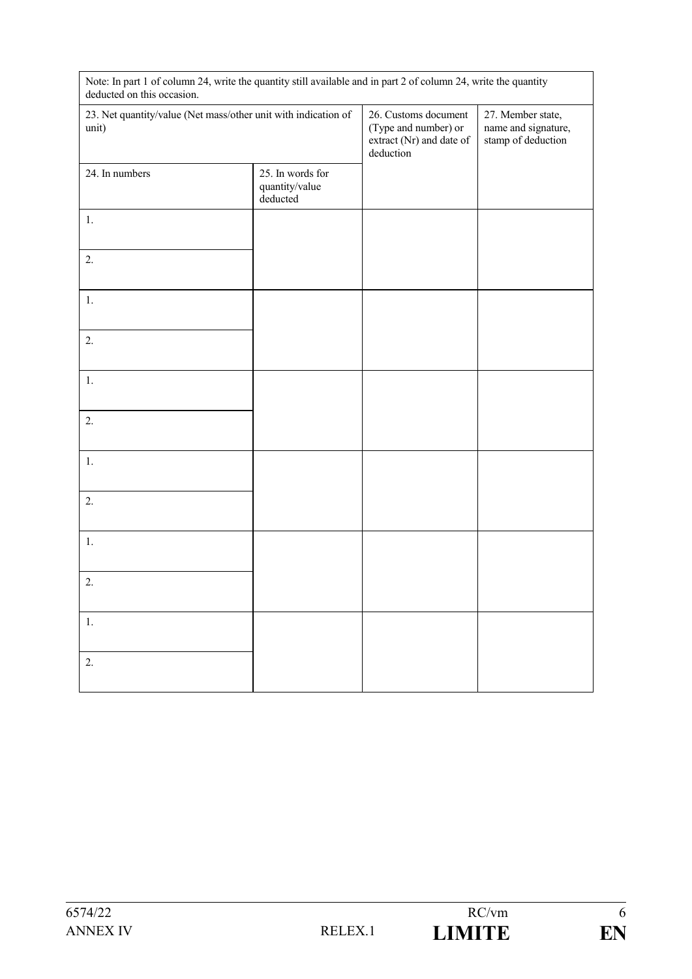| Note: In part 1 of column 24, write the quantity still available and in part 2 of column 24, write the quantity<br>deducted on this occasion. |                                                      |                                                                                       |                                                                |  |
|-----------------------------------------------------------------------------------------------------------------------------------------------|------------------------------------------------------|---------------------------------------------------------------------------------------|----------------------------------------------------------------|--|
| 23. Net quantity/value (Net mass/other unit with indication of<br>unit)                                                                       |                                                      | 26. Customs document<br>(Type and number) or<br>extract (Nr) and date of<br>deduction | 27. Member state,<br>name and signature,<br>stamp of deduction |  |
| 24. In numbers                                                                                                                                | 25. In words for<br>quantity/value<br>$\rm deducted$ |                                                                                       |                                                                |  |
| 1.                                                                                                                                            |                                                      |                                                                                       |                                                                |  |
| 2.                                                                                                                                            |                                                      |                                                                                       |                                                                |  |
| $1.$                                                                                                                                          |                                                      |                                                                                       |                                                                |  |
| 2.                                                                                                                                            |                                                      |                                                                                       |                                                                |  |
| 1.                                                                                                                                            |                                                      |                                                                                       |                                                                |  |
| 2.                                                                                                                                            |                                                      |                                                                                       |                                                                |  |
| 1.                                                                                                                                            |                                                      |                                                                                       |                                                                |  |
| 2.                                                                                                                                            |                                                      |                                                                                       |                                                                |  |
| $1.$                                                                                                                                          |                                                      |                                                                                       |                                                                |  |
| 2.                                                                                                                                            |                                                      |                                                                                       |                                                                |  |
| 1.                                                                                                                                            |                                                      |                                                                                       |                                                                |  |
| 2.                                                                                                                                            |                                                      |                                                                                       |                                                                |  |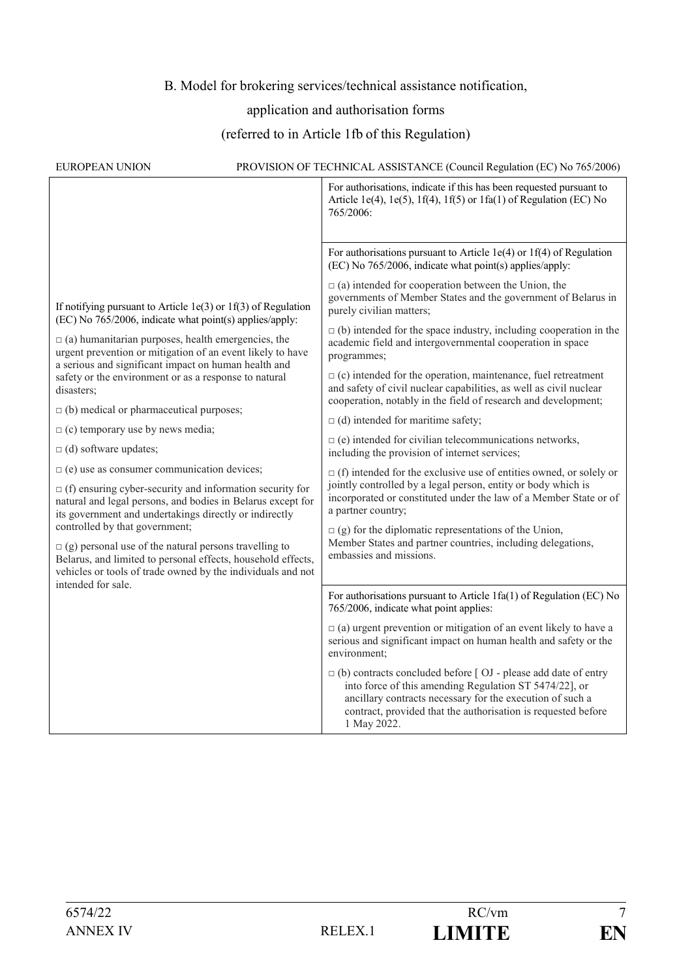#### B. Model for brokering services/technical assistance notification,

#### application and authorisation forms

#### (referred to in Article 1fb of this Regulation)

| <b>EUROPEAN UNION</b>                                                                                                                                                                                                                                                                                                                                                                                                                                                          | PROVISION OF TECHNICAL ASSISTANCE (Council Regulation (EC) No 765/2006)                                                                                                                                                                                                               |
|--------------------------------------------------------------------------------------------------------------------------------------------------------------------------------------------------------------------------------------------------------------------------------------------------------------------------------------------------------------------------------------------------------------------------------------------------------------------------------|---------------------------------------------------------------------------------------------------------------------------------------------------------------------------------------------------------------------------------------------------------------------------------------|
|                                                                                                                                                                                                                                                                                                                                                                                                                                                                                | For authorisations, indicate if this has been requested pursuant to<br>Article 1e(4), 1e(5), 1f(4), 1f(5) or 1fa(1) of Regulation (EC) No<br>765/2006:                                                                                                                                |
| If notifying pursuant to Article 1e(3) or 1f(3) of Regulation                                                                                                                                                                                                                                                                                                                                                                                                                  | For authorisations pursuant to Article 1e(4) or 1f(4) of Regulation<br>(EC) No 765/2006, indicate what point(s) applies/apply:                                                                                                                                                        |
|                                                                                                                                                                                                                                                                                                                                                                                                                                                                                | $\Box$ (a) intended for cooperation between the Union, the<br>governments of Member States and the government of Belarus in<br>purely civilian matters;                                                                                                                               |
| (EC) No 765/2006, indicate what point(s) applies/apply:<br>$\Box$ (a) humanitarian purposes, health emergencies, the<br>urgent prevention or mitigation of an event likely to have                                                                                                                                                                                                                                                                                             | $\Box$ (b) intended for the space industry, including cooperation in the<br>academic field and intergovernmental cooperation in space<br>programmes;                                                                                                                                  |
| a serious and significant impact on human health and<br>safety or the environment or as a response to natural<br>disasters;                                                                                                                                                                                                                                                                                                                                                    | $\Box$ (c) intended for the operation, maintenance, fuel retreatment<br>and safety of civil nuclear capabilities, as well as civil nuclear<br>cooperation, notably in the field of research and development;                                                                          |
| $\Box$ (b) medical or pharmaceutical purposes;                                                                                                                                                                                                                                                                                                                                                                                                                                 | $\Box$ (d) intended for maritime safety;                                                                                                                                                                                                                                              |
| $\Box$ (c) temporary use by news media;                                                                                                                                                                                                                                                                                                                                                                                                                                        | $\Box$ (e) intended for civilian telecommunications networks,                                                                                                                                                                                                                         |
| $\Box$ (d) software updates;                                                                                                                                                                                                                                                                                                                                                                                                                                                   | including the provision of internet services;                                                                                                                                                                                                                                         |
| $\Box$ (e) use as consumer communication devices;<br>$\Box$ (f) ensuring cyber-security and information security for<br>natural and legal persons, and bodies in Belarus except for<br>its government and undertakings directly or indirectly<br>controlled by that government;<br>$\Box$ (g) personal use of the natural persons travelling to<br>Belarus, and limited to personal effects, household effects,<br>vehicles or tools of trade owned by the individuals and not | $\Box$ (f) intended for the exclusive use of entities owned, or solely or<br>jointly controlled by a legal person, entity or body which is<br>incorporated or constituted under the law of a Member State or of<br>a partner country;                                                 |
|                                                                                                                                                                                                                                                                                                                                                                                                                                                                                | $\Box$ (g) for the diplomatic representations of the Union,<br>Member States and partner countries, including delegations,<br>embassies and missions.                                                                                                                                 |
| intended for sale.                                                                                                                                                                                                                                                                                                                                                                                                                                                             | For authorisations pursuant to Article 1fa(1) of Regulation (EC) No<br>765/2006, indicate what point applies:                                                                                                                                                                         |
|                                                                                                                                                                                                                                                                                                                                                                                                                                                                                | $\Box$ (a) urgent prevention or mitigation of an event likely to have a<br>serious and significant impact on human health and safety or the<br>environment;                                                                                                                           |
|                                                                                                                                                                                                                                                                                                                                                                                                                                                                                | $\Box$ (b) contracts concluded before $\Box$ $\Box$ - please add date of entry<br>into force of this amending Regulation ST 5474/22], or<br>ancillary contracts necessary for the execution of such a<br>contract, provided that the authorisation is requested before<br>1 May 2022. |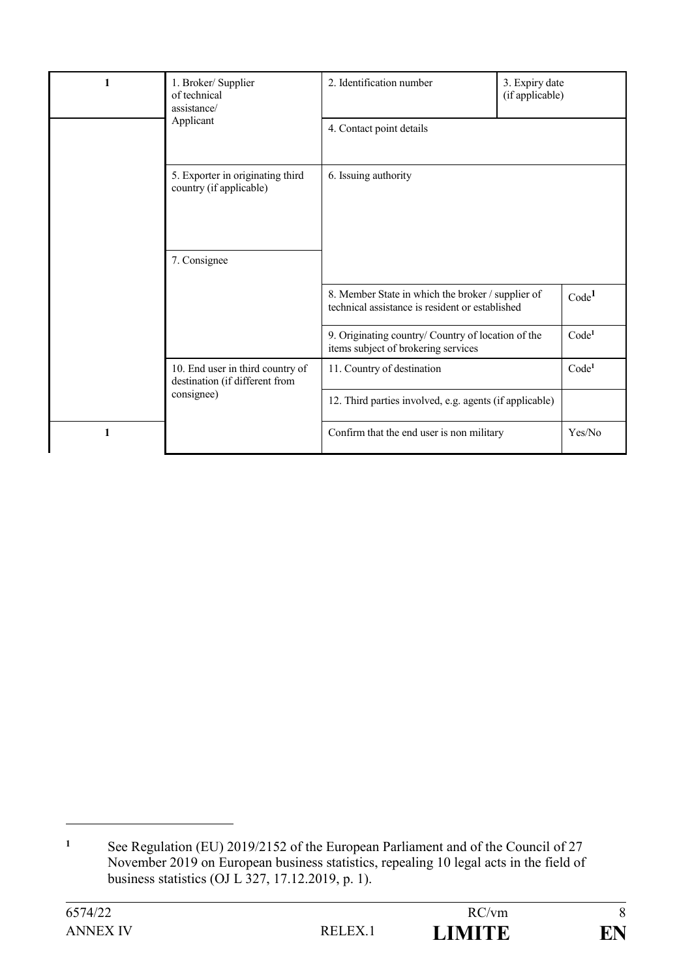| 1 | 1. Broker/ Supplier<br>of technical<br>assistance/<br>Applicant    | 2. Identification number                                                                             | 3. Expiry date<br>(if applicable) |                   |  |
|---|--------------------------------------------------------------------|------------------------------------------------------------------------------------------------------|-----------------------------------|-------------------|--|
|   |                                                                    | 4. Contact point details<br>6. Issuing authority                                                     |                                   |                   |  |
|   | 5. Exporter in originating third<br>country (if applicable)        |                                                                                                      |                                   |                   |  |
|   | 7. Consignee                                                       |                                                                                                      |                                   |                   |  |
|   |                                                                    | 8. Member State in which the broker / supplier of<br>technical assistance is resident or established |                                   | Code <sup>1</sup> |  |
|   |                                                                    | 9. Originating country/ Country of location of the<br>items subject of brokering services            |                                   | Code <sup>1</sup> |  |
|   | 10. End user in third country of<br>destination (if different from | 11. Country of destination                                                                           |                                   | Code <sup>1</sup> |  |
|   | consignee)                                                         | 12. Third parties involved, e.g. agents (if applicable)                                              |                                   |                   |  |
| 1 |                                                                    | Confirm that the end user is non military                                                            |                                   | Yes/No            |  |

<sup>&</sup>lt;sup>1</sup> See Regulation (EU) 2019/2152 of the European Parliament and of the Council of 27 November 2019 on European business statistics, repealing 10 legal acts in the field of business statistics (OJ L 327, 17.12.2019, p. 1).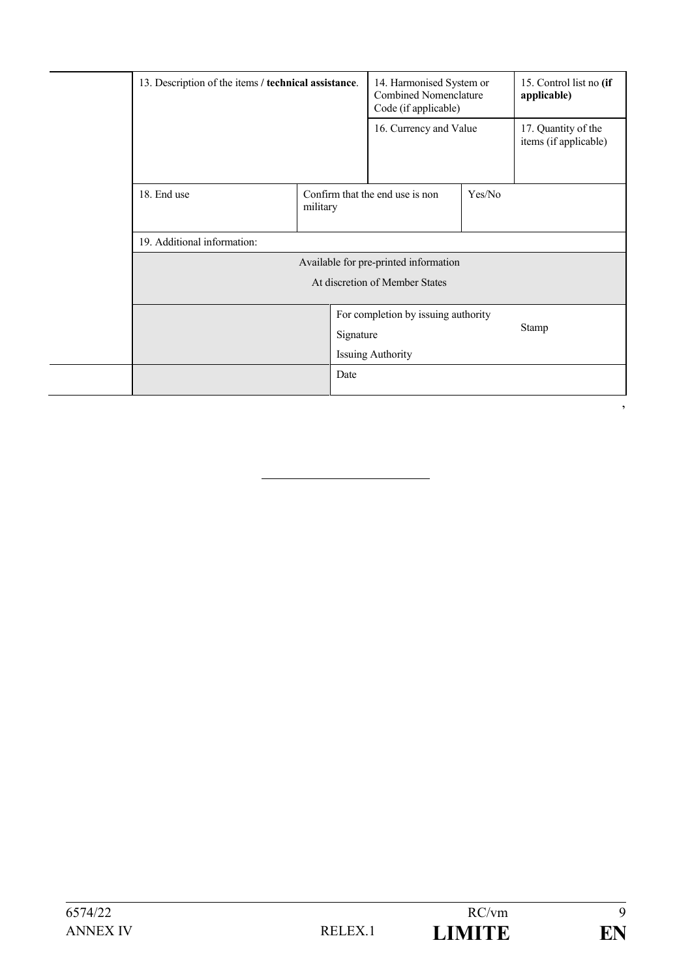|  | 13. Description of the items / technical assistance.                  |          |                                       | 14. Harmonised System or<br><b>Combined Nomenclature</b><br>Code (if applicable) |              | 15. Control list no (if<br>applicable)       |
|--|-----------------------------------------------------------------------|----------|---------------------------------------|----------------------------------------------------------------------------------|--------------|----------------------------------------------|
|  |                                                                       |          |                                       | 16. Currency and Value                                                           |              | 17. Quantity of the<br>items (if applicable) |
|  | 18. End use                                                           | military | Confirm that the end use is non       |                                                                                  | Yes/No       |                                              |
|  | 19. Additional information:                                           |          |                                       |                                                                                  |              |                                              |
|  |                                                                       |          | Available for pre-printed information |                                                                                  |              |                                              |
|  | At discretion of Member States<br>For completion by issuing authority |          |                                       |                                                                                  |              |                                              |
|  |                                                                       |          |                                       |                                                                                  |              |                                              |
|  | Signature                                                             |          |                                       |                                                                                  | <b>Stamp</b> |                                              |
|  |                                                                       |          | <b>Issuing Authority</b>              |                                                                                  |              |                                              |
|  |                                                                       | Date     |                                       |                                                                                  |              |                                              |

 $\overline{\phantom{a}}$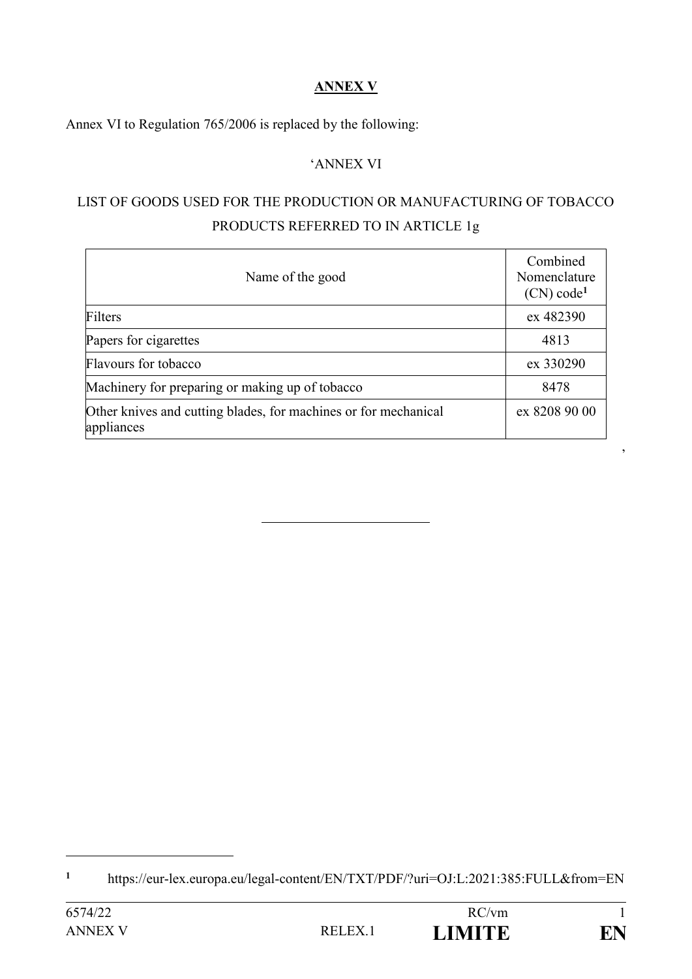### **ANNEX V**

Annex VI to Regulation 765/2006 is replaced by the following:

#### 'ANNEX VI

## LIST OF GOODS USED FOR THE PRODUCTION OR MANUFACTURING OF TOBACCO PRODUCTS REFERRED TO IN ARTICLE 1g

| Name of the good                                                              | Combined<br>Nomenclature<br>(CN) code <sup>1</sup> |
|-------------------------------------------------------------------------------|----------------------------------------------------|
| Filters                                                                       | ex 482390                                          |
| Papers for cigarettes                                                         | 4813                                               |
| Flavours for tobacco                                                          | ex 330290                                          |
| Machinery for preparing or making up of tobacco                               | 8478                                               |
| Other knives and cutting blades, for machines or for mechanical<br>appliances | ex 8208 90 00                                      |

1

'

**<sup>1</sup>** https://eur-lex.europa.eu/legal-content/EN/TXT/PDF/?uri=OJ:L:2021:385:FULL&from=EN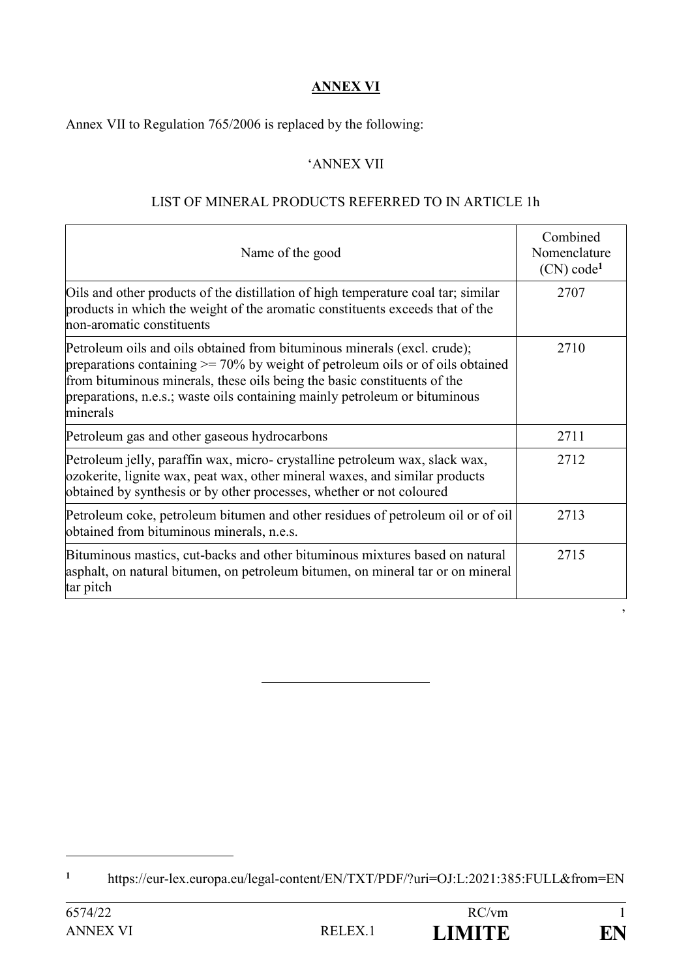#### **ANNEX VI**

Annex VII to Regulation 765/2006 is replaced by the following:

#### 'ANNEX VII

#### LIST OF MINERAL PRODUCTS REFERRED TO IN ARTICLE 1h

| Name of the good                                                                                                                                                                                                                                                                                                                     | Combined<br>Nomenclature<br>(CN) code <sup>1</sup> |
|--------------------------------------------------------------------------------------------------------------------------------------------------------------------------------------------------------------------------------------------------------------------------------------------------------------------------------------|----------------------------------------------------|
| Oils and other products of the distillation of high temperature coal tar; similar<br>products in which the weight of the aromatic constituents exceeds that of the<br>non-aromatic constituents                                                                                                                                      | 2707                                               |
| Petroleum oils and oils obtained from bituminous minerals (excl. crude);<br>preparations containing $\geq$ 70% by weight of petroleum oils or of oils obtained<br>from bituminous minerals, these oils being the basic constituents of the<br>preparations, n.e.s.; waste oils containing mainly petroleum or bituminous<br>minerals | 2710                                               |
| Petroleum gas and other gaseous hydrocarbons                                                                                                                                                                                                                                                                                         | 2711                                               |
| Petroleum jelly, paraffin wax, micro- crystalline petroleum wax, slack wax,<br>ozokerite, lignite wax, peat wax, other mineral waxes, and similar products<br>obtained by synthesis or by other processes, whether or not coloured                                                                                                   | 2712                                               |
| Petroleum coke, petroleum bitumen and other residues of petroleum oil or of oil<br>obtained from bituminous minerals, n.e.s.                                                                                                                                                                                                         | 2713                                               |
| Bituminous mastics, cut-backs and other bituminous mixtures based on natural<br>asphalt, on natural bitumen, on petroleum bitumen, on mineral tar or on mineral<br>tar pitch                                                                                                                                                         | 2715                                               |

1

'

**<sup>1</sup>** https://eur-lex.europa.eu/legal-content/EN/TXT/PDF/?uri=OJ:L:2021:385:FULL&from=EN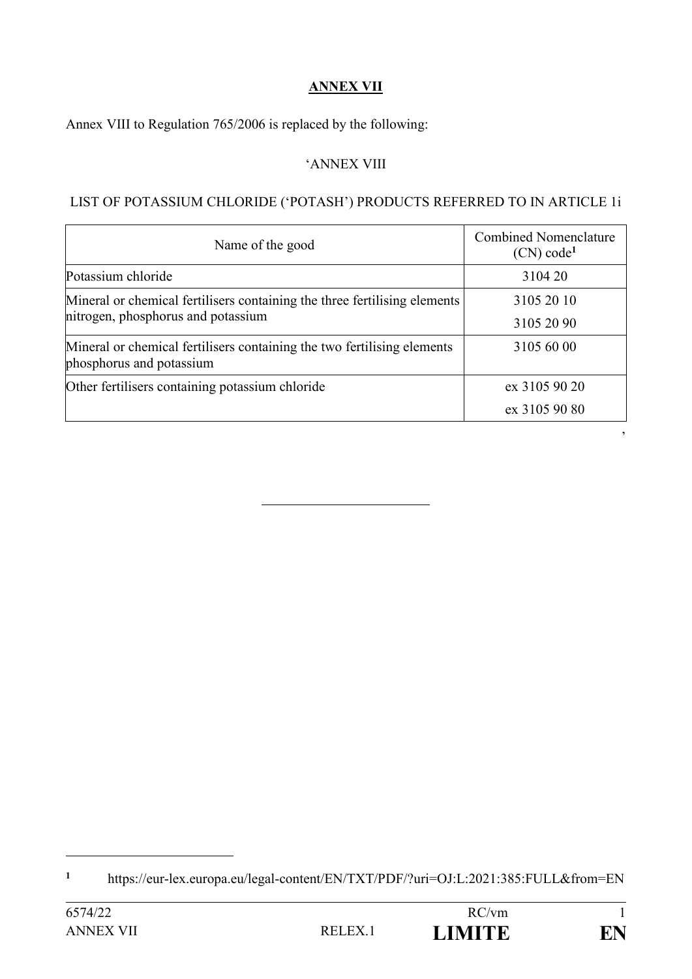#### **ANNEX VII**

Annex VIII to Regulation 765/2006 is replaced by the following:

#### 'ANNEX VIII

#### LIST OF POTASSIUM CHLORIDE ('POTASH') PRODUCTS REFERRED TO IN ARTICLE 1i

| Name of the good                                                                                                | <b>Combined Nomenclature</b><br>(CN) code <sup>1</sup> |
|-----------------------------------------------------------------------------------------------------------------|--------------------------------------------------------|
| Potassium chloride                                                                                              | 3104 20                                                |
| Mineral or chemical fertilisers containing the three fertilising elements<br>nitrogen, phosphorus and potassium | 3105 20 10                                             |
|                                                                                                                 | 3105 20 90                                             |
| Mineral or chemical fertilisers containing the two fertilising elements<br>phosphorus and potassium             | 3105 60 00                                             |
| Other fertilisers containing potassium chloride                                                                 | ex 3105 90 20                                          |
|                                                                                                                 | ex 3105 90 80                                          |

**<sup>1</sup>** https://eur-lex.europa.eu/legal-content/EN/TXT/PDF/?uri=OJ:L:2021:385:FULL&from=EN

1



 $\,$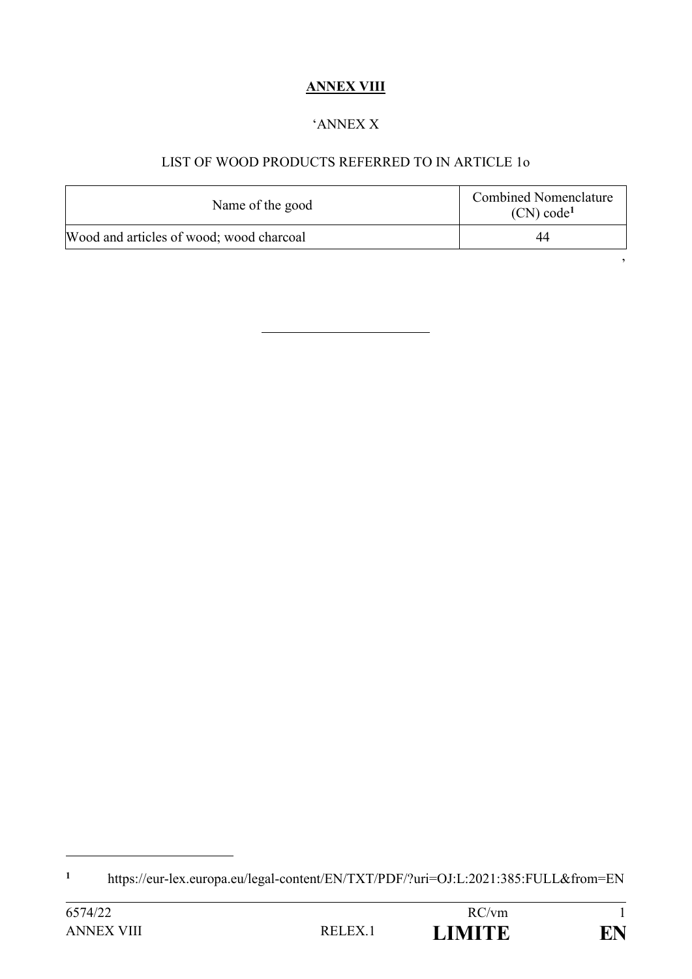# **ANNEX VIII**

#### 'ANNEX X

## LIST OF WOOD PRODUCTS REFERRED TO IN ARTICLE 1o

| Name of the good                         | <b>Combined Nomenclature</b><br>(CN) code <sup>1</sup> |
|------------------------------------------|--------------------------------------------------------|
| Wood and articles of wood; wood charcoal | 44                                                     |

'

**<sup>1</sup>** https://eur-lex.europa.eu/legal-content/EN/TXT/PDF/?uri=OJ:L:2021:385:FULL&from=EN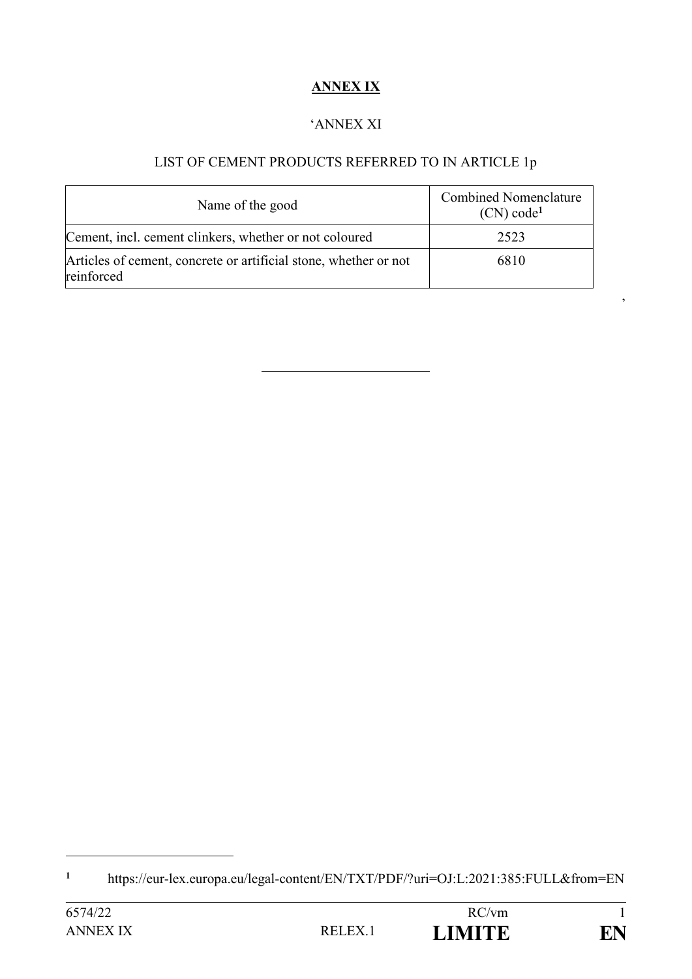# **ANNEX IX**

#### 'ANNEX XI

# LIST OF CEMENT PRODUCTS REFERRED TO IN ARTICLE 1p

 $\,$ 

| Name of the good                                                               | <b>Combined Nomenclature</b><br>(CN) code <sup>1</sup> |
|--------------------------------------------------------------------------------|--------------------------------------------------------|
| Cement, incl. cement clinkers, whether or not coloured                         | 2523                                                   |
| Articles of cement, concrete or artificial stone, whether or not<br>reinforced | 6810                                                   |

**<sup>1</sup>** https://eur-lex.europa.eu/legal-content/EN/TXT/PDF/?uri=OJ:L:2021:385:FULL&from=EN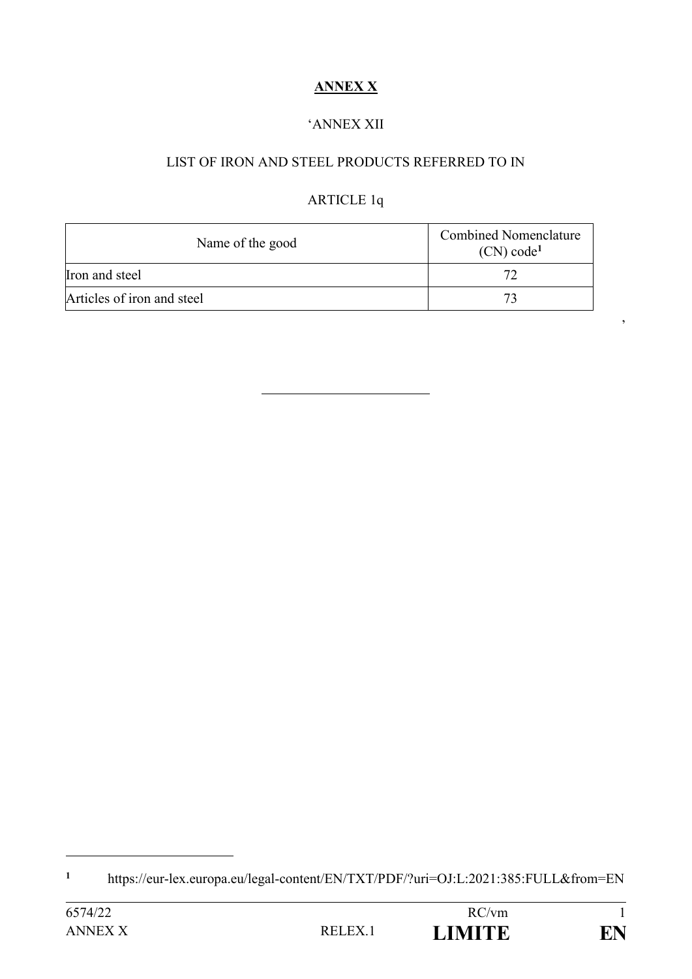# **ANNEX X**

### 'ANNEX XII

### LIST OF IRON AND STEEL PRODUCTS REFERRED TO IN

# ARTICLE 1q

'

| Name of the good           | <b>Combined Nomenclature</b><br>(CN) code <sup>1</sup> |
|----------------------------|--------------------------------------------------------|
| Iron and steel             |                                                        |
| Articles of iron and steel |                                                        |

**<sup>1</sup>** https://eur-lex.europa.eu/legal-content/EN/TXT/PDF/?uri=OJ:L:2021:385:FULL&from=EN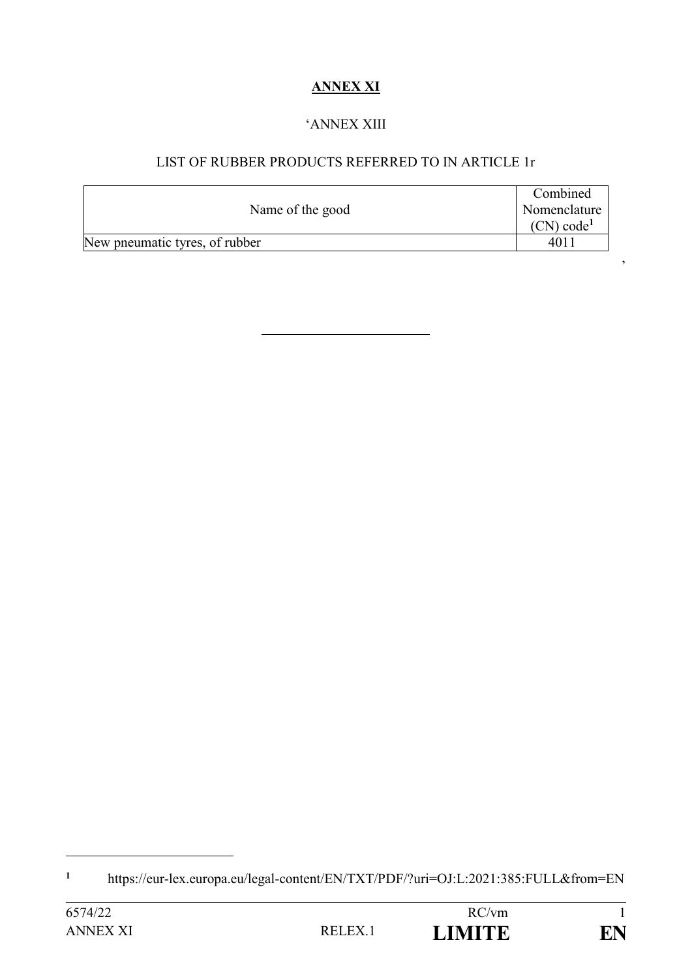# **ANNEX XI**

#### 'ANNEX XIII

### LIST OF RUBBER PRODUCTS REFERRED TO IN ARTICLE 1r

|                                | Combined               |
|--------------------------------|------------------------|
| Name of the good               | Nomenclature           |
|                                | (CN) code <sup>1</sup> |
| New pneumatic tyres, of rubber | 401                    |

'

**<sup>1</sup>** https://eur-lex.europa.eu/legal-content/EN/TXT/PDF/?uri=OJ:L:2021:385:FULL&from=EN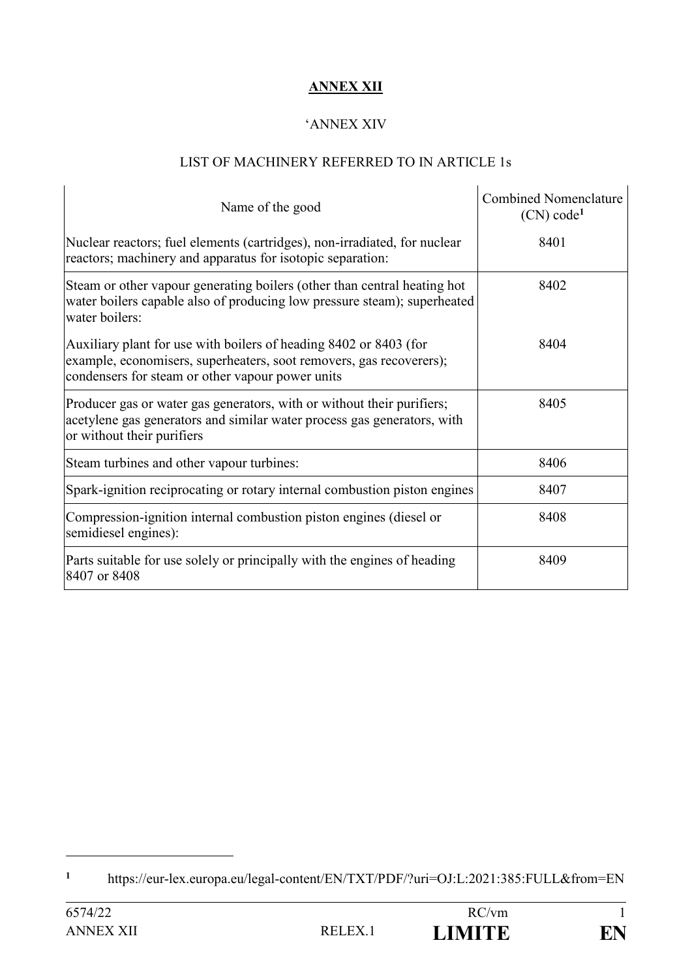## **ANNEX XII**

#### 'ANNEX XIV

## LIST OF MACHINERY REFERRED TO IN ARTICLE 1s

| Name of the good                                                                                                                                                                             | <b>Combined Nomenclature</b><br>(CN) code <sup>1</sup> |
|----------------------------------------------------------------------------------------------------------------------------------------------------------------------------------------------|--------------------------------------------------------|
| Nuclear reactors; fuel elements (cartridges), non-irradiated, for nuclear<br>reactors; machinery and apparatus for isotopic separation:                                                      | 8401                                                   |
| Steam or other vapour generating boilers (other than central heating hot<br>water boilers capable also of producing low pressure steam); superheated<br>water boilers:                       | 8402                                                   |
| Auxiliary plant for use with boilers of heading 8402 or 8403 (for<br>example, economisers, superheaters, soot removers, gas recoverers);<br>condensers for steam or other vapour power units | 8404                                                   |
| Producer gas or water gas generators, with or without their purifiers;<br>acetylene gas generators and similar water process gas generators, with<br>or without their purifiers              | 8405                                                   |
| Steam turbines and other vapour turbines:                                                                                                                                                    | 8406                                                   |
| Spark-ignition reciprocating or rotary internal combustion piston engines                                                                                                                    | 8407                                                   |
| Compression-ignition internal combustion piston engines (diesel or<br>semidiesel engines):                                                                                                   | 8408                                                   |
| Parts suitable for use solely or principally with the engines of heading<br>8407 or 8408                                                                                                     | 8409                                                   |

**<sup>1</sup>** https://eur-lex.europa.eu/legal-content/EN/TXT/PDF/?uri=OJ:L:2021:385:FULL&from=EN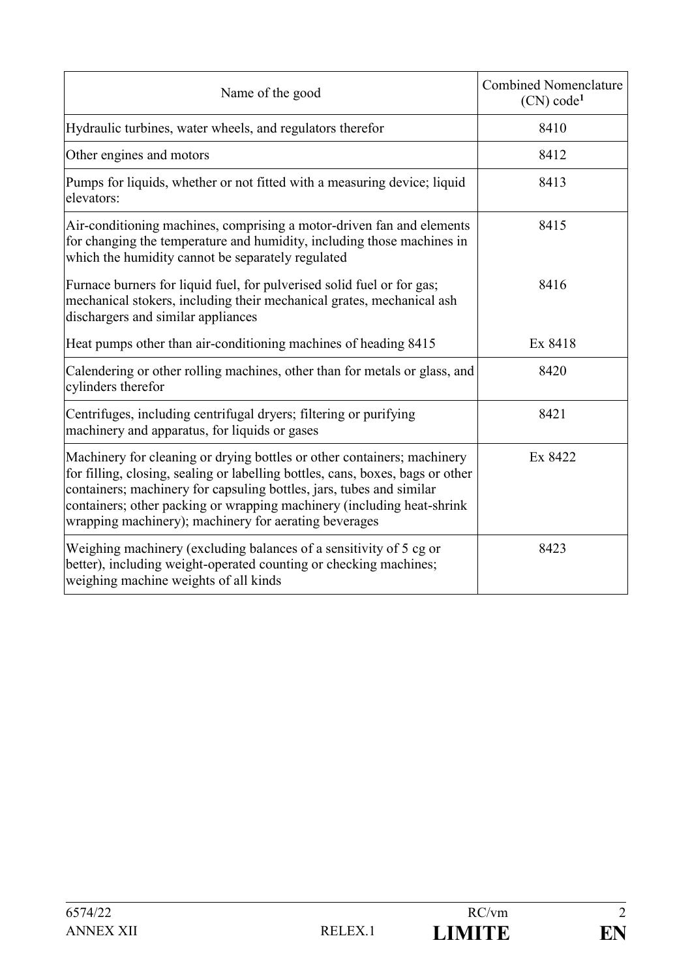| Name of the good                                                                                                                                                                                                                                                                                                                                                     | <b>Combined Nomenclature</b><br>(CN) code <sup>1</sup> |
|----------------------------------------------------------------------------------------------------------------------------------------------------------------------------------------------------------------------------------------------------------------------------------------------------------------------------------------------------------------------|--------------------------------------------------------|
| Hydraulic turbines, water wheels, and regulators therefor                                                                                                                                                                                                                                                                                                            | 8410                                                   |
| Other engines and motors                                                                                                                                                                                                                                                                                                                                             | 8412                                                   |
| Pumps for liquids, whether or not fitted with a measuring device; liquid<br>elevators:                                                                                                                                                                                                                                                                               | 8413                                                   |
| Air-conditioning machines, comprising a motor-driven fan and elements<br>for changing the temperature and humidity, including those machines in<br>which the humidity cannot be separately regulated                                                                                                                                                                 | 8415                                                   |
| Furnace burners for liquid fuel, for pulverised solid fuel or for gas;<br>mechanical stokers, including their mechanical grates, mechanical ash<br>dischargers and similar appliances                                                                                                                                                                                | 8416                                                   |
| Heat pumps other than air-conditioning machines of heading 8415                                                                                                                                                                                                                                                                                                      | Ex 8418                                                |
| Calendering or other rolling machines, other than for metals or glass, and<br>cylinders therefor                                                                                                                                                                                                                                                                     | 8420                                                   |
| Centrifuges, including centrifugal dryers; filtering or purifying<br>machinery and apparatus, for liquids or gases                                                                                                                                                                                                                                                   | 8421                                                   |
| Machinery for cleaning or drying bottles or other containers; machinery<br>for filling, closing, sealing or labelling bottles, cans, boxes, bags or other<br>containers; machinery for capsuling bottles, jars, tubes and similar<br>containers; other packing or wrapping machinery (including heat-shrink<br>wrapping machinery); machinery for aerating beverages | Ex 8422                                                |
| Weighing machinery (excluding balances of a sensitivity of 5 cg or<br>better), including weight-operated counting or checking machines;<br>weighing machine weights of all kinds                                                                                                                                                                                     | 8423                                                   |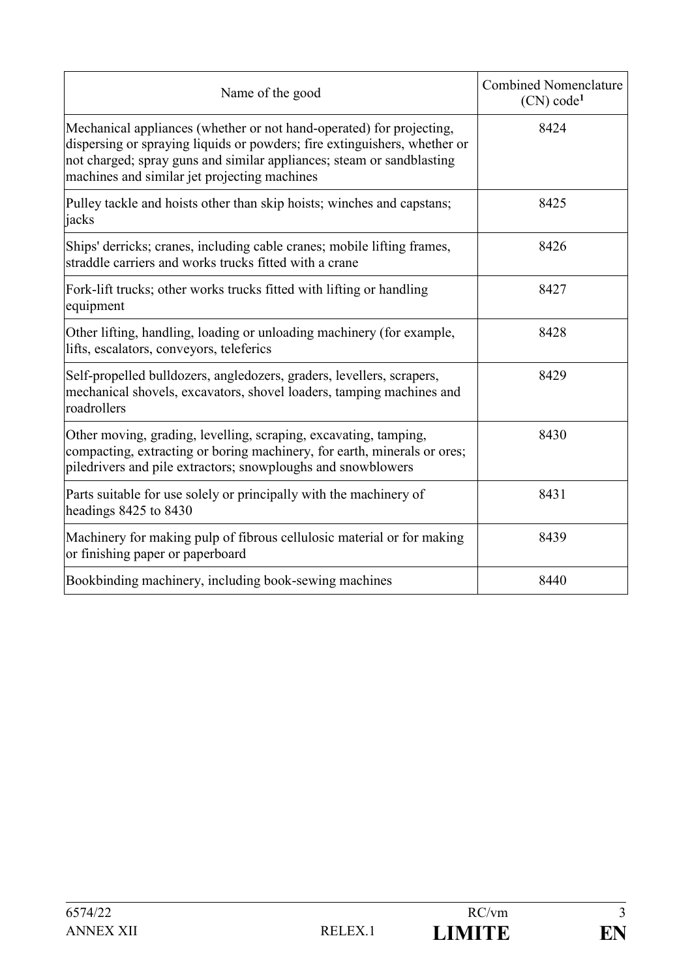| Name of the good                                                                                                                                                                                                                                                           | <b>Combined Nomenclature</b><br>(CN) code <sup>1</sup> |
|----------------------------------------------------------------------------------------------------------------------------------------------------------------------------------------------------------------------------------------------------------------------------|--------------------------------------------------------|
| Mechanical appliances (whether or not hand-operated) for projecting,<br>dispersing or spraying liquids or powders; fire extinguishers, whether or<br>not charged; spray guns and similar appliances; steam or sandblasting<br>machines and similar jet projecting machines | 8424                                                   |
| Pulley tackle and hoists other than skip hoists; winches and capstans;<br>jacks                                                                                                                                                                                            | 8425                                                   |
| Ships' derricks; cranes, including cable cranes; mobile lifting frames,<br>straddle carriers and works trucks fitted with a crane                                                                                                                                          | 8426                                                   |
| Fork-lift trucks; other works trucks fitted with lifting or handling<br>equipment                                                                                                                                                                                          | 8427                                                   |
| Other lifting, handling, loading or unloading machinery (for example,<br>lifts, escalators, conveyors, teleferics                                                                                                                                                          | 8428                                                   |
| Self-propelled bulldozers, angledozers, graders, levellers, scrapers,<br>mechanical shovels, excavators, shovel loaders, tamping machines and<br>roadrollers                                                                                                               | 8429                                                   |
| Other moving, grading, levelling, scraping, excavating, tamping,<br>compacting, extracting or boring machinery, for earth, minerals or ores;<br>piledrivers and pile extractors; snowploughs and snowblowers                                                               | 8430                                                   |
| Parts suitable for use solely or principally with the machinery of<br>headings 8425 to 8430                                                                                                                                                                                | 8431                                                   |
| Machinery for making pulp of fibrous cellulosic material or for making<br>or finishing paper or paperboard                                                                                                                                                                 | 8439                                                   |
| Bookbinding machinery, including book-sewing machines                                                                                                                                                                                                                      | 8440                                                   |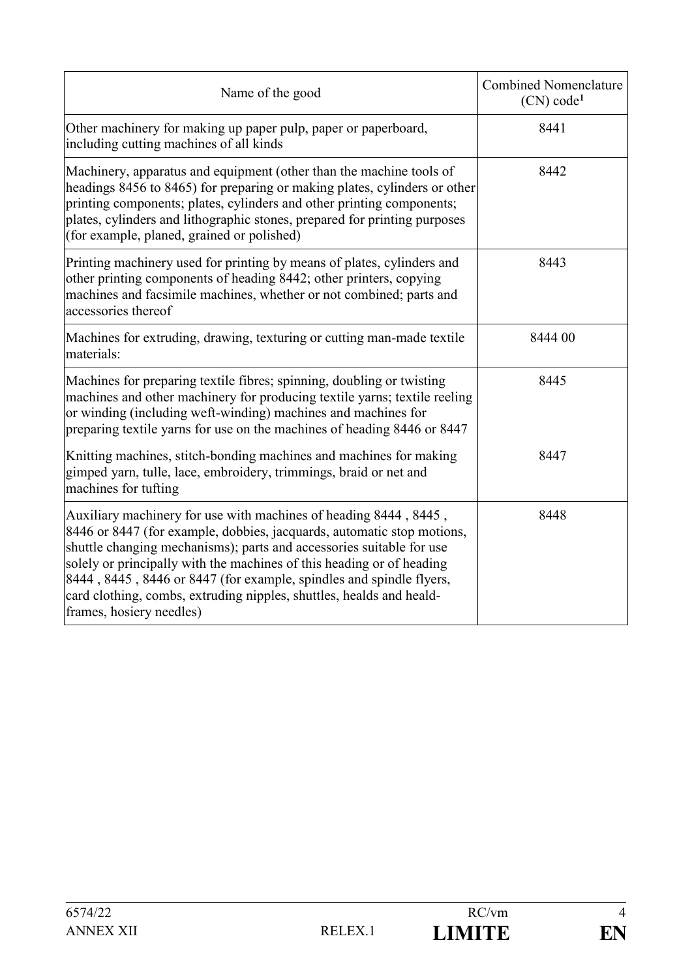| Name of the good                                                                                                                                                                                                                                                                                                                                                                                                                                                       | <b>Combined Nomenclature</b><br>(CN) code <sup>1</sup> |
|------------------------------------------------------------------------------------------------------------------------------------------------------------------------------------------------------------------------------------------------------------------------------------------------------------------------------------------------------------------------------------------------------------------------------------------------------------------------|--------------------------------------------------------|
| Other machinery for making up paper pulp, paper or paperboard,<br>including cutting machines of all kinds                                                                                                                                                                                                                                                                                                                                                              | 8441                                                   |
| Machinery, apparatus and equipment (other than the machine tools of<br>headings 8456 to 8465) for preparing or making plates, cylinders or other<br>printing components; plates, cylinders and other printing components;<br>plates, cylinders and lithographic stones, prepared for printing purposes<br>(for example, planed, grained or polished)                                                                                                                   | 8442                                                   |
| Printing machinery used for printing by means of plates, cylinders and<br>other printing components of heading 8442; other printers, copying<br>machines and facsimile machines, whether or not combined; parts and<br>accessories thereof                                                                                                                                                                                                                             | 8443                                                   |
| Machines for extruding, drawing, texturing or cutting man-made textile<br>materials:                                                                                                                                                                                                                                                                                                                                                                                   | 8444 00                                                |
| Machines for preparing textile fibres; spinning, doubling or twisting<br>machines and other machinery for producing textile yarns; textile reeling<br>or winding (including weft-winding) machines and machines for<br>preparing textile yarns for use on the machines of heading 8446 or 8447                                                                                                                                                                         | 8445                                                   |
| Knitting machines, stitch-bonding machines and machines for making<br>gimped yarn, tulle, lace, embroidery, trimmings, braid or net and<br>machines for tufting                                                                                                                                                                                                                                                                                                        | 8447                                                   |
| Auxiliary machinery for use with machines of heading 8444, 8445,<br>8446 or 8447 (for example, dobbies, jacquards, automatic stop motions,<br>shuttle changing mechanisms); parts and accessories suitable for use<br>solely or principally with the machines of this heading or of heading<br>8444, 8445, 8446 or 8447 (for example, spindles and spindle flyers,<br>card clothing, combs, extruding nipples, shuttles, healds and heald-<br>frames, hosiery needles) | 8448                                                   |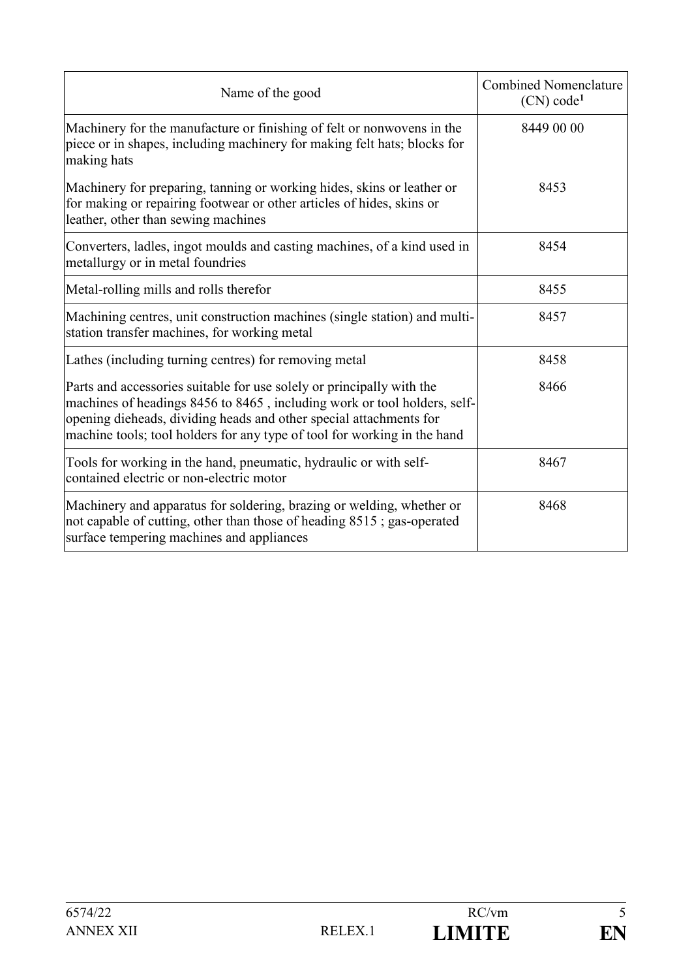| Name of the good                                                                                                                                                                                                                                                                                    | <b>Combined Nomenclature</b><br>(CN) code <sup>1</sup> |
|-----------------------------------------------------------------------------------------------------------------------------------------------------------------------------------------------------------------------------------------------------------------------------------------------------|--------------------------------------------------------|
| Machinery for the manufacture or finishing of felt or nonwovens in the<br>piece or in shapes, including machinery for making felt hats; blocks for<br>making hats                                                                                                                                   | 8449 00 00                                             |
| Machinery for preparing, tanning or working hides, skins or leather or<br>for making or repairing footwear or other articles of hides, skins or<br>leather, other than sewing machines                                                                                                              | 8453                                                   |
| Converters, ladles, ingot moulds and casting machines, of a kind used in<br>metallurgy or in metal foundries                                                                                                                                                                                        | 8454                                                   |
| Metal-rolling mills and rolls therefor                                                                                                                                                                                                                                                              | 8455                                                   |
| Machining centres, unit construction machines (single station) and multi-<br>station transfer machines, for working metal                                                                                                                                                                           | 8457                                                   |
| Lathes (including turning centres) for removing metal                                                                                                                                                                                                                                               | 8458                                                   |
| Parts and accessories suitable for use solely or principally with the<br>machines of headings 8456 to 8465, including work or tool holders, self-<br>opening dieheads, dividing heads and other special attachments for<br>machine tools; tool holders for any type of tool for working in the hand | 8466                                                   |
| Tools for working in the hand, pneumatic, hydraulic or with self-<br>contained electric or non-electric motor                                                                                                                                                                                       | 8467                                                   |
| Machinery and apparatus for soldering, brazing or welding, whether or<br>not capable of cutting, other than those of heading 8515; gas-operated<br>surface tempering machines and appliances                                                                                                        | 8468                                                   |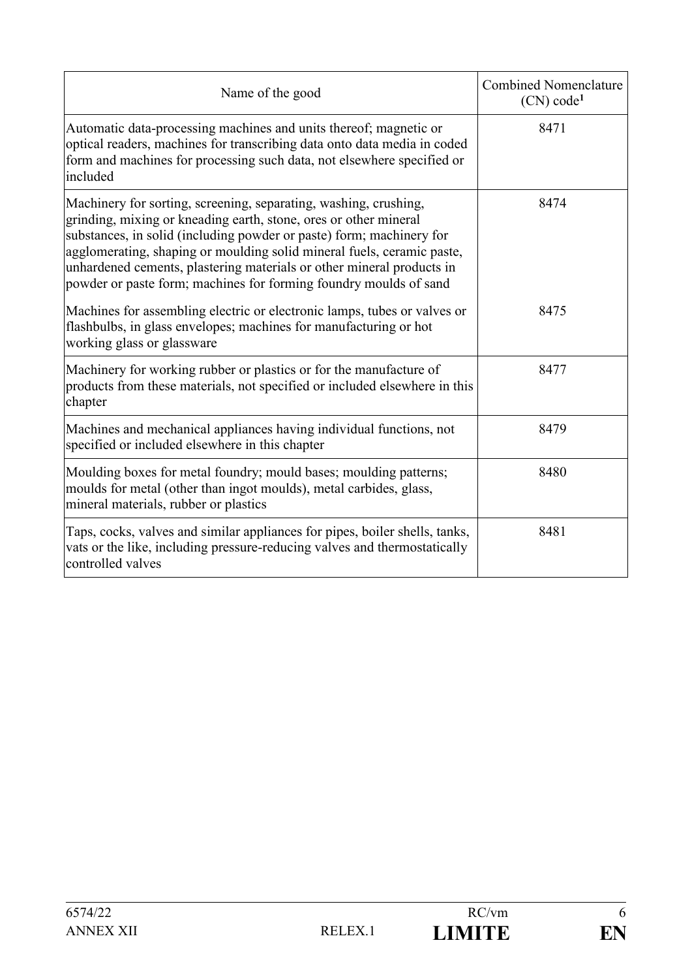| Name of the good                                                                                                                                                                                                                                                                                                                                                                                                                     | <b>Combined Nomenclature</b><br>(CN) code <sup>1</sup> |
|--------------------------------------------------------------------------------------------------------------------------------------------------------------------------------------------------------------------------------------------------------------------------------------------------------------------------------------------------------------------------------------------------------------------------------------|--------------------------------------------------------|
| Automatic data-processing machines and units thereof; magnetic or<br>optical readers, machines for transcribing data onto data media in coded<br>form and machines for processing such data, not elsewhere specified or<br>included                                                                                                                                                                                                  | 8471                                                   |
| Machinery for sorting, screening, separating, washing, crushing,<br>grinding, mixing or kneading earth, stone, ores or other mineral<br>substances, in solid (including powder or paste) form; machinery for<br>agglomerating, shaping or moulding solid mineral fuels, ceramic paste,<br>unhardened cements, plastering materials or other mineral products in<br>powder or paste form; machines for forming foundry moulds of sand | 8474                                                   |
| Machines for assembling electric or electronic lamps, tubes or valves or<br>flashbulbs, in glass envelopes; machines for manufacturing or hot<br>working glass or glassware                                                                                                                                                                                                                                                          | 8475                                                   |
| Machinery for working rubber or plastics or for the manufacture of<br>products from these materials, not specified or included elsewhere in this<br>chapter                                                                                                                                                                                                                                                                          | 8477                                                   |
| Machines and mechanical appliances having individual functions, not<br>specified or included elsewhere in this chapter                                                                                                                                                                                                                                                                                                               | 8479                                                   |
| Moulding boxes for metal foundry; mould bases; moulding patterns;<br>moulds for metal (other than ingot moulds), metal carbides, glass,<br>mineral materials, rubber or plastics                                                                                                                                                                                                                                                     | 8480                                                   |
| Taps, cocks, valves and similar appliances for pipes, boiler shells, tanks,<br>vats or the like, including pressure-reducing valves and thermostatically<br>controlled valves                                                                                                                                                                                                                                                        | 8481                                                   |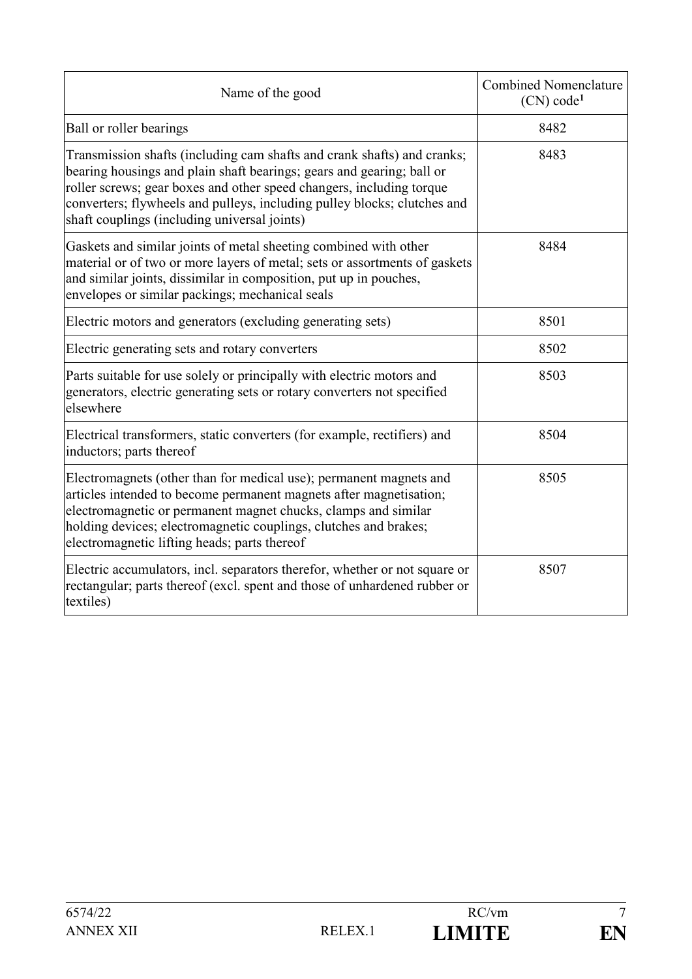| Name of the good                                                                                                                                                                                                                                                                                                                                     | <b>Combined Nomenclature</b><br>(CN) code <sup>1</sup> |
|------------------------------------------------------------------------------------------------------------------------------------------------------------------------------------------------------------------------------------------------------------------------------------------------------------------------------------------------------|--------------------------------------------------------|
| Ball or roller bearings                                                                                                                                                                                                                                                                                                                              | 8482                                                   |
| Transmission shafts (including cam shafts and crank shafts) and cranks;<br>bearing housings and plain shaft bearings; gears and gearing; ball or<br>roller screws; gear boxes and other speed changers, including torque<br>converters; flywheels and pulleys, including pulley blocks; clutches and<br>shaft couplings (including universal joints) | 8483                                                   |
| Gaskets and similar joints of metal sheeting combined with other<br>material or of two or more layers of metal; sets or assortments of gaskets<br>and similar joints, dissimilar in composition, put up in pouches,<br>envelopes or similar packings; mechanical seals                                                                               | 8484                                                   |
| Electric motors and generators (excluding generating sets)                                                                                                                                                                                                                                                                                           | 8501                                                   |
| Electric generating sets and rotary converters                                                                                                                                                                                                                                                                                                       | 8502                                                   |
| Parts suitable for use solely or principally with electric motors and<br>generators, electric generating sets or rotary converters not specified<br>elsewhere                                                                                                                                                                                        | 8503                                                   |
| Electrical transformers, static converters (for example, rectifiers) and<br>inductors; parts thereof                                                                                                                                                                                                                                                 | 8504                                                   |
| Electromagnets (other than for medical use); permanent magnets and<br>articles intended to become permanent magnets after magnetisation;<br>electromagnetic or permanent magnet chucks, clamps and similar<br>holding devices; electromagnetic couplings, clutches and brakes;<br>electromagnetic lifting heads; parts thereof                       | 8505                                                   |
| Electric accumulators, incl. separators therefor, whether or not square or<br>rectangular; parts thereof (excl. spent and those of unhardened rubber or<br>textiles)                                                                                                                                                                                 | 8507                                                   |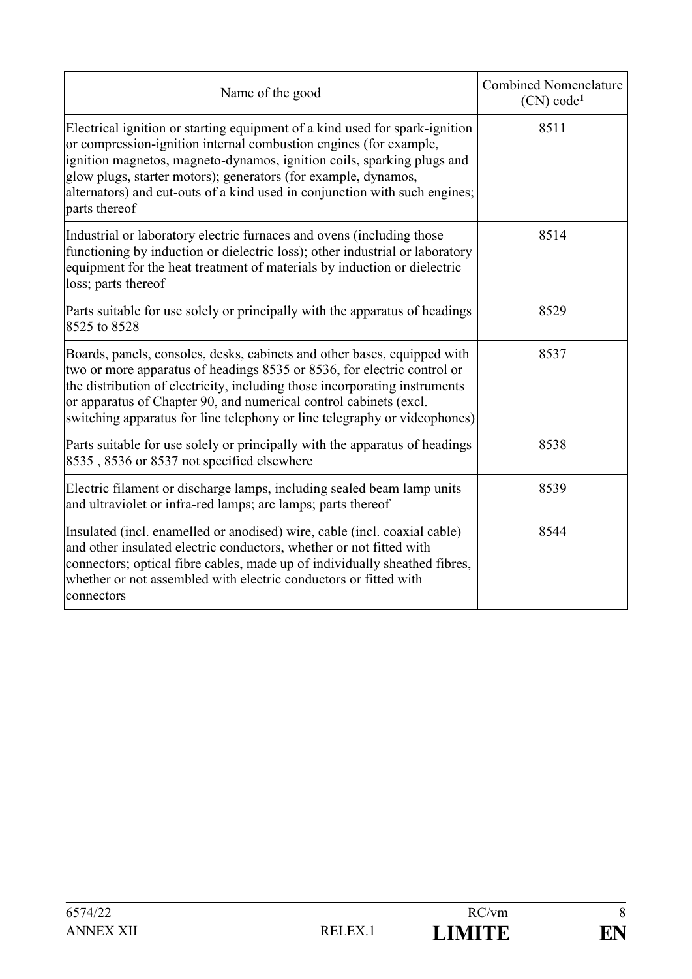| Name of the good                                                                                                                                                                                                                                                                                                                                                                            | <b>Combined Nomenclature</b><br>(CN) code <sup>1</sup> |
|---------------------------------------------------------------------------------------------------------------------------------------------------------------------------------------------------------------------------------------------------------------------------------------------------------------------------------------------------------------------------------------------|--------------------------------------------------------|
| Electrical ignition or starting equipment of a kind used for spark-ignition<br>or compression-ignition internal combustion engines (for example,<br>ignition magnetos, magneto-dynamos, ignition coils, sparking plugs and<br>glow plugs, starter motors); generators (for example, dynamos,<br>alternators) and cut-outs of a kind used in conjunction with such engines;<br>parts thereof | 8511                                                   |
| Industrial or laboratory electric furnaces and ovens (including those<br>functioning by induction or dielectric loss); other industrial or laboratory<br>equipment for the heat treatment of materials by induction or dielectric<br>loss; parts thereof                                                                                                                                    | 8514                                                   |
| Parts suitable for use solely or principally with the apparatus of headings<br>8525 to 8528                                                                                                                                                                                                                                                                                                 | 8529                                                   |
| Boards, panels, consoles, desks, cabinets and other bases, equipped with<br>two or more apparatus of headings 8535 or 8536, for electric control or<br>the distribution of electricity, including those incorporating instruments<br>or apparatus of Chapter 90, and numerical control cabinets (excl.<br>switching apparatus for line telephony or line telegraphy or videophones)         | 8537                                                   |
| Parts suitable for use solely or principally with the apparatus of headings<br>8535, 8536 or 8537 not specified elsewhere                                                                                                                                                                                                                                                                   | 8538                                                   |
| Electric filament or discharge lamps, including sealed beam lamp units<br>and ultraviolet or infra-red lamps; arc lamps; parts thereof                                                                                                                                                                                                                                                      | 8539                                                   |
| Insulated (incl. enamelled or anodised) wire, cable (incl. coaxial cable)<br>and other insulated electric conductors, whether or not fitted with<br>connectors; optical fibre cables, made up of individually sheathed fibres,<br>whether or not assembled with electric conductors or fitted with<br>connectors                                                                            | 8544                                                   |